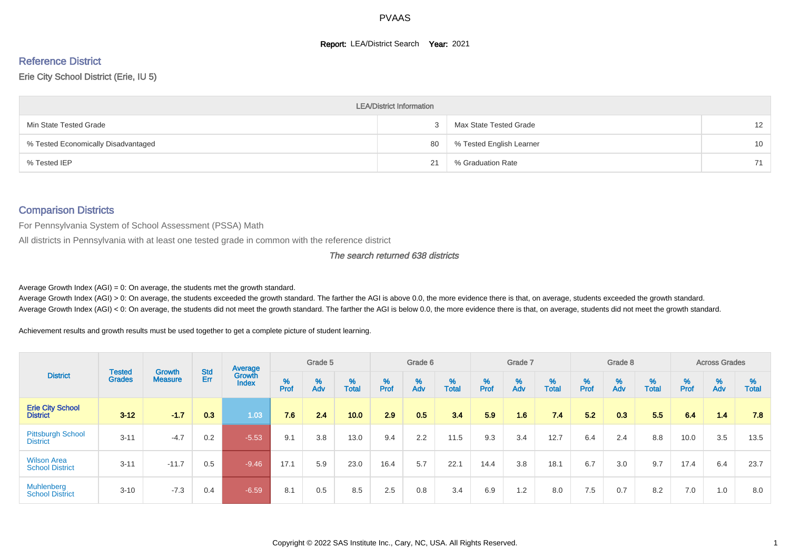#### **Report: LEA/District Search Year: 2021**

# Reference District

#### Erie City School District (Erie, IU 5)

|                                     | <b>LEA/District Information</b> |                          |    |
|-------------------------------------|---------------------------------|--------------------------|----|
| Min State Tested Grade              |                                 | Max State Tested Grade   | 12 |
| % Tested Economically Disadvantaged | 80                              | % Tested English Learner | 10 |
| % Tested IEP                        | 21                              | % Graduation Rate        | 71 |

#### Comparison Districts

For Pennsylvania System of School Assessment (PSSA) Math

All districts in Pennsylvania with at least one tested grade in common with the reference district

#### The search returned 638 districts

Average Growth Index  $(AGI) = 0$ : On average, the students met the growth standard.

Average Growth Index (AGI) > 0: On average, the students exceeded the growth standard. The farther the AGI is above 0.0, the more evidence there is that, on average, students exceeded the growth standard. Average Growth Index (AGI) < 0: On average, the students did not meet the growth standard. The farther the AGI is below 0.0, the more evidence there is that, on average, students did not meet the growth standard.

Achievement results and growth results must be used together to get a complete picture of student learning.

|                                              |                         |                                 |            | Average                |        | Grade 5  |                   |        | Grade 6  |                   |        | Grade 7  |            |           | Grade 8                       |                   |          | <b>Across Grades</b>          |                   |
|----------------------------------------------|-------------------------|---------------------------------|------------|------------------------|--------|----------|-------------------|--------|----------|-------------------|--------|----------|------------|-----------|-------------------------------|-------------------|----------|-------------------------------|-------------------|
| <b>District</b>                              | Tested<br><b>Grades</b> | <b>Growth</b><br><b>Measure</b> | Std<br>Err | Growth<br><b>Index</b> | % Pref | %<br>Adv | %<br><b>Total</b> | % Pref | %<br>Adv | %<br><b>Total</b> | % Pref | %<br>Adv | %<br>Total | %<br>Prof | $\stackrel{\%}{\mathsf{Adv}}$ | %<br><b>Total</b> | $%$ Prof | $\stackrel{\%}{\mathsf{Adv}}$ | %<br><b>Total</b> |
| <b>Erie City School</b><br><b>District</b>   | $3 - 12$                | $-1.7$                          | 0.3        | 1.03                   | 7.6    | 2.4      | 10.0              | 2.9    | 0.5      | 3.4               | 5.9    | 1.6      | 7.4        | 5.2       | 0.3                           | 5.5               | 6.4      | 1.4                           | 7.8               |
| <b>Pittsburgh School</b><br><b>District</b>  | $3 - 11$                | $-4.7$                          | 0.2        | $-5.53$                | 9.1    | 3.8      | 13.0              | 9.4    | 2.2      | 11.5              | 9.3    | 3.4      | 12.7       | 6.4       | 2.4                           | 8.8               | 10.0     | 3.5                           | 13.5              |
| <b>Wilson Area</b><br><b>School District</b> | $3 - 11$                | $-11.7$                         | 0.5        | $-9.46$                | 17.1   | 5.9      | 23.0              | 16.4   | 5.7      | 22.1              | 14.4   | 3.8      | 18.1       | 6.7       | 3.0                           | 9.7               | 17.4     | 6.4                           | 23.7              |
| <b>Muhlenberg</b><br><b>School District</b>  | $3 - 10$                | $-7.3$                          | 0.4        | $-6.59$                | 8.1    | 0.5      | 8.5               | 2.5    | 0.8      | 3.4               | 6.9    | 1.2      | 8.0        | 7.5       | 0.7                           | 8.2               | 7.0      | 1.0                           | 8.0               |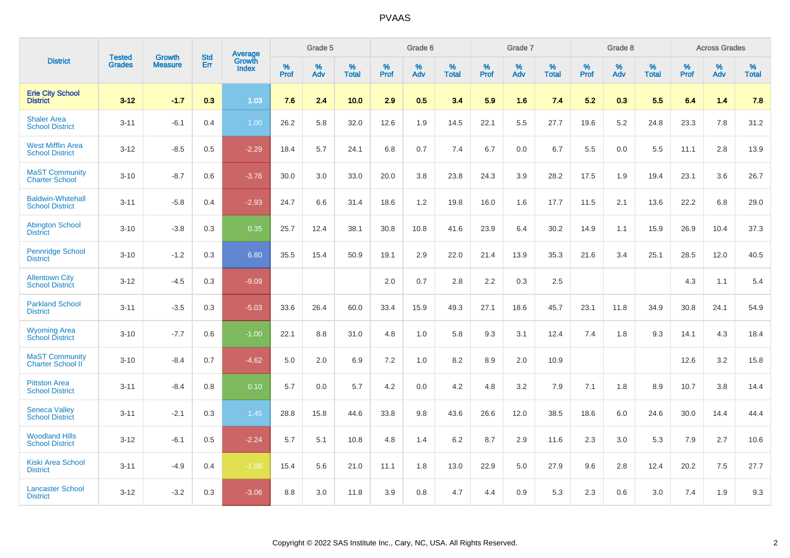|                                                    | <b>Tested</b> | <b>Growth</b>  | <b>Std</b> | Average                |           | Grade 5  |                      |           | Grade 6  |                   |           | Grade 7  |                      |              | Grade 8  |                   |           | <b>Across Grades</b> |            |
|----------------------------------------------------|---------------|----------------|------------|------------------------|-----------|----------|----------------------|-----------|----------|-------------------|-----------|----------|----------------------|--------------|----------|-------------------|-----------|----------------------|------------|
| <b>District</b>                                    | <b>Grades</b> | <b>Measure</b> | Err        | Growth<br><b>Index</b> | %<br>Prof | %<br>Adv | $\%$<br><b>Total</b> | %<br>Prof | %<br>Adv | %<br><b>Total</b> | %<br>Prof | %<br>Adv | $\%$<br><b>Total</b> | $\%$<br>Prof | %<br>Adv | %<br><b>Total</b> | %<br>Prof | %<br>Adv             | %<br>Total |
| <b>Erie City School</b><br><b>District</b>         | $3 - 12$      | $-1.7$         | 0.3        | 1.03                   | 7.6       | 2.4      | 10.0                 | 2.9       | 0.5      | 3.4               | 5.9       | 1.6      | 7.4                  | 5.2          | 0.3      | 5.5               | 6.4       | 1.4                  | 7.8        |
| <b>Shaler Area</b><br><b>School District</b>       | $3 - 11$      | $-6.1$         | 0.4        | 1.00                   | 26.2      | 5.8      | 32.0                 | 12.6      | 1.9      | 14.5              | 22.1      | 5.5      | 27.7                 | 19.6         | 5.2      | 24.8              | 23.3      | 7.8                  | 31.2       |
| <b>West Mifflin Area</b><br><b>School District</b> | $3 - 12$      | $-8.5$         | 0.5        | $-2.29$                | 18.4      | 5.7      | 24.1                 | 6.8       | 0.7      | 7.4               | 6.7       | 0.0      | 6.7                  | 5.5          | 0.0      | 5.5               | 11.1      | 2.8                  | 13.9       |
| <b>MaST Community</b><br><b>Charter School</b>     | $3 - 10$      | $-8.7$         | 0.6        | $-3.76$                | 30.0      | 3.0      | 33.0                 | 20.0      | 3.8      | 23.8              | 24.3      | 3.9      | 28.2                 | 17.5         | 1.9      | 19.4              | 23.1      | 3.6                  | 26.7       |
| <b>Baldwin-Whitehall</b><br><b>School District</b> | $3 - 11$      | $-5.8$         | 0.4        | $-2.93$                | 24.7      | 6.6      | 31.4                 | 18.6      | 1.2      | 19.8              | 16.0      | 1.6      | 17.7                 | 11.5         | 2.1      | 13.6              | 22.2      | 6.8                  | 29.0       |
| <b>Abington School</b><br><b>District</b>          | $3 - 10$      | $-3.8$         | 0.3        | 0.35                   | 25.7      | 12.4     | 38.1                 | 30.8      | 10.8     | 41.6              | 23.9      | 6.4      | 30.2                 | 14.9         | 1.1      | 15.9              | 26.9      | 10.4                 | 37.3       |
| <b>Pennridge School</b><br><b>District</b>         | $3 - 10$      | $-1.2$         | 0.3        | 6.80                   | 35.5      | 15.4     | 50.9                 | 19.1      | 2.9      | 22.0              | 21.4      | 13.9     | 35.3                 | 21.6         | 3.4      | 25.1              | 28.5      | 12.0                 | 40.5       |
| <b>Allentown City</b><br><b>School District</b>    | $3 - 12$      | $-4.5$         | 0.3        | $-9.09$                |           |          |                      | 2.0       | 0.7      | 2.8               | 2.2       | 0.3      | 2.5                  |              |          |                   | 4.3       | 1.1                  | 5.4        |
| <b>Parkland School</b><br><b>District</b>          | $3 - 11$      | $-3.5$         | 0.3        | $-5.03$                | 33.6      | 26.4     | 60.0                 | 33.4      | 15.9     | 49.3              | 27.1      | 18.6     | 45.7                 | 23.1         | 11.8     | 34.9              | 30.8      | 24.1                 | 54.9       |
| <b>Wyoming Area</b><br><b>School District</b>      | $3 - 10$      | $-7.7$         | 0.6        | $-1.00$                | 22.1      | 8.8      | 31.0                 | 4.8       | 1.0      | 5.8               | 9.3       | 3.1      | 12.4                 | 7.4          | 1.8      | 9.3               | 14.1      | 4.3                  | 18.4       |
| <b>MaST Community</b><br>Charter School II         | $3 - 10$      | $-8.4$         | 0.7        | $-4.62$                | 5.0       | 2.0      | 6.9                  | 7.2       | 1.0      | 8.2               | 8.9       | 2.0      | 10.9                 |              |          |                   | 12.6      | 3.2                  | 15.8       |
| <b>Pittston Area</b><br><b>School District</b>     | $3 - 11$      | $-8.4$         | 0.8        | 0.10                   | 5.7       | 0.0      | 5.7                  | 4.2       | 0.0      | 4.2               | 4.8       | 3.2      | 7.9                  | 7.1          | 1.8      | 8.9               | 10.7      | 3.8                  | 14.4       |
| <b>Seneca Valley</b><br><b>School District</b>     | $3 - 11$      | $-2.1$         | 0.3        | 1.45                   | 28.8      | 15.8     | 44.6                 | 33.8      | 9.8      | 43.6              | 26.6      | 12.0     | 38.5                 | 18.6         | 6.0      | 24.6              | 30.0      | 14.4                 | 44.4       |
| <b>Woodland Hills</b><br><b>School District</b>    | $3 - 12$      | $-6.1$         | 0.5        | $-2.24$                | 5.7       | 5.1      | 10.8                 | 4.8       | 1.4      | 6.2               | 8.7       | 2.9      | 11.6                 | 2.3          | 3.0      | 5.3               | 7.9       | 2.7                  | 10.6       |
| <b>Kiski Area School</b><br><b>District</b>        | $3 - 11$      | $-4.9$         | 0.4        | $-1.08$                | 15.4      | 5.6      | 21.0                 | 11.1      | 1.8      | 13.0              | 22.9      | 5.0      | 27.9                 | 9.6          | 2.8      | 12.4              | 20.2      | 7.5                  | 27.7       |
| <b>Lancaster School</b><br><b>District</b>         | $3 - 12$      | $-3.2$         | 0.3        | $-3.06$                | 8.8       | 3.0      | 11.8                 | 3.9       | 0.8      | 4.7               | 4.4       | 0.9      | 5.3                  | 2.3          | 0.6      | 3.0               | 7.4       | 1.9                  | 9.3        |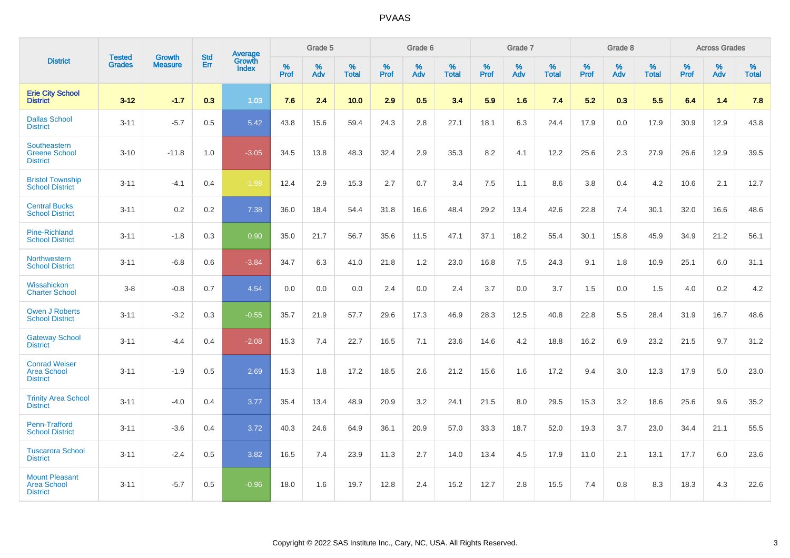|                                                                | <b>Tested</b> | Growth         | <b>Std</b> | Average                |           | Grade 5  |                   |           | Grade 6  |                   |           | Grade 7  |                   |           | Grade 8  |                   |           | <b>Across Grades</b> |                   |
|----------------------------------------------------------------|---------------|----------------|------------|------------------------|-----------|----------|-------------------|-----------|----------|-------------------|-----------|----------|-------------------|-----------|----------|-------------------|-----------|----------------------|-------------------|
| <b>District</b>                                                | <b>Grades</b> | <b>Measure</b> | Err        | Growth<br><b>Index</b> | %<br>Prof | %<br>Adv | %<br><b>Total</b> | %<br>Prof | %<br>Adv | %<br><b>Total</b> | %<br>Prof | %<br>Adv | %<br><b>Total</b> | %<br>Prof | %<br>Adv | %<br><b>Total</b> | %<br>Prof | %<br>Adv             | %<br><b>Total</b> |
| <b>Erie City School</b><br><b>District</b>                     | $3 - 12$      | $-1.7$         | 0.3        | 1.03                   | 7.6       | 2.4      | 10.0              | 2.9       | 0.5      | 3.4               | 5.9       | 1.6      | 7.4               | 5.2       | 0.3      | 5.5               | 6.4       | 1.4                  | 7.8               |
| <b>Dallas School</b><br><b>District</b>                        | $3 - 11$      | $-5.7$         | 0.5        | 5.42                   | 43.8      | 15.6     | 59.4              | 24.3      | 2.8      | 27.1              | 18.1      | 6.3      | 24.4              | 17.9      | 0.0      | 17.9              | 30.9      | 12.9                 | 43.8              |
| Southeastern<br><b>Greene School</b><br><b>District</b>        | $3 - 10$      | $-11.8$        | 1.0        | $-3.05$                | 34.5      | 13.8     | 48.3              | 32.4      | 2.9      | 35.3              | 8.2       | 4.1      | 12.2              | 25.6      | 2.3      | 27.9              | 26.6      | 12.9                 | 39.5              |
| <b>Bristol Township</b><br><b>School District</b>              | $3 - 11$      | $-4.1$         | 0.4        | $-1.98$                | 12.4      | 2.9      | 15.3              | 2.7       | 0.7      | 3.4               | 7.5       | 1.1      | 8.6               | 3.8       | 0.4      | 4.2               | 10.6      | 2.1                  | 12.7              |
| <b>Central Bucks</b><br><b>School District</b>                 | $3 - 11$      | 0.2            | 0.2        | 7.38                   | 36.0      | 18.4     | 54.4              | 31.8      | 16.6     | 48.4              | 29.2      | 13.4     | 42.6              | 22.8      | 7.4      | 30.1              | 32.0      | 16.6                 | 48.6              |
| <b>Pine-Richland</b><br><b>School District</b>                 | $3 - 11$      | $-1.8$         | 0.3        | 0.90                   | 35.0      | 21.7     | 56.7              | 35.6      | 11.5     | 47.1              | 37.1      | 18.2     | 55.4              | 30.1      | 15.8     | 45.9              | 34.9      | 21.2                 | 56.1              |
| Northwestern<br><b>School District</b>                         | $3 - 11$      | $-6.8$         | 0.6        | $-3.84$                | 34.7      | 6.3      | 41.0              | 21.8      | 1.2      | 23.0              | 16.8      | 7.5      | 24.3              | 9.1       | 1.8      | 10.9              | 25.1      | 6.0                  | 31.1              |
| Wissahickon<br><b>Charter School</b>                           | $3 - 8$       | $-0.8$         | 0.7        | 4.54                   | 0.0       | 0.0      | 0.0               | 2.4       | $0.0\,$  | 2.4               | 3.7       | 0.0      | 3.7               | 1.5       | 0.0      | 1.5               | 4.0       | $0.2\,$              | 4.2               |
| <b>Owen J Roberts</b><br><b>School District</b>                | $3 - 11$      | $-3.2$         | 0.3        | $-0.55$                | 35.7      | 21.9     | 57.7              | 29.6      | 17.3     | 46.9              | 28.3      | 12.5     | 40.8              | 22.8      | 5.5      | 28.4              | 31.9      | 16.7                 | 48.6              |
| <b>Gateway School</b><br><b>District</b>                       | $3 - 11$      | $-4.4$         | 0.4        | $-2.08$                | 15.3      | 7.4      | 22.7              | 16.5      | 7.1      | 23.6              | 14.6      | 4.2      | 18.8              | 16.2      | 6.9      | 23.2              | 21.5      | 9.7                  | 31.2              |
| <b>Conrad Weiser</b><br><b>Area School</b><br><b>District</b>  | $3 - 11$      | $-1.9$         | 0.5        | 2.69                   | 15.3      | 1.8      | 17.2              | 18.5      | 2.6      | 21.2              | 15.6      | 1.6      | 17.2              | 9.4       | 3.0      | 12.3              | 17.9      | 5.0                  | 23.0              |
| <b>Trinity Area School</b><br><b>District</b>                  | $3 - 11$      | $-4.0$         | 0.4        | 3.77                   | 35.4      | 13.4     | 48.9              | 20.9      | 3.2      | 24.1              | 21.5      | 8.0      | 29.5              | 15.3      | 3.2      | 18.6              | 25.6      | 9.6                  | 35.2              |
| Penn-Trafford<br><b>School District</b>                        | $3 - 11$      | $-3.6$         | 0.4        | 3.72                   | 40.3      | 24.6     | 64.9              | 36.1      | 20.9     | 57.0              | 33.3      | 18.7     | 52.0              | 19.3      | 3.7      | 23.0              | 34.4      | 21.1                 | 55.5              |
| <b>Tuscarora School</b><br><b>District</b>                     | $3 - 11$      | $-2.4$         | 0.5        | 3.82                   | 16.5      | 7.4      | 23.9              | 11.3      | 2.7      | 14.0              | 13.4      | 4.5      | 17.9              | 11.0      | 2.1      | 13.1              | 17.7      | 6.0                  | 23.6              |
| <b>Mount Pleasant</b><br><b>Area School</b><br><b>District</b> | $3 - 11$      | $-5.7$         | 0.5        | $-0.96$                | 18.0      | 1.6      | 19.7              | 12.8      | 2.4      | 15.2              | 12.7      | 2.8      | 15.5              | 7.4       | 0.8      | 8.3               | 18.3      | 4.3                  | 22.6              |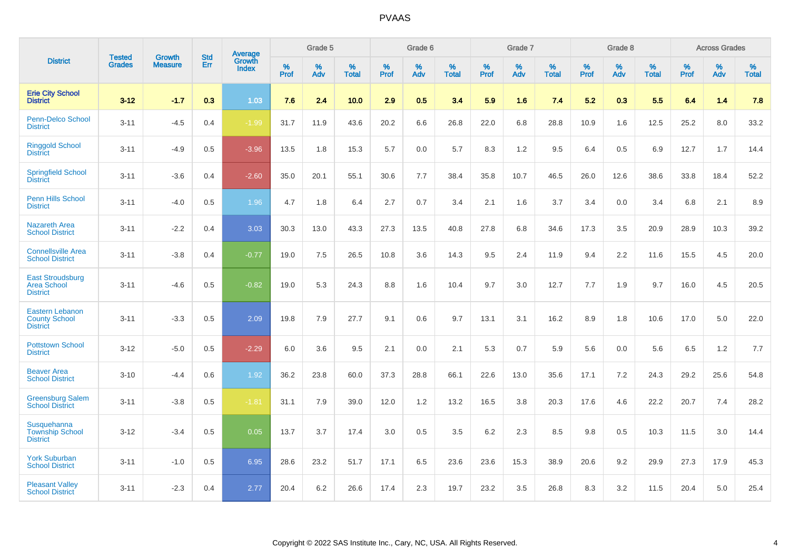|                                                                   | <b>Tested</b> | <b>Growth</b>  | <b>Std</b> | Average                       |              | Grade 5  |                   |           | Grade 6  |                   |           | Grade 7  |                   |           | Grade 8  |                   |           | <b>Across Grades</b> |                   |
|-------------------------------------------------------------------|---------------|----------------|------------|-------------------------------|--------------|----------|-------------------|-----------|----------|-------------------|-----------|----------|-------------------|-----------|----------|-------------------|-----------|----------------------|-------------------|
| <b>District</b>                                                   | <b>Grades</b> | <b>Measure</b> | Err        | <b>Growth</b><br><b>Index</b> | $\%$<br>Prof | %<br>Adv | %<br><b>Total</b> | %<br>Prof | %<br>Adv | %<br><b>Total</b> | %<br>Prof | %<br>Adv | %<br><b>Total</b> | %<br>Prof | %<br>Adv | %<br><b>Total</b> | %<br>Prof | %<br>Adv             | %<br><b>Total</b> |
| <b>Erie City School</b><br><b>District</b>                        | $3 - 12$      | $-1.7$         | 0.3        | 1.03                          | 7.6          | 2.4      | 10.0              | 2.9       | 0.5      | 3.4               | 5.9       | 1.6      | 7.4               | 5.2       | 0.3      | 5.5               | 6.4       | 1.4                  | 7.8               |
| Penn-Delco School<br><b>District</b>                              | $3 - 11$      | $-4.5$         | 0.4        | $-1.99$                       | 31.7         | 11.9     | 43.6              | 20.2      | 6.6      | 26.8              | 22.0      | 6.8      | 28.8              | 10.9      | 1.6      | 12.5              | 25.2      | 8.0                  | 33.2              |
| <b>Ringgold School</b><br><b>District</b>                         | $3 - 11$      | $-4.9$         | 0.5        | $-3.96$                       | 13.5         | 1.8      | 15.3              | 5.7       | 0.0      | 5.7               | 8.3       | 1.2      | 9.5               | 6.4       | 0.5      | 6.9               | 12.7      | 1.7                  | 14.4              |
| <b>Springfield School</b><br><b>District</b>                      | $3 - 11$      | $-3.6$         | 0.4        | $-2.60$                       | 35.0         | 20.1     | 55.1              | 30.6      | 7.7      | 38.4              | 35.8      | 10.7     | 46.5              | 26.0      | 12.6     | 38.6              | 33.8      | 18.4                 | 52.2              |
| Penn Hills School<br><b>District</b>                              | $3 - 11$      | $-4.0$         | 0.5        | 1.96                          | 4.7          | 1.8      | 6.4               | 2.7       | 0.7      | 3.4               | 2.1       | 1.6      | 3.7               | 3.4       | 0.0      | 3.4               | 6.8       | 2.1                  | 8.9               |
| <b>Nazareth Area</b><br><b>School District</b>                    | $3 - 11$      | $-2.2$         | 0.4        | 3.03                          | 30.3         | 13.0     | 43.3              | 27.3      | 13.5     | 40.8              | 27.8      | 6.8      | 34.6              | 17.3      | 3.5      | 20.9              | 28.9      | 10.3                 | 39.2              |
| <b>Connellsville Area</b><br><b>School District</b>               | $3 - 11$      | $-3.8$         | 0.4        | $-0.77$                       | 19.0         | 7.5      | 26.5              | 10.8      | 3.6      | 14.3              | 9.5       | 2.4      | 11.9              | 9.4       | 2.2      | 11.6              | 15.5      | 4.5                  | 20.0              |
| <b>East Stroudsburg</b><br><b>Area School</b><br><b>District</b>  | $3 - 11$      | $-4.6$         | 0.5        | $-0.82$                       | 19.0         | 5.3      | 24.3              | 8.8       | 1.6      | 10.4              | 9.7       | 3.0      | 12.7              | 7.7       | 1.9      | 9.7               | 16.0      | 4.5                  | 20.5              |
| <b>Eastern Lebanon</b><br><b>County School</b><br><b>District</b> | $3 - 11$      | $-3.3$         | 0.5        | 2.09                          | 19.8         | 7.9      | 27.7              | 9.1       | 0.6      | 9.7               | 13.1      | 3.1      | 16.2              | 8.9       | 1.8      | 10.6              | 17.0      | 5.0                  | 22.0              |
| <b>Pottstown School</b><br><b>District</b>                        | $3 - 12$      | $-5.0$         | 0.5        | $-2.29$                       | 6.0          | 3.6      | 9.5               | 2.1       | 0.0      | 2.1               | 5.3       | 0.7      | 5.9               | 5.6       | 0.0      | 5.6               | 6.5       | 1.2                  | 7.7               |
| <b>Beaver Area</b><br><b>School District</b>                      | $3 - 10$      | $-4.4$         | 0.6        | 1.92                          | 36.2         | 23.8     | 60.0              | 37.3      | 28.8     | 66.1              | 22.6      | 13.0     | 35.6              | 17.1      | 7.2      | 24.3              | 29.2      | 25.6                 | 54.8              |
| <b>Greensburg Salem</b><br><b>School District</b>                 | $3 - 11$      | $-3.8$         | 0.5        | $-1.81$                       | 31.1         | 7.9      | 39.0              | 12.0      | 1.2      | 13.2              | 16.5      | 3.8      | 20.3              | 17.6      | 4.6      | 22.2              | 20.7      | 7.4                  | 28.2              |
| Susquehanna<br><b>Township School</b><br><b>District</b>          | $3 - 12$      | $-3.4$         | 0.5        | 0.05                          | 13.7         | 3.7      | 17.4              | 3.0       | 0.5      | 3.5               | 6.2       | 2.3      | 8.5               | 9.8       | 0.5      | 10.3              | 11.5      | 3.0                  | 14.4              |
| <b>York Suburban</b><br><b>School District</b>                    | $3 - 11$      | $-1.0$         | 0.5        | 6.95                          | 28.6         | 23.2     | 51.7              | 17.1      | 6.5      | 23.6              | 23.6      | 15.3     | 38.9              | 20.6      | 9.2      | 29.9              | 27.3      | 17.9                 | 45.3              |
| <b>Pleasant Valley</b><br><b>School District</b>                  | $3 - 11$      | $-2.3$         | 0.4        | 2.77                          | 20.4         | 6.2      | 26.6              | 17.4      | 2.3      | 19.7              | 23.2      | 3.5      | 26.8              | 8.3       | 3.2      | 11.5              | 20.4      | 5.0                  | 25.4              |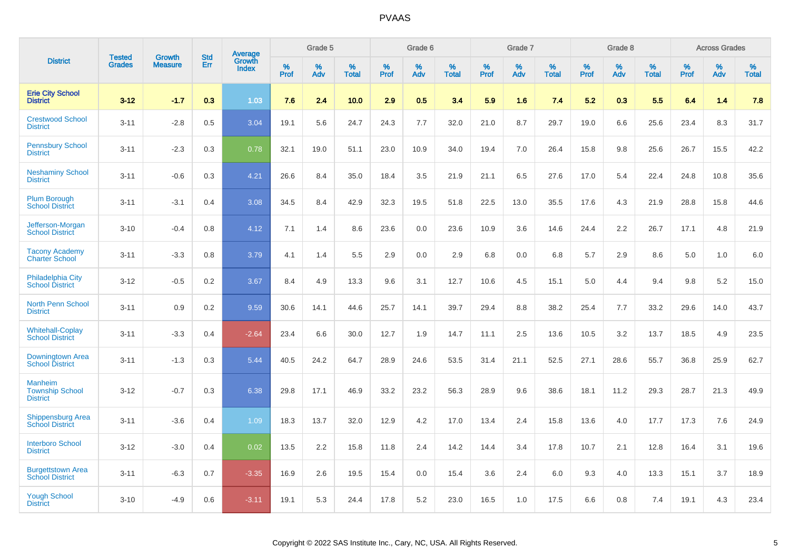|                                                             | <b>Tested</b> | <b>Growth</b>  | <b>Std</b> | Average<br>Growth |                     | Grade 5  |                      |              | Grade 6  |                      |              | Grade 7  |                      |              | Grade 8  |                      |                     | <b>Across Grades</b> |                      |
|-------------------------------------------------------------|---------------|----------------|------------|-------------------|---------------------|----------|----------------------|--------------|----------|----------------------|--------------|----------|----------------------|--------------|----------|----------------------|---------------------|----------------------|----------------------|
| <b>District</b>                                             | <b>Grades</b> | <b>Measure</b> | Err        | <b>Index</b>      | $\%$<br><b>Prof</b> | %<br>Adv | $\%$<br><b>Total</b> | $\%$<br>Prof | %<br>Adv | $\%$<br><b>Total</b> | $\%$<br>Prof | %<br>Adv | $\%$<br><b>Total</b> | $\%$<br>Prof | %<br>Adv | $\%$<br><b>Total</b> | $\%$<br><b>Prof</b> | $\%$<br>Adv          | $\%$<br><b>Total</b> |
| <b>Erie City School</b><br><b>District</b>                  | $3 - 12$      | $-1.7$         | 0.3        | 1.03              | 7.6                 | 2.4      | 10.0                 | 2.9          | 0.5      | 3.4                  | 5.9          | 1.6      | 7.4                  | 5.2          | 0.3      | 5.5                  | 6.4                 | 1.4                  | 7.8                  |
| <b>Crestwood School</b><br><b>District</b>                  | $3 - 11$      | $-2.8$         | 0.5        | 3.04              | 19.1                | 5.6      | 24.7                 | 24.3         | 7.7      | 32.0                 | 21.0         | 8.7      | 29.7                 | 19.0         | 6.6      | 25.6                 | 23.4                | 8.3                  | 31.7                 |
| <b>Pennsbury School</b><br><b>District</b>                  | $3 - 11$      | $-2.3$         | 0.3        | 0.78              | 32.1                | 19.0     | 51.1                 | 23.0         | 10.9     | 34.0                 | 19.4         | 7.0      | 26.4                 | 15.8         | 9.8      | 25.6                 | 26.7                | 15.5                 | 42.2                 |
| <b>Neshaminy School</b><br><b>District</b>                  | $3 - 11$      | $-0.6$         | 0.3        | 4.21              | 26.6                | 8.4      | 35.0                 | 18.4         | 3.5      | 21.9                 | 21.1         | 6.5      | 27.6                 | 17.0         | 5.4      | 22.4                 | 24.8                | 10.8                 | 35.6                 |
| <b>Plum Borough</b><br><b>School District</b>               | $3 - 11$      | $-3.1$         | 0.4        | 3.08              | 34.5                | 8.4      | 42.9                 | 32.3         | 19.5     | 51.8                 | 22.5         | 13.0     | 35.5                 | 17.6         | 4.3      | 21.9                 | 28.8                | 15.8                 | 44.6                 |
| Jefferson-Morgan<br><b>School District</b>                  | $3 - 10$      | $-0.4$         | 0.8        | 4.12              | 7.1                 | 1.4      | 8.6                  | 23.6         | 0.0      | 23.6                 | 10.9         | 3.6      | 14.6                 | 24.4         | 2.2      | 26.7                 | 17.1                | 4.8                  | 21.9                 |
| <b>Tacony Academy</b><br><b>Charter School</b>              | $3 - 11$      | $-3.3$         | 0.8        | 3.79              | 4.1                 | 1.4      | 5.5                  | 2.9          | 0.0      | 2.9                  | 6.8          | 0.0      | 6.8                  | 5.7          | 2.9      | 8.6                  | 5.0                 | 1.0                  | $6.0\,$              |
| <b>Philadelphia City</b><br><b>School District</b>          | $3 - 12$      | $-0.5$         | 0.2        | 3.67              | 8.4                 | 4.9      | 13.3                 | 9.6          | 3.1      | 12.7                 | 10.6         | 4.5      | 15.1                 | 5.0          | 4.4      | 9.4                  | 9.8                 | 5.2                  | 15.0                 |
| North Penn School<br><b>District</b>                        | $3 - 11$      | 0.9            | 0.2        | 9.59              | 30.6                | 14.1     | 44.6                 | 25.7         | 14.1     | 39.7                 | 29.4         | 8.8      | 38.2                 | 25.4         | 7.7      | 33.2                 | 29.6                | 14.0                 | 43.7                 |
| <b>Whitehall-Coplay</b><br><b>School District</b>           | $3 - 11$      | $-3.3$         | 0.4        | $-2.64$           | 23.4                | 6.6      | 30.0                 | 12.7         | 1.9      | 14.7                 | 11.1         | 2.5      | 13.6                 | 10.5         | 3.2      | 13.7                 | 18.5                | 4.9                  | 23.5                 |
| Downingtown Area<br><b>School District</b>                  | $3 - 11$      | $-1.3$         | 0.3        | 5.44              | 40.5                | 24.2     | 64.7                 | 28.9         | 24.6     | 53.5                 | 31.4         | 21.1     | 52.5                 | 27.1         | 28.6     | 55.7                 | 36.8                | 25.9                 | 62.7                 |
| <b>Manheim</b><br><b>Township School</b><br><b>District</b> | $3 - 12$      | $-0.7$         | 0.3        | 6.38              | 29.8                | 17.1     | 46.9                 | 33.2         | 23.2     | 56.3                 | 28.9         | 9.6      | 38.6                 | 18.1         | 11.2     | 29.3                 | 28.7                | 21.3                 | 49.9                 |
| <b>Shippensburg Area</b><br><b>School District</b>          | $3 - 11$      | $-3.6$         | 0.4        | 1.09              | 18.3                | 13.7     | 32.0                 | 12.9         | 4.2      | 17.0                 | 13.4         | 2.4      | 15.8                 | 13.6         | 4.0      | 17.7                 | 17.3                | 7.6                  | 24.9                 |
| <b>Interboro School</b><br><b>District</b>                  | $3 - 12$      | $-3.0$         | 0.4        | 0.02              | 13.5                | 2.2      | 15.8                 | 11.8         | 2.4      | 14.2                 | 14.4         | 3.4      | 17.8                 | 10.7         | 2.1      | 12.8                 | 16.4                | 3.1                  | 19.6                 |
| <b>Burgettstown Area</b><br><b>School District</b>          | $3 - 11$      | $-6.3$         | 0.7        | $-3.35$           | 16.9                | 2.6      | 19.5                 | 15.4         | 0.0      | 15.4                 | 3.6          | 2.4      | 6.0                  | 9.3          | 4.0      | 13.3                 | 15.1                | 3.7                  | 18.9                 |
| <b>Yough School</b><br><b>District</b>                      | $3 - 10$      | $-4.9$         | 0.6        | $-3.11$           | 19.1                | 5.3      | 24.4                 | 17.8         | 5.2      | 23.0                 | 16.5         | 1.0      | 17.5                 | 6.6          | 0.8      | 7.4                  | 19.1                | 4.3                  | 23.4                 |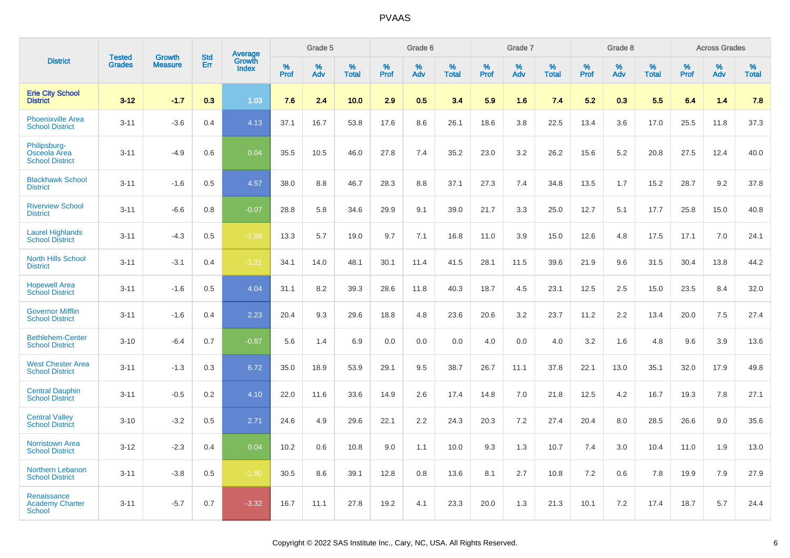|                                                        | <b>Tested</b> | <b>Growth</b>  | <b>Std</b> | Average                |                     | Grade 5  |                   |                     | Grade 6  |                   |                     | Grade 7  |                   |                     | Grade 8  |                   |              | <b>Across Grades</b> |                   |
|--------------------------------------------------------|---------------|----------------|------------|------------------------|---------------------|----------|-------------------|---------------------|----------|-------------------|---------------------|----------|-------------------|---------------------|----------|-------------------|--------------|----------------------|-------------------|
| <b>District</b>                                        | <b>Grades</b> | <b>Measure</b> | Err        | Growth<br><b>Index</b> | $\%$<br><b>Prof</b> | %<br>Adv | %<br><b>Total</b> | $\%$<br><b>Prof</b> | %<br>Adv | %<br><b>Total</b> | $\%$<br><b>Prof</b> | %<br>Adv | %<br><b>Total</b> | $\%$<br><b>Prof</b> | %<br>Adv | %<br><b>Total</b> | $\%$<br>Prof | %<br>Adv             | %<br><b>Total</b> |
| <b>Erie City School</b><br><b>District</b>             | $3 - 12$      | $-1.7$         | 0.3        | 1.03                   | 7.6                 | 2.4      | 10.0              | 2.9                 | 0.5      | 3.4               | 5.9                 | 1.6      | 7.4               | 5.2                 | 0.3      | 5.5               | 6.4          | 1.4                  | 7.8               |
| <b>Phoenixville Area</b><br><b>School District</b>     | $3 - 11$      | $-3.6$         | 0.4        | 4.13                   | 37.1                | 16.7     | 53.8              | 17.6                | 8.6      | 26.1              | 18.6                | 3.8      | 22.5              | 13.4                | 3.6      | 17.0              | 25.5         | 11.8                 | 37.3              |
| Philipsburg-<br>Osceola Area<br><b>School District</b> | $3 - 11$      | $-4.9$         | 0.6        | 0.04                   | 35.5                | 10.5     | 46.0              | 27.8                | 7.4      | 35.2              | 23.0                | 3.2      | 26.2              | 15.6                | 5.2      | 20.8              | 27.5         | 12.4                 | 40.0              |
| <b>Blackhawk School</b><br><b>District</b>             | $3 - 11$      | $-1.6$         | 0.5        | 4.57                   | 38.0                | 8.8      | 46.7              | 28.3                | 8.8      | 37.1              | 27.3                | 7.4      | 34.8              | 13.5                | 1.7      | 15.2              | 28.7         | 9.2                  | 37.8              |
| <b>Riverview School</b><br><b>District</b>             | $3 - 11$      | $-6.6$         | 0.8        | $-0.07$                | 28.8                | 5.8      | 34.6              | 29.9                | 9.1      | 39.0              | 21.7                | 3.3      | 25.0              | 12.7                | 5.1      | 17.7              | 25.8         | 15.0                 | 40.8              |
| <b>Laurel Highlands</b><br><b>School District</b>      | $3 - 11$      | $-4.3$         | 0.5        | $-1.98$                | 13.3                | 5.7      | 19.0              | 9.7                 | 7.1      | 16.8              | 11.0                | 3.9      | 15.0              | 12.6                | 4.8      | 17.5              | 17.1         | 7.0                  | 24.1              |
| <b>North Hills School</b><br><b>District</b>           | $3 - 11$      | $-3.1$         | 0.4        | $-1.31$                | 34.1                | 14.0     | 48.1              | 30.1                | 11.4     | 41.5              | 28.1                | 11.5     | 39.6              | 21.9                | 9.6      | 31.5              | 30.4         | 13.8                 | 44.2              |
| <b>Hopewell Area</b><br><b>School District</b>         | $3 - 11$      | $-1.6$         | 0.5        | 4.04                   | 31.1                | 8.2      | 39.3              | 28.6                | 11.8     | 40.3              | 18.7                | 4.5      | 23.1              | 12.5                | 2.5      | 15.0              | 23.5         | 8.4                  | 32.0              |
| <b>Governor Mifflin</b><br><b>School District</b>      | $3 - 11$      | $-1.6$         | 0.4        | 2.23                   | 20.4                | 9.3      | 29.6              | 18.8                | 4.8      | 23.6              | 20.6                | 3.2      | 23.7              | 11.2                | 2.2      | 13.4              | 20.0         | 7.5                  | 27.4              |
| <b>Bethlehem-Center</b><br><b>School District</b>      | $3 - 10$      | $-6.4$         | 0.7        | $-0.87$                | 5.6                 | 1.4      | 6.9               | 0.0                 | 0.0      | 0.0               | 4.0                 | 0.0      | 4.0               | 3.2                 | 1.6      | 4.8               | 9.6          | 3.9                  | 13.6              |
| <b>West Chester Area</b><br><b>School District</b>     | $3 - 11$      | $-1.3$         | 0.3        | 6.72                   | 35.0                | 18.9     | 53.9              | 29.1                | 9.5      | 38.7              | 26.7                | 11.1     | 37.8              | 22.1                | 13.0     | 35.1              | 32.0         | 17.9                 | 49.8              |
| <b>Central Dauphin</b><br><b>School District</b>       | $3 - 11$      | $-0.5$         | 0.2        | 4.10                   | 22.0                | 11.6     | 33.6              | 14.9                | 2.6      | 17.4              | 14.8                | 7.0      | 21.8              | 12.5                | 4.2      | 16.7              | 19.3         | 7.8                  | 27.1              |
| <b>Central Valley</b><br><b>School District</b>        | $3 - 10$      | $-3.2$         | 0.5        | 2.71                   | 24.6                | 4.9      | 29.6              | 22.1                | 2.2      | 24.3              | 20.3                | 7.2      | 27.4              | 20.4                | 8.0      | 28.5              | 26.6         | 9.0                  | 35.6              |
| <b>Norristown Area</b><br><b>School District</b>       | $3 - 12$      | $-2.3$         | 0.4        | 0.04                   | 10.2                | 0.6      | 10.8              | 9.0                 | 1.1      | 10.0              | 9.3                 | 1.3      | 10.7              | 7.4                 | 3.0      | 10.4              | 11.0         | 1.9                  | 13.0              |
| <b>Northern Lebanon</b><br><b>School District</b>      | $3 - 11$      | $-3.8$         | 0.5        | $-1.80$                | 30.5                | 8.6      | 39.1              | 12.8                | 0.8      | 13.6              | 8.1                 | 2.7      | 10.8              | 7.2                 | 0.6      | 7.8               | 19.9         | 7.9                  | 27.9              |
| Renaissance<br><b>Academy Charter</b><br><b>School</b> | $3 - 11$      | $-5.7$         | 0.7        | $-3.32$                | 16.7                | 11.1     | 27.8              | 19.2                | 4.1      | 23.3              | 20.0                | 1.3      | 21.3              | 10.1                | 7.2      | 17.4              | 18.7         | 5.7                  | 24.4              |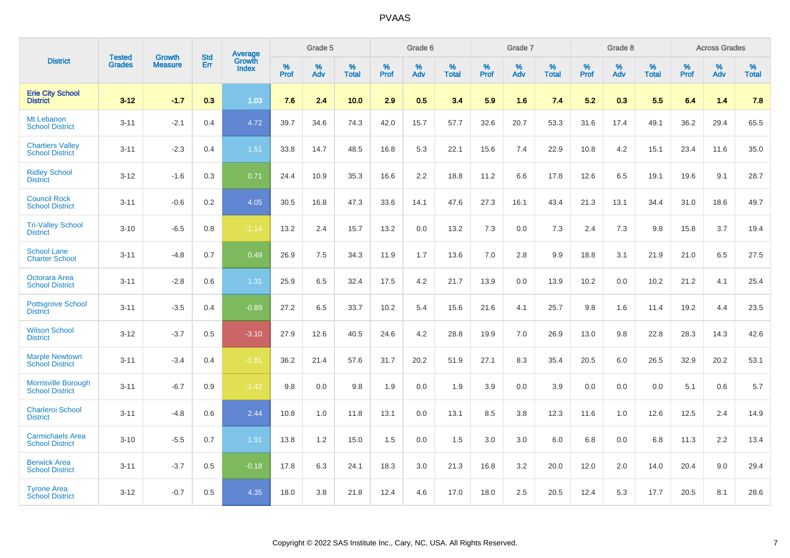|                                                      | <b>Tested</b> | <b>Growth</b>  | <b>Std</b> |                                          |              | Grade 5  |                      |              | Grade 6  |                   |              | Grade 7  |                   |              | Grade 8  |                      |              | <b>Across Grades</b> |                      |
|------------------------------------------------------|---------------|----------------|------------|------------------------------------------|--------------|----------|----------------------|--------------|----------|-------------------|--------------|----------|-------------------|--------------|----------|----------------------|--------------|----------------------|----------------------|
| <b>District</b>                                      | <b>Grades</b> | <b>Measure</b> | Err        | <b>Average</b><br>Growth<br><b>Index</b> | $\%$<br>Prof | %<br>Adv | $\%$<br><b>Total</b> | $\%$<br>Prof | %<br>Adv | %<br><b>Total</b> | $\%$<br>Prof | %<br>Adv | %<br><b>Total</b> | $\%$<br>Prof | %<br>Adv | $\%$<br><b>Total</b> | $\%$<br>Prof | %<br>Adv             | $\%$<br><b>Total</b> |
| <b>Erie City School</b><br><b>District</b>           | $3 - 12$      | $-1.7$         | 0.3        | 1.03                                     | 7.6          | 2.4      | 10.0                 | 2.9          | 0.5      | 3.4               | 5.9          | 1.6      | 7.4               | 5.2          | 0.3      | 5.5                  | 6.4          | 1.4                  | 7.8                  |
| Mt Lebanon<br><b>School District</b>                 | $3 - 11$      | $-2.1$         | 0.4        | 4.72                                     | 39.7         | 34.6     | 74.3                 | 42.0         | 15.7     | 57.7              | 32.6         | 20.7     | 53.3              | 31.6         | 17.4     | 49.1                 | 36.2         | 29.4                 | 65.5                 |
| <b>Chartiers Valley</b><br><b>School District</b>    | $3 - 11$      | $-2.3$         | 0.4        | 1.51                                     | 33.8         | 14.7     | 48.5                 | 16.8         | 5.3      | 22.1              | 15.6         | 7.4      | 22.9              | 10.8         | 4.2      | 15.1                 | 23.4         | 11.6                 | 35.0                 |
| <b>Ridley School</b><br><b>District</b>              | $3 - 12$      | $-1.6$         | 0.3        | 0.71                                     | 24.4         | 10.9     | 35.3                 | 16.6         | 2.2      | 18.8              | 11.2         | 6.6      | 17.8              | 12.6         | 6.5      | 19.1                 | 19.6         | 9.1                  | 28.7                 |
| <b>Council Rock</b><br><b>School District</b>        | $3 - 11$      | $-0.6$         | 0.2        | 4.05                                     | 30.5         | 16.8     | 47.3                 | 33.6         | 14.1     | 47.6              | 27.3         | 16.1     | 43.4              | 21.3         | 13.1     | 34.4                 | 31.0         | 18.6                 | 49.7                 |
| <b>Tri-Valley School</b><br><b>District</b>          | $3 - 10$      | $-6.5$         | 0.8        | $-1.14$                                  | 13.2         | 2.4      | 15.7                 | 13.2         | 0.0      | 13.2              | 7.3          | 0.0      | 7.3               | 2.4          | 7.3      | 9.8                  | 15.8         | 3.7                  | 19.4                 |
| <b>School Lane</b><br><b>Charter School</b>          | $3 - 11$      | $-4.8$         | 0.7        | 0.49                                     | 26.9         | 7.5      | 34.3                 | 11.9         | 1.7      | 13.6              | 7.0          | 2.8      | 9.9               | 18.8         | 3.1      | 21.9                 | 21.0         | 6.5                  | 27.5                 |
| Octorara Area<br><b>School District</b>              | $3 - 11$      | $-2.8$         | 0.6        | 1.31                                     | 25.9         | 6.5      | 32.4                 | 17.5         | 4.2      | 21.7              | 13.9         | 0.0      | 13.9              | 10.2         | 0.0      | 10.2                 | 21.2         | 4.1                  | 25.4                 |
| <b>Pottsgrove School</b><br><b>District</b>          | $3 - 11$      | $-3.5$         | 0.4        | $-0.89$                                  | 27.2         | 6.5      | 33.7                 | 10.2         | 5.4      | 15.6              | 21.6         | 4.1      | 25.7              | 9.8          | 1.6      | 11.4                 | 19.2         | 4.4                  | 23.5                 |
| <b>Wilson School</b><br><b>District</b>              | $3 - 12$      | $-3.7$         | 0.5        | $-3.10$                                  | 27.9         | 12.6     | 40.5                 | 24.6         | 4.2      | 28.8              | 19.9         | 7.0      | 26.9              | 13.0         | 9.8      | 22.8                 | 28.3         | 14.3                 | 42.6                 |
| <b>Marple Newtown</b><br><b>School District</b>      | $3 - 11$      | $-3.4$         | 0.4        | $-1.81$                                  | 36.2         | 21.4     | 57.6                 | 31.7         | 20.2     | 51.9              | 27.1         | 8.3      | 35.4              | 20.5         | 6.0      | 26.5                 | 32.9         | 20.2                 | 53.1                 |
| <b>Morrisville Borough</b><br><b>School District</b> | $3 - 11$      | $-6.7$         | 0.9        | $-1.42$                                  | 9.8          | 0.0      | 9.8                  | 1.9          | 0.0      | 1.9               | 3.9          | 0.0      | 3.9               | 0.0          | 0.0      | 0.0                  | 5.1          | 0.6                  | $5.7\,$              |
| <b>Charleroi School</b><br><b>District</b>           | $3 - 11$      | $-4.8$         | 0.6        | 2.44                                     | 10.8         | 1.0      | 11.8                 | 13.1         | 0.0      | 13.1              | 8.5          | 3.8      | 12.3              | 11.6         | 1.0      | 12.6                 | 12.5         | 2.4                  | 14.9                 |
| <b>Carmichaels Area</b><br><b>School District</b>    | $3 - 10$      | $-5.5$         | 0.7        | 1.91                                     | 13.8         | 1.2      | 15.0                 | 1.5          | 0.0      | 1.5               | 3.0          | 3.0      | 6.0               | 6.8          | 0.0      | 6.8                  | 11.3         | 2.2                  | 13.4                 |
| <b>Berwick Area</b><br><b>School District</b>        | $3 - 11$      | $-3.7$         | 0.5        | $-0.18$                                  | 17.8         | 6.3      | 24.1                 | 18.3         | 3.0      | 21.3              | 16.8         | 3.2      | 20.0              | 12.0         | 2.0      | 14.0                 | 20.4         | 9.0                  | 29.4                 |
| <b>Tyrone Area</b><br><b>School District</b>         | $3 - 12$      | $-0.7$         | 0.5        | 4.35                                     | 18.0         | 3.8      | 21.8                 | 12.4         | 4.6      | 17.0              | 18.0         | 2.5      | 20.5              | 12.4         | 5.3      | 17.7                 | 20.5         | 8.1                  | 28.6                 |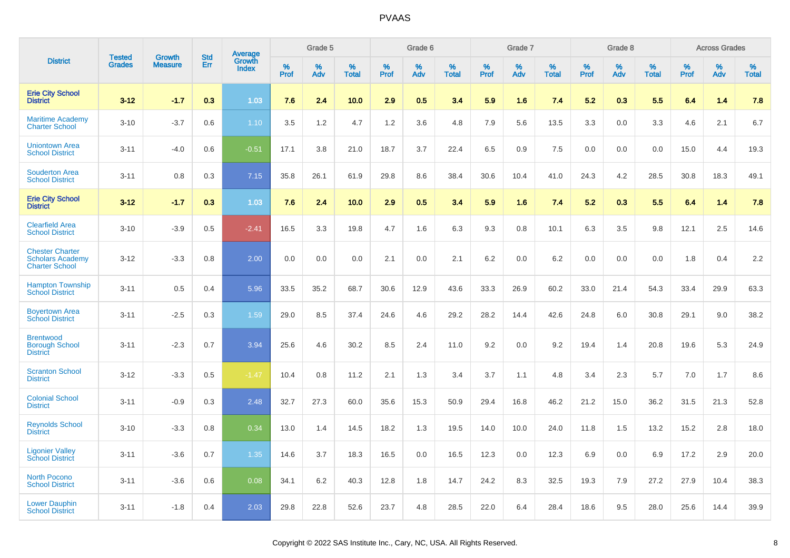|                                                                            | <b>Tested</b> | <b>Growth</b>  | <b>Std</b> | Average                |           | Grade 5  |                   |           | Grade 6  |                   |           | Grade 7  |                   |           | Grade 8  |                   |           | <b>Across Grades</b> |                   |
|----------------------------------------------------------------------------|---------------|----------------|------------|------------------------|-----------|----------|-------------------|-----------|----------|-------------------|-----------|----------|-------------------|-----------|----------|-------------------|-----------|----------------------|-------------------|
| <b>District</b>                                                            | <b>Grades</b> | <b>Measure</b> | Err        | Growth<br><b>Index</b> | %<br>Prof | %<br>Adv | %<br><b>Total</b> | %<br>Prof | %<br>Adv | %<br><b>Total</b> | %<br>Prof | %<br>Adv | %<br><b>Total</b> | %<br>Prof | %<br>Adv | %<br><b>Total</b> | %<br>Prof | %<br>Adv             | %<br><b>Total</b> |
| <b>Erie City School</b><br><b>District</b>                                 | $3 - 12$      | $-1.7$         | 0.3        | 1.03                   | 7.6       | 2.4      | 10.0              | 2.9       | 0.5      | 3.4               | 5.9       | 1.6      | 7.4               | 5.2       | 0.3      | 5.5               | 6.4       | 1.4                  | 7.8               |
| <b>Maritime Academy</b><br><b>Charter School</b>                           | $3 - 10$      | $-3.7$         | 0.6        | 1.10                   | 3.5       | 1.2      | 4.7               | 1.2       | 3.6      | 4.8               | 7.9       | 5.6      | 13.5              | 3.3       | 0.0      | 3.3               | 4.6       | 2.1                  | 6.7               |
| <b>Uniontown Area</b><br><b>School District</b>                            | $3 - 11$      | $-4.0$         | 0.6        | $-0.51$                | 17.1      | 3.8      | 21.0              | 18.7      | 3.7      | 22.4              | 6.5       | 0.9      | 7.5               | 0.0       | 0.0      | 0.0               | 15.0      | 4.4                  | 19.3              |
| <b>Souderton Area</b><br><b>School District</b>                            | $3 - 11$      | 0.8            | 0.3        | 7.15                   | 35.8      | 26.1     | 61.9              | 29.8      | 8.6      | 38.4              | 30.6      | 10.4     | 41.0              | 24.3      | 4.2      | 28.5              | 30.8      | 18.3                 | 49.1              |
| <b>Erie City School</b><br><b>District</b>                                 | $3 - 12$      | $-1.7$         | 0.3        | 1.03                   | 7.6       | 2.4      | 10.0              | 2.9       | 0.5      | 34                | 5.9       | 1.6      | 7.4               | 5.2       | 0.3      | 5.5               | 6.4       | 1.4                  | 7.8               |
| <b>Clearfield Area</b><br><b>School District</b>                           | $3 - 10$      | $-3.9$         | 0.5        | $-2.41$                | 16.5      | 3.3      | 19.8              | 4.7       | 1.6      | 6.3               | 9.3       | 0.8      | 10.1              | 6.3       | 3.5      | 9.8               | 12.1      | 2.5                  | 14.6              |
| <b>Chester Charter</b><br><b>Scholars Academy</b><br><b>Charter School</b> | $3 - 12$      | $-3.3$         | 0.8        | 2.00                   | 0.0       | 0.0      | 0.0               | 2.1       | 0.0      | 2.1               | 6.2       | 0.0      | 6.2               | 0.0       | 0.0      | 0.0               | 1.8       | 0.4                  | 2.2               |
| <b>Hampton Township</b><br><b>School District</b>                          | $3 - 11$      | 0.5            | 0.4        | 5.96                   | 33.5      | 35.2     | 68.7              | 30.6      | 12.9     | 43.6              | 33.3      | 26.9     | 60.2              | 33.0      | 21.4     | 54.3              | 33.4      | 29.9                 | 63.3              |
| <b>Boyertown Area</b><br><b>School District</b>                            | $3 - 11$      | $-2.5$         | 0.3        | 1.59                   | 29.0      | 8.5      | 37.4              | 24.6      | 4.6      | 29.2              | 28.2      | 14.4     | 42.6              | 24.8      | 6.0      | 30.8              | 29.1      | 9.0                  | 38.2              |
| <b>Brentwood</b><br><b>Borough School</b><br><b>District</b>               | $3 - 11$      | $-2.3$         | 0.7        | 3.94                   | 25.6      | 4.6      | 30.2              | 8.5       | 2.4      | 11.0              | 9.2       | 0.0      | 9.2               | 19.4      | 1.4      | 20.8              | 19.6      | 5.3                  | 24.9              |
| <b>Scranton School</b><br><b>District</b>                                  | $3 - 12$      | $-3.3$         | 0.5        | $-1.47$                | 10.4      | 0.8      | 11.2              | 2.1       | 1.3      | 3.4               | 3.7       | 1.1      | 4.8               | 3.4       | 2.3      | 5.7               | 7.0       | 1.7                  | 8.6               |
| <b>Colonial School</b><br><b>District</b>                                  | $3 - 11$      | $-0.9$         | 0.3        | 2.48                   | 32.7      | 27.3     | 60.0              | 35.6      | 15.3     | 50.9              | 29.4      | 16.8     | 46.2              | 21.2      | 15.0     | 36.2              | 31.5      | 21.3                 | 52.8              |
| <b>Reynolds School</b><br><b>District</b>                                  | $3 - 10$      | $-3.3$         | 0.8        | 0.34                   | 13.0      | 1.4      | 14.5              | 18.2      | 1.3      | 19.5              | 14.0      | 10.0     | 24.0              | 11.8      | 1.5      | 13.2              | 15.2      | 2.8                  | 18.0              |
| <b>Ligonier Valley</b><br><b>School District</b>                           | $3 - 11$      | $-3.6$         | 0.7        | 1.35                   | 14.6      | 3.7      | 18.3              | 16.5      | 0.0      | 16.5              | 12.3      | 0.0      | 12.3              | 6.9       | 0.0      | 6.9               | 17.2      | 2.9                  | 20.0              |
| <b>North Pocono</b><br><b>School District</b>                              | $3 - 11$      | $-3.6$         | 0.6        | 0.08                   | 34.1      | 6.2      | 40.3              | 12.8      | 1.8      | 14.7              | 24.2      | 8.3      | 32.5              | 19.3      | 7.9      | 27.2              | 27.9      | 10.4                 | 38.3              |
| <b>Lower Dauphin</b><br><b>School District</b>                             | $3 - 11$      | $-1.8$         | 0.4        | 2.03                   | 29.8      | 22.8     | 52.6              | 23.7      | 4.8      | 28.5              | 22.0      | 6.4      | 28.4              | 18.6      | 9.5      | 28.0              | 25.6      | 14.4                 | 39.9              |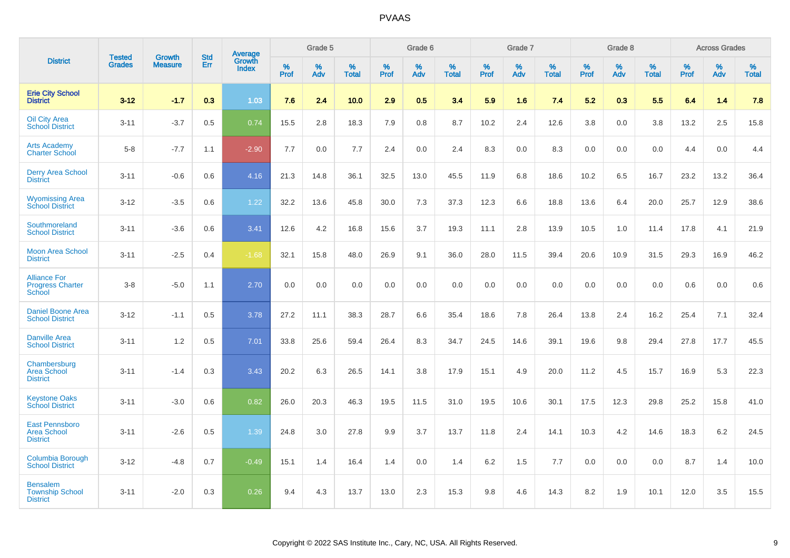|                                                                |                                |                                 | <b>Std</b> | <b>Average</b>         |                  | Grade 5  |                   |           | Grade 6  |                   |                  | Grade 7  |                   |           | Grade 8  |                   |           | <b>Across Grades</b> |                      |
|----------------------------------------------------------------|--------------------------------|---------------------------------|------------|------------------------|------------------|----------|-------------------|-----------|----------|-------------------|------------------|----------|-------------------|-----------|----------|-------------------|-----------|----------------------|----------------------|
| <b>District</b>                                                | <b>Tested</b><br><b>Grades</b> | <b>Growth</b><br><b>Measure</b> | Err        | Growth<br><b>Index</b> | %<br><b>Prof</b> | %<br>Adv | %<br><b>Total</b> | %<br>Prof | %<br>Adv | %<br><b>Total</b> | %<br><b>Prof</b> | %<br>Adv | %<br><b>Total</b> | %<br>Prof | %<br>Adv | %<br><b>Total</b> | %<br>Prof | %<br>Adv             | $\%$<br><b>Total</b> |
| <b>Erie City School</b><br><b>District</b>                     | $3 - 12$                       | $-1.7$                          | 0.3        | 1.03                   | 7.6              | 2.4      | 10.0              | 2.9       | 0.5      | 3.4               | 5.9              | 1.6      | 7.4               | 5.2       | 0.3      | 5.5               | 6.4       | 1.4                  | 7.8                  |
| <b>Oil City Area</b><br><b>School District</b>                 | $3 - 11$                       | $-3.7$                          | 0.5        | 0.74                   | 15.5             | 2.8      | 18.3              | 7.9       | 0.8      | 8.7               | 10.2             | 2.4      | 12.6              | 3.8       | 0.0      | 3.8               | 13.2      | 2.5                  | 15.8                 |
| <b>Arts Academy</b><br><b>Charter School</b>                   | $5-8$                          | $-7.7$                          | 1.1        | $-2.90$                | 7.7              | 0.0      | 7.7               | 2.4       | 0.0      | 2.4               | 8.3              | 0.0      | 8.3               | 0.0       | 0.0      | 0.0               | 4.4       | 0.0                  | 4.4                  |
| <b>Derry Area School</b><br><b>District</b>                    | $3 - 11$                       | $-0.6$                          | 0.6        | 4.16                   | 21.3             | 14.8     | 36.1              | 32.5      | 13.0     | 45.5              | 11.9             | 6.8      | 18.6              | 10.2      | 6.5      | 16.7              | 23.2      | 13.2                 | 36.4                 |
| <b>Wyomissing Area</b><br><b>School District</b>               | $3 - 12$                       | $-3.5$                          | 0.6        | 1.22                   | 32.2             | 13.6     | 45.8              | 30.0      | 7.3      | 37.3              | 12.3             | 6.6      | 18.8              | 13.6      | 6.4      | 20.0              | 25.7      | 12.9                 | 38.6                 |
| Southmoreland<br><b>School District</b>                        | $3 - 11$                       | $-3.6$                          | 0.6        | 3.41                   | 12.6             | 4.2      | 16.8              | 15.6      | 3.7      | 19.3              | 11.1             | 2.8      | 13.9              | 10.5      | 1.0      | 11.4              | 17.8      | 4.1                  | 21.9                 |
| <b>Moon Area School</b><br><b>District</b>                     | $3 - 11$                       | $-2.5$                          | 0.4        | $-1.68$                | 32.1             | 15.8     | 48.0              | 26.9      | 9.1      | 36.0              | 28.0             | 11.5     | 39.4              | 20.6      | 10.9     | 31.5              | 29.3      | 16.9                 | 46.2                 |
| <b>Alliance For</b><br><b>Progress Charter</b><br>School       | $3 - 8$                        | $-5.0$                          | 1.1        | 2.70                   | 0.0              | 0.0      | 0.0               | 0.0       | 0.0      | 0.0               | 0.0              | 0.0      | 0.0               | 0.0       | 0.0      | 0.0               | 0.6       | 0.0                  | 0.6                  |
| <b>Daniel Boone Area</b><br><b>School District</b>             | $3 - 12$                       | $-1.1$                          | 0.5        | 3.78                   | 27.2             | 11.1     | 38.3              | 28.7      | 6.6      | 35.4              | 18.6             | 7.8      | 26.4              | 13.8      | 2.4      | 16.2              | 25.4      | 7.1                  | 32.4                 |
| <b>Danville Area</b><br><b>School District</b>                 | $3 - 11$                       | 1.2                             | 0.5        | 7.01                   | 33.8             | 25.6     | 59.4              | 26.4      | 8.3      | 34.7              | 24.5             | 14.6     | 39.1              | 19.6      | 9.8      | 29.4              | 27.8      | 17.7                 | 45.5                 |
| Chambersburg<br><b>Area School</b><br><b>District</b>          | $3 - 11$                       | $-1.4$                          | 0.3        | 3.43                   | 20.2             | 6.3      | 26.5              | 14.1      | 3.8      | 17.9              | 15.1             | 4.9      | 20.0              | 11.2      | 4.5      | 15.7              | 16.9      | 5.3                  | 22.3                 |
| <b>Keystone Oaks</b><br><b>School District</b>                 | $3 - 11$                       | $-3.0$                          | 0.6        | 0.82                   | 26.0             | 20.3     | 46.3              | 19.5      | 11.5     | 31.0              | 19.5             | 10.6     | 30.1              | 17.5      | 12.3     | 29.8              | 25.2      | 15.8                 | 41.0                 |
| <b>East Pennsboro</b><br><b>Area School</b><br><b>District</b> | $3 - 11$                       | $-2.6$                          | 0.5        | 1.39                   | 24.8             | 3.0      | 27.8              | 9.9       | 3.7      | 13.7              | 11.8             | 2.4      | 14.1              | 10.3      | 4.2      | 14.6              | 18.3      | 6.2                  | 24.5                 |
| Columbia Borough<br><b>School District</b>                     | $3 - 12$                       | $-4.8$                          | 0.7        | $-0.49$                | 15.1             | 1.4      | 16.4              | 1.4       | 0.0      | 1.4               | 6.2              | 1.5      | 7.7               | 0.0       | 0.0      | 0.0               | 8.7       | 1.4                  | 10.0                 |
| <b>Bensalem</b><br><b>Township School</b><br><b>District</b>   | $3 - 11$                       | $-2.0$                          | 0.3        | 0.26                   | 9.4              | 4.3      | 13.7              | 13.0      | 2.3      | 15.3              | 9.8              | 4.6      | 14.3              | 8.2       | 1.9      | 10.1              | 12.0      | 3.5                  | 15.5                 |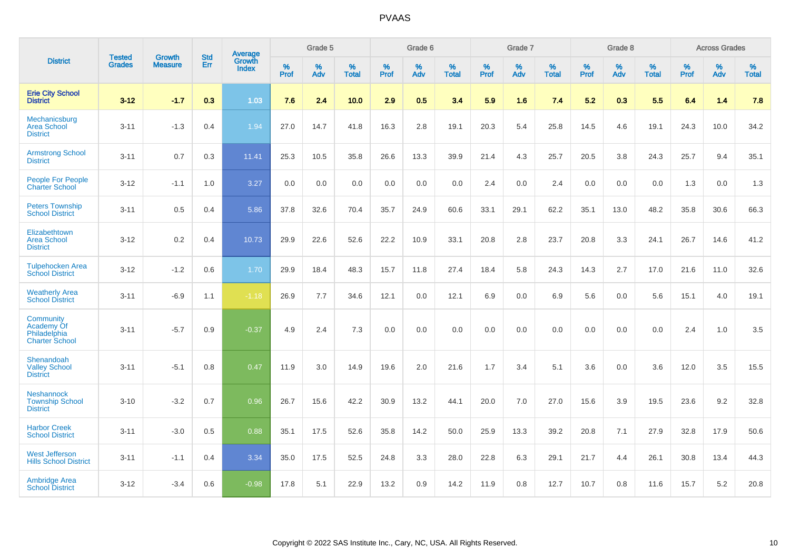|                                                                  | <b>Tested</b> |                                 | <b>Std</b> | Average                       |              | Grade 5  |                   |           | Grade 6  |                   |           | Grade 7  |                   |           | Grade 8  |                   |           | <b>Across Grades</b> |                   |
|------------------------------------------------------------------|---------------|---------------------------------|------------|-------------------------------|--------------|----------|-------------------|-----------|----------|-------------------|-----------|----------|-------------------|-----------|----------|-------------------|-----------|----------------------|-------------------|
| <b>District</b>                                                  | <b>Grades</b> | <b>Growth</b><br><b>Measure</b> | <b>Err</b> | <b>Growth</b><br><b>Index</b> | $\%$<br>Prof | %<br>Adv | %<br><b>Total</b> | %<br>Prof | %<br>Adv | %<br><b>Total</b> | %<br>Prof | %<br>Adv | %<br><b>Total</b> | %<br>Prof | %<br>Adv | %<br><b>Total</b> | %<br>Prof | %<br>Adv             | %<br><b>Total</b> |
| <b>Erie City School</b><br><b>District</b>                       | $3 - 12$      | $-1.7$                          | 0.3        | 1.03                          | 7.6          | 2.4      | 10.0              | 2.9       | 0.5      | 3.4               | 5.9       | 1.6      | 7.4               | 5.2       | 0.3      | 5.5               | 6.4       | 1.4                  | 7.8               |
| Mechanicsburg<br><b>Area School</b><br><b>District</b>           | $3 - 11$      | $-1.3$                          | 0.4        | 1.94                          | 27.0         | 14.7     | 41.8              | 16.3      | 2.8      | 19.1              | 20.3      | 5.4      | 25.8              | 14.5      | 4.6      | 19.1              | 24.3      | 10.0                 | 34.2              |
| <b>Armstrong School</b><br><b>District</b>                       | $3 - 11$      | 0.7                             | 0.3        | 11.41                         | 25.3         | 10.5     | 35.8              | 26.6      | 13.3     | 39.9              | 21.4      | 4.3      | 25.7              | 20.5      | 3.8      | 24.3              | 25.7      | 9.4                  | 35.1              |
| <b>People For People</b><br><b>Charter School</b>                | $3 - 12$      | $-1.1$                          | 1.0        | 3.27                          | 0.0          | 0.0      | 0.0               | 0.0       | 0.0      | 0.0               | 2.4       | 0.0      | 2.4               | 0.0       | 0.0      | 0.0               | 1.3       | 0.0                  | 1.3               |
| <b>Peters Township</b><br><b>School District</b>                 | $3 - 11$      | 0.5                             | 0.4        | 5.86                          | 37.8         | 32.6     | 70.4              | 35.7      | 24.9     | 60.6              | 33.1      | 29.1     | 62.2              | 35.1      | 13.0     | 48.2              | 35.8      | 30.6                 | 66.3              |
| Elizabethtown<br><b>Area School</b><br><b>District</b>           | $3 - 12$      | 0.2                             | 0.4        | 10.73                         | 29.9         | 22.6     | 52.6              | 22.2      | 10.9     | 33.1              | 20.8      | 2.8      | 23.7              | 20.8      | 3.3      | 24.1              | 26.7      | 14.6                 | 41.2              |
| <b>Tulpehocken Area</b><br><b>School District</b>                | $3 - 12$      | $-1.2$                          | 0.6        | 1.70                          | 29.9         | 18.4     | 48.3              | 15.7      | 11.8     | 27.4              | 18.4      | 5.8      | 24.3              | 14.3      | 2.7      | 17.0              | 21.6      | 11.0                 | 32.6              |
| <b>Weatherly Area</b><br><b>School District</b>                  | $3 - 11$      | $-6.9$                          | 1.1        | $-1.18$                       | 26.9         | 7.7      | 34.6              | 12.1      | 0.0      | 12.1              | 6.9       | $0.0\,$  | 6.9               | 5.6       | $0.0\,$  | 5.6               | 15.1      | 4.0                  | 19.1              |
| Community<br>Academy Of<br>Philadelphia<br><b>Charter School</b> | $3 - 11$      | $-5.7$                          | 0.9        | $-0.37$                       | 4.9          | 2.4      | 7.3               | 0.0       | 0.0      | 0.0               | 0.0       | 0.0      | 0.0               | 0.0       | 0.0      | 0.0               | 2.4       | 1.0                  | 3.5               |
| Shenandoah<br><b>Valley School</b><br><b>District</b>            | $3 - 11$      | $-5.1$                          | 0.8        | 0.47                          | 11.9         | 3.0      | 14.9              | 19.6      | 2.0      | 21.6              | 1.7       | 3.4      | 5.1               | 3.6       | 0.0      | 3.6               | 12.0      | 3.5                  | 15.5              |
| <b>Neshannock</b><br><b>Township School</b><br><b>District</b>   | $3 - 10$      | $-3.2$                          | 0.7        | 0.96                          | 26.7         | 15.6     | 42.2              | 30.9      | 13.2     | 44.1              | 20.0      | 7.0      | 27.0              | 15.6      | 3.9      | 19.5              | 23.6      | 9.2                  | 32.8              |
| <b>Harbor Creek</b><br><b>School District</b>                    | $3 - 11$      | $-3.0$                          | 0.5        | 0.88                          | 35.1         | 17.5     | 52.6              | 35.8      | 14.2     | 50.0              | 25.9      | 13.3     | 39.2              | 20.8      | 7.1      | 27.9              | 32.8      | 17.9                 | 50.6              |
| <b>West Jefferson</b><br><b>Hills School District</b>            | $3 - 11$      | $-1.1$                          | 0.4        | 3.34                          | 35.0         | 17.5     | 52.5              | 24.8      | 3.3      | 28.0              | 22.8      | 6.3      | 29.1              | 21.7      | 4.4      | 26.1              | 30.8      | 13.4                 | 44.3              |
| <b>Ambridge Area</b><br><b>School District</b>                   | $3 - 12$      | $-3.4$                          | 0.6        | $-0.98$                       | 17.8         | 5.1      | 22.9              | 13.2      | 0.9      | 14.2              | 11.9      | 0.8      | 12.7              | 10.7      | 0.8      | 11.6              | 15.7      | 5.2                  | 20.8              |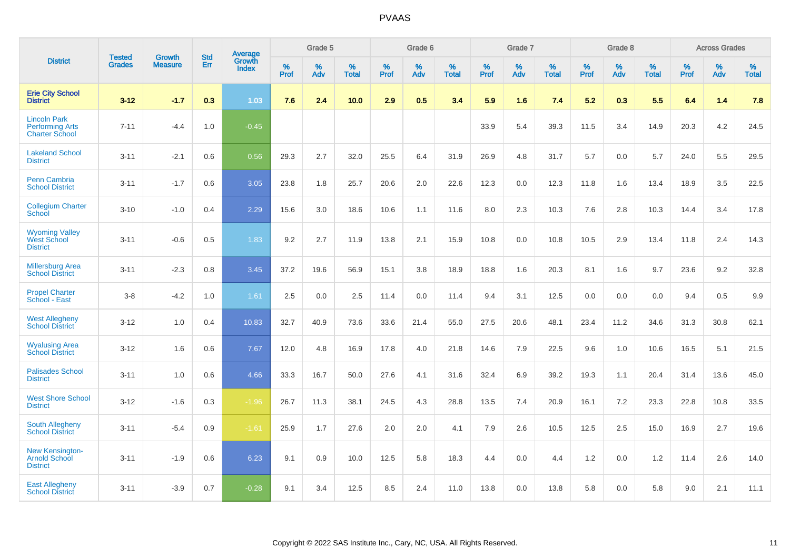|                                                                        | <b>Tested</b> | <b>Growth</b>  | <b>Std</b> | Average                       |              | Grade 5  |                   |           | Grade 6  |                   |           | Grade 7  |                   |           | Grade 8  |                   |           | <b>Across Grades</b> |                   |
|------------------------------------------------------------------------|---------------|----------------|------------|-------------------------------|--------------|----------|-------------------|-----------|----------|-------------------|-----------|----------|-------------------|-----------|----------|-------------------|-----------|----------------------|-------------------|
| <b>District</b>                                                        | <b>Grades</b> | <b>Measure</b> | Err        | <b>Growth</b><br><b>Index</b> | $\%$<br>Prof | %<br>Adv | %<br><b>Total</b> | %<br>Prof | %<br>Adv | %<br><b>Total</b> | %<br>Prof | %<br>Adv | %<br><b>Total</b> | %<br>Prof | %<br>Adv | %<br><b>Total</b> | %<br>Prof | %<br>Adv             | %<br><b>Total</b> |
| <b>Erie City School</b><br><b>District</b>                             | $3 - 12$      | $-1.7$         | 0.3        | 1.03                          | 7.6          | 2.4      | 10.0              | 2.9       | 0.5      | 3.4               | 5.9       | 1.6      | 7.4               | 5.2       | 0.3      | 5.5               | 6.4       | 1.4                  | 7.8               |
| <b>Lincoln Park</b><br><b>Performing Arts</b><br><b>Charter School</b> | $7 - 11$      | $-4.4$         | 1.0        | $-0.45$                       |              |          |                   |           |          |                   | 33.9      | 5.4      | 39.3              | 11.5      | 3.4      | 14.9              | 20.3      | 4.2                  | 24.5              |
| <b>Lakeland School</b><br><b>District</b>                              | $3 - 11$      | $-2.1$         | 0.6        | 0.56                          | 29.3         | 2.7      | 32.0              | 25.5      | 6.4      | 31.9              | 26.9      | 4.8      | 31.7              | 5.7       | 0.0      | 5.7               | 24.0      | 5.5                  | 29.5              |
| <b>Penn Cambria</b><br><b>School District</b>                          | $3 - 11$      | $-1.7$         | 0.6        | 3.05                          | 23.8         | 1.8      | 25.7              | 20.6      | 2.0      | 22.6              | 12.3      | 0.0      | 12.3              | 11.8      | 1.6      | 13.4              | 18.9      | 3.5                  | 22.5              |
| <b>Collegium Charter</b><br>School                                     | $3 - 10$      | $-1.0$         | 0.4        | 2.29                          | 15.6         | 3.0      | 18.6              | 10.6      | 1.1      | 11.6              | 8.0       | 2.3      | 10.3              | 7.6       | 2.8      | 10.3              | 14.4      | 3.4                  | 17.8              |
| <b>Wyoming Valley</b><br>West School<br><b>District</b>                | $3 - 11$      | $-0.6$         | 0.5        | 1.83                          | 9.2          | 2.7      | 11.9              | 13.8      | 2.1      | 15.9              | 10.8      | 0.0      | 10.8              | 10.5      | 2.9      | 13.4              | 11.8      | 2.4                  | 14.3              |
| <b>Millersburg Area</b><br><b>School District</b>                      | $3 - 11$      | $-2.3$         | 0.8        | 3.45                          | 37.2         | 19.6     | 56.9              | 15.1      | 3.8      | 18.9              | 18.8      | 1.6      | 20.3              | 8.1       | 1.6      | 9.7               | 23.6      | 9.2                  | 32.8              |
| <b>Propel Charter</b><br>School - East                                 | $3 - 8$       | $-4.2$         | 1.0        | 1.61                          | 2.5          | 0.0      | 2.5               | 11.4      | 0.0      | 11.4              | 9.4       | 3.1      | 12.5              | 0.0       | 0.0      | 0.0               | 9.4       | 0.5                  | 9.9               |
| <b>West Allegheny</b><br><b>School District</b>                        | $3 - 12$      | 1.0            | 0.4        | 10.83                         | 32.7         | 40.9     | 73.6              | 33.6      | 21.4     | 55.0              | 27.5      | 20.6     | 48.1              | 23.4      | 11.2     | 34.6              | 31.3      | 30.8                 | 62.1              |
| <b>Wyalusing Area</b><br><b>School District</b>                        | $3 - 12$      | 1.6            | 0.6        | 7.67                          | 12.0         | 4.8      | 16.9              | 17.8      | 4.0      | 21.8              | 14.6      | 7.9      | 22.5              | 9.6       | 1.0      | 10.6              | 16.5      | 5.1                  | 21.5              |
| <b>Palisades School</b><br><b>District</b>                             | $3 - 11$      | 1.0            | 0.6        | 4.66                          | 33.3         | 16.7     | 50.0              | 27.6      | 4.1      | 31.6              | 32.4      | 6.9      | 39.2              | 19.3      | 1.1      | 20.4              | 31.4      | 13.6                 | 45.0              |
| <b>West Shore School</b><br><b>District</b>                            | $3 - 12$      | $-1.6$         | 0.3        | $-1.96$                       | 26.7         | 11.3     | 38.1              | 24.5      | 4.3      | 28.8              | 13.5      | 7.4      | 20.9              | 16.1      | 7.2      | 23.3              | 22.8      | 10.8                 | 33.5              |
| <b>South Allegheny</b><br><b>School District</b>                       | $3 - 11$      | $-5.4$         | 0.9        | $-1.61$                       | 25.9         | 1.7      | 27.6              | 2.0       | 2.0      | 4.1               | 7.9       | 2.6      | 10.5              | 12.5      | 2.5      | 15.0              | 16.9      | 2.7                  | 19.6              |
| <b>New Kensington-</b><br><b>Arnold School</b><br><b>District</b>      | $3 - 11$      | $-1.9$         | 0.6        | 6.23                          | 9.1          | 0.9      | 10.0              | 12.5      | 5.8      | 18.3              | 4.4       | $0.0\,$  | 4.4               | 1.2       | 0.0      | 1.2               | 11.4      | 2.6                  | 14.0              |
| <b>East Allegheny</b><br><b>School District</b>                        | $3 - 11$      | $-3.9$         | 0.7        | $-0.28$                       | 9.1          | 3.4      | 12.5              | 8.5       | 2.4      | 11.0              | 13.8      | 0.0      | 13.8              | 5.8       | 0.0      | 5.8               | 9.0       | 2.1                  | 11.1              |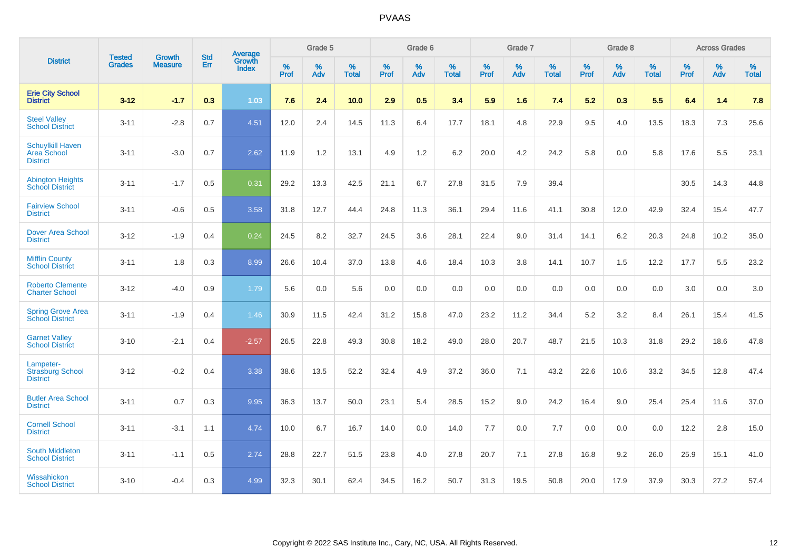|                                                                  | <b>Tested</b> | <b>Growth</b>  | <b>Std</b> | Average                |           | Grade 5  |                   |                  | Grade 6  |                   |           | Grade 7  |                   |           | Grade 8  |                   |           | <b>Across Grades</b> |                   |
|------------------------------------------------------------------|---------------|----------------|------------|------------------------|-----------|----------|-------------------|------------------|----------|-------------------|-----------|----------|-------------------|-----------|----------|-------------------|-----------|----------------------|-------------------|
| <b>District</b>                                                  | <b>Grades</b> | <b>Measure</b> | Err        | Growth<br><b>Index</b> | %<br>Prof | %<br>Adv | %<br><b>Total</b> | %<br><b>Prof</b> | %<br>Adv | %<br><b>Total</b> | %<br>Prof | %<br>Adv | %<br><b>Total</b> | %<br>Prof | %<br>Adv | %<br><b>Total</b> | %<br>Prof | %<br>Adv             | %<br><b>Total</b> |
| <b>Erie City School</b><br><b>District</b>                       | $3 - 12$      | $-1.7$         | 0.3        | 1.03                   | 7.6       | 2.4      | 10.0              | 2.9              | 0.5      | 3.4               | 5.9       | 1.6      | 7.4               | 5.2       | 0.3      | 5.5               | 6.4       | 1.4                  | 7.8               |
| <b>Steel Valley</b><br><b>School District</b>                    | $3 - 11$      | $-2.8$         | 0.7        | 4.51                   | 12.0      | 2.4      | 14.5              | 11.3             | 6.4      | 17.7              | 18.1      | 4.8      | 22.9              | 9.5       | 4.0      | 13.5              | 18.3      | 7.3                  | 25.6              |
| <b>Schuylkill Haven</b><br><b>Area School</b><br><b>District</b> | $3 - 11$      | $-3.0$         | 0.7        | 2.62                   | 11.9      | 1.2      | 13.1              | 4.9              | 1.2      | 6.2               | 20.0      | 4.2      | 24.2              | 5.8       | 0.0      | 5.8               | 17.6      | 5.5                  | 23.1              |
| <b>Abington Heights</b><br><b>School District</b>                | $3 - 11$      | $-1.7$         | 0.5        | 0.31                   | 29.2      | 13.3     | 42.5              | 21.1             | 6.7      | 27.8              | 31.5      | 7.9      | 39.4              |           |          |                   | 30.5      | 14.3                 | 44.8              |
| <b>Fairview School</b><br><b>District</b>                        | $3 - 11$      | $-0.6$         | 0.5        | 3.58                   | 31.8      | 12.7     | 44.4              | 24.8             | 11.3     | 36.1              | 29.4      | 11.6     | 41.1              | 30.8      | 12.0     | 42.9              | 32.4      | 15.4                 | 47.7              |
| <b>Dover Area School</b><br><b>District</b>                      | $3 - 12$      | $-1.9$         | 0.4        | 0.24                   | 24.5      | 8.2      | 32.7              | 24.5             | 3.6      | 28.1              | 22.4      | 9.0      | 31.4              | 14.1      | $6.2\,$  | 20.3              | 24.8      | 10.2                 | 35.0              |
| <b>Mifflin County</b><br><b>School District</b>                  | $3 - 11$      | 1.8            | 0.3        | 8.99                   | 26.6      | 10.4     | 37.0              | 13.8             | 4.6      | 18.4              | 10.3      | 3.8      | 14.1              | 10.7      | 1.5      | 12.2              | 17.7      | 5.5                  | 23.2              |
| <b>Roberto Clemente</b><br><b>Charter School</b>                 | $3 - 12$      | $-4.0$         | 0.9        | 1.79                   | 5.6       | 0.0      | 5.6               | 0.0              | 0.0      | 0.0               | 0.0       | 0.0      | 0.0               | 0.0       | 0.0      | 0.0               | 3.0       | 0.0                  | 3.0               |
| <b>Spring Grove Area</b><br><b>School District</b>               | $3 - 11$      | $-1.9$         | 0.4        | 1.46                   | 30.9      | 11.5     | 42.4              | 31.2             | 15.8     | 47.0              | 23.2      | 11.2     | 34.4              | 5.2       | 3.2      | 8.4               | 26.1      | 15.4                 | 41.5              |
| <b>Garnet Valley</b><br><b>School District</b>                   | $3 - 10$      | $-2.1$         | 0.4        | $-2.57$                | 26.5      | 22.8     | 49.3              | 30.8             | 18.2     | 49.0              | 28.0      | 20.7     | 48.7              | 21.5      | 10.3     | 31.8              | 29.2      | 18.6                 | 47.8              |
| Lampeter-<br><b>Strasburg School</b><br><b>District</b>          | $3 - 12$      | $-0.2$         | 0.4        | 3.38                   | 38.6      | 13.5     | 52.2              | 32.4             | 4.9      | 37.2              | 36.0      | 7.1      | 43.2              | 22.6      | 10.6     | 33.2              | 34.5      | 12.8                 | 47.4              |
| <b>Butler Area School</b><br><b>District</b>                     | $3 - 11$      | 0.7            | 0.3        | 9.95                   | 36.3      | 13.7     | 50.0              | 23.1             | 5.4      | 28.5              | 15.2      | 9.0      | 24.2              | 16.4      | 9.0      | 25.4              | 25.4      | 11.6                 | 37.0              |
| <b>Cornell School</b><br><b>District</b>                         | $3 - 11$      | $-3.1$         | 1.1        | 4.74                   | 10.0      | 6.7      | 16.7              | 14.0             | 0.0      | 14.0              | $7.7$     | 0.0      | 7.7               | 0.0       | 0.0      | 0.0               | 12.2      | $2.8\,$              | 15.0              |
| South Middleton<br><b>School District</b>                        | $3 - 11$      | $-1.1$         | 0.5        | 2.74                   | 28.8      | 22.7     | 51.5              | 23.8             | 4.0      | 27.8              | 20.7      | 7.1      | 27.8              | 16.8      | 9.2      | 26.0              | 25.9      | 15.1                 | 41.0              |
| Wissahickon<br><b>School District</b>                            | $3 - 10$      | $-0.4$         | 0.3        | 4.99                   | 32.3      | 30.1     | 62.4              | 34.5             | 16.2     | 50.7              | 31.3      | 19.5     | 50.8              | 20.0      | 17.9     | 37.9              | 30.3      | 27.2                 | 57.4              |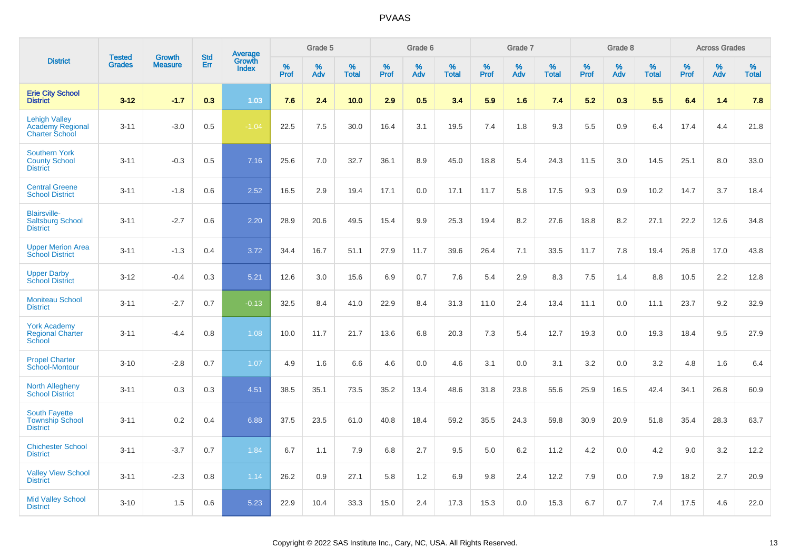|                                                                          | <b>Tested</b> | <b>Growth</b>  | <b>Std</b> | Average                |              | Grade 5  |                   |           | Grade 6  |                   |           | Grade 7  |                   |           | Grade 8  |                   |              | <b>Across Grades</b> |                   |
|--------------------------------------------------------------------------|---------------|----------------|------------|------------------------|--------------|----------|-------------------|-----------|----------|-------------------|-----------|----------|-------------------|-----------|----------|-------------------|--------------|----------------------|-------------------|
| <b>District</b>                                                          | <b>Grades</b> | <b>Measure</b> | Err        | Growth<br><b>Index</b> | $\%$<br>Prof | %<br>Adv | %<br><b>Total</b> | %<br>Prof | %<br>Adv | %<br><b>Total</b> | %<br>Prof | %<br>Adv | %<br><b>Total</b> | %<br>Prof | %<br>Adv | %<br><b>Total</b> | $\%$<br>Prof | %<br>Adv             | %<br><b>Total</b> |
| <b>Erie City School</b><br><b>District</b>                               | $3 - 12$      | $-1.7$         | 0.3        | 1.03                   | 7.6          | 2.4      | 10.0              | 2.9       | 0.5      | 3.4               | 5.9       | 1.6      | 7.4               | 5.2       | 0.3      | 5.5               | 6.4          | 1.4                  | 7.8               |
| <b>Lehigh Valley</b><br><b>Academy Regional</b><br><b>Charter School</b> | $3 - 11$      | $-3.0$         | 0.5        | $-1.04$                | 22.5         | 7.5      | 30.0              | 16.4      | 3.1      | 19.5              | 7.4       | 1.8      | 9.3               | 5.5       | 0.9      | 6.4               | 17.4         | 4.4                  | 21.8              |
| <b>Southern York</b><br><b>County School</b><br><b>District</b>          | $3 - 11$      | $-0.3$         | 0.5        | 7.16                   | 25.6         | 7.0      | 32.7              | 36.1      | 8.9      | 45.0              | 18.8      | 5.4      | 24.3              | 11.5      | 3.0      | 14.5              | 25.1         | 8.0                  | 33.0              |
| <b>Central Greene</b><br><b>School District</b>                          | $3 - 11$      | $-1.8$         | 0.6        | 2.52                   | 16.5         | 2.9      | 19.4              | 17.1      | 0.0      | 17.1              | 11.7      | 5.8      | 17.5              | 9.3       | 0.9      | 10.2              | 14.7         | 3.7                  | 18.4              |
| <b>Blairsville-</b><br><b>Saltsburg School</b><br><b>District</b>        | $3 - 11$      | $-2.7$         | 0.6        | 2.20                   | 28.9         | 20.6     | 49.5              | 15.4      | 9.9      | 25.3              | 19.4      | 8.2      | 27.6              | 18.8      | 8.2      | 27.1              | 22.2         | 12.6                 | 34.8              |
| <b>Upper Merion Area</b><br><b>School District</b>                       | $3 - 11$      | $-1.3$         | 0.4        | 3.72                   | 34.4         | 16.7     | 51.1              | 27.9      | 11.7     | 39.6              | 26.4      | 7.1      | 33.5              | 11.7      | 7.8      | 19.4              | 26.8         | 17.0                 | 43.8              |
| <b>Upper Darby</b><br><b>School District</b>                             | $3 - 12$      | $-0.4$         | 0.3        | 5.21                   | 12.6         | 3.0      | 15.6              | 6.9       | 0.7      | 7.6               | 5.4       | 2.9      | 8.3               | $7.5\,$   | 1.4      | 8.8               | 10.5         | 2.2                  | 12.8              |
| <b>Moniteau School</b><br><b>District</b>                                | $3 - 11$      | $-2.7$         | 0.7        | $-0.13$                | 32.5         | 8.4      | 41.0              | 22.9      | 8.4      | 31.3              | 11.0      | 2.4      | 13.4              | 11.1      | 0.0      | 11.1              | 23.7         | 9.2                  | 32.9              |
| <b>York Academy</b><br><b>Regional Charter</b><br>School                 | $3 - 11$      | $-4.4$         | 0.8        | 1.08                   | 10.0         | 11.7     | 21.7              | 13.6      | 6.8      | 20.3              | 7.3       | 5.4      | 12.7              | 19.3      | 0.0      | 19.3              | 18.4         | 9.5                  | 27.9              |
| <b>Propel Charter</b><br>School-Montour                                  | $3 - 10$      | $-2.8$         | 0.7        | 1.07                   | 4.9          | 1.6      | 6.6               | 4.6       | 0.0      | 4.6               | 3.1       | 0.0      | 3.1               | 3.2       | 0.0      | 3.2               | 4.8          | 1.6                  | 6.4               |
| North Allegheny<br><b>School District</b>                                | $3 - 11$      | 0.3            | 0.3        | 4.51                   | 38.5         | 35.1     | 73.5              | 35.2      | 13.4     | 48.6              | 31.8      | 23.8     | 55.6              | 25.9      | 16.5     | 42.4              | 34.1         | 26.8                 | 60.9              |
| South Fayette<br><b>Township School</b><br><b>District</b>               | $3 - 11$      | 0.2            | 0.4        | 6.88                   | 37.5         | 23.5     | 61.0              | 40.8      | 18.4     | 59.2              | 35.5      | 24.3     | 59.8              | 30.9      | 20.9     | 51.8              | 35.4         | 28.3                 | 63.7              |
| <b>Chichester School</b><br><b>District</b>                              | $3 - 11$      | $-3.7$         | 0.7        | 1.84                   | 6.7          | 1.1      | 7.9               | 6.8       | 2.7      | 9.5               | 5.0       | 6.2      | 11.2              | 4.2       | 0.0      | 4.2               | 9.0          | 3.2                  | 12.2              |
| <b>Valley View School</b><br><b>District</b>                             | $3 - 11$      | $-2.3$         | 0.8        | 1.14                   | 26.2         | 0.9      | 27.1              | 5.8       | 1.2      | 6.9               | 9.8       | 2.4      | 12.2              | 7.9       | 0.0      | 7.9               | 18.2         | 2.7                  | 20.9              |
| <b>Mid Valley School</b><br><b>District</b>                              | $3 - 10$      | 1.5            | 0.6        | 5.23                   | 22.9         | 10.4     | 33.3              | 15.0      | 2.4      | 17.3              | 15.3      | 0.0      | 15.3              | 6.7       | 0.7      | 7.4               | 17.5         | 4.6                  | 22.0              |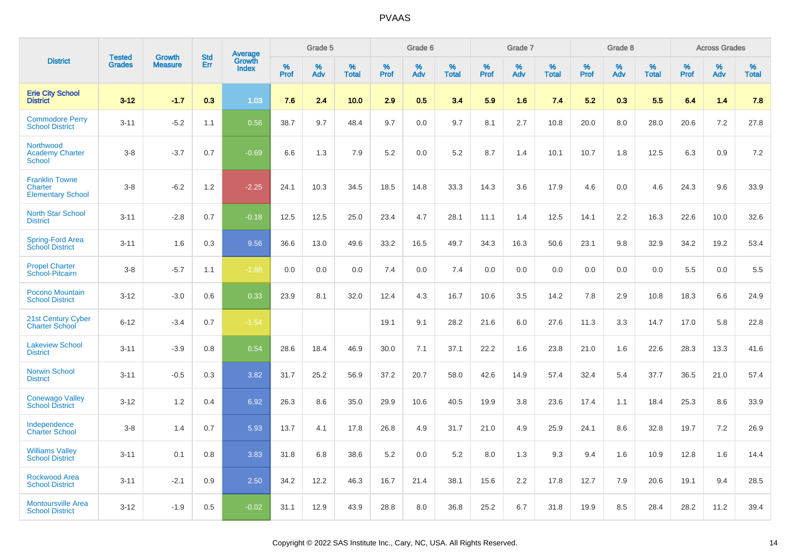|                                                              | <b>Tested</b> | <b>Growth</b>  | <b>Std</b> |                                          |              | Grade 5  |                   |              | Grade 6  |                   |              | Grade 7  |                   |              | Grade 8  |                   |              | <b>Across Grades</b> |                   |
|--------------------------------------------------------------|---------------|----------------|------------|------------------------------------------|--------------|----------|-------------------|--------------|----------|-------------------|--------------|----------|-------------------|--------------|----------|-------------------|--------------|----------------------|-------------------|
| <b>District</b>                                              | <b>Grades</b> | <b>Measure</b> | Err        | <b>Average</b><br>Growth<br><b>Index</b> | $\%$<br>Prof | %<br>Adv | %<br><b>Total</b> | $\%$<br>Prof | %<br>Adv | %<br><b>Total</b> | $\%$<br>Prof | %<br>Adv | %<br><b>Total</b> | $\%$<br>Prof | %<br>Adv | %<br><b>Total</b> | $\%$<br>Prof | %<br>Adv             | %<br><b>Total</b> |
| <b>Erie City School</b><br><b>District</b>                   | $3 - 12$      | $-1.7$         | 0.3        | 1.03                                     | 7.6          | 2.4      | 10.0              | 2.9          | 0.5      | 3.4               | 5.9          | 1.6      | 7.4               | 5.2          | 0.3      | 5.5               | 6.4          | 1.4                  | 7.8               |
| <b>Commodore Perry</b><br><b>School District</b>             | $3 - 11$      | $-5.2$         | 1.1        | 0.56                                     | 38.7         | 9.7      | 48.4              | 9.7          | 0.0      | 9.7               | 8.1          | 2.7      | 10.8              | 20.0         | 8.0      | 28.0              | 20.6         | 7.2                  | 27.8              |
| Northwood<br><b>Academy Charter</b><br><b>School</b>         | $3 - 8$       | $-3.7$         | 0.7        | $-0.69$                                  | 6.6          | 1.3      | 7.9               | 5.2          | 0.0      | 5.2               | 8.7          | 1.4      | 10.1              | 10.7         | 1.8      | 12.5              | 6.3          | 0.9                  | 7.2               |
| <b>Franklin Towne</b><br>Charter<br><b>Elementary School</b> | $3 - 8$       | $-6.2$         | 1.2        | $-2.25$                                  | 24.1         | 10.3     | 34.5              | 18.5         | 14.8     | 33.3              | 14.3         | 3.6      | 17.9              | 4.6          | 0.0      | 4.6               | 24.3         | 9.6                  | 33.9              |
| <b>North Star School</b><br><b>District</b>                  | $3 - 11$      | $-2.8$         | 0.7        | $-0.18$                                  | 12.5         | 12.5     | 25.0              | 23.4         | 4.7      | 28.1              | 11.1         | 1.4      | 12.5              | 14.1         | 2.2      | 16.3              | 22.6         | 10.0                 | 32.6              |
| Spring-Ford Area<br><b>School District</b>                   | $3 - 11$      | 1.6            | 0.3        | 9.56                                     | 36.6         | 13.0     | 49.6              | 33.2         | 16.5     | 49.7              | 34.3         | 16.3     | 50.6              | 23.1         | 9.8      | 32.9              | 34.2         | 19.2                 | 53.4              |
| <b>Propel Charter</b><br>School-Pitcairn                     | $3 - 8$       | $-5.7$         | 1.1        | $-1.88$                                  | 0.0          | 0.0      | 0.0               | 7.4          | 0.0      | 7.4               | 0.0          | 0.0      | 0.0               | 0.0          | 0.0      | 0.0               | 5.5          | 0.0                  | 5.5               |
| Pocono Mountain<br><b>School District</b>                    | $3 - 12$      | $-3.0$         | 0.6        | 0.33                                     | 23.9         | 8.1      | 32.0              | 12.4         | 4.3      | 16.7              | 10.6         | 3.5      | 14.2              | 7.8          | 2.9      | 10.8              | 18.3         | 6.6                  | 24.9              |
| 21st Century Cyber<br><b>Charter School</b>                  | $6 - 12$      | $-3.4$         | 0.7        | $-1.54$                                  |              |          |                   | 19.1         | 9.1      | 28.2              | 21.6         | 6.0      | 27.6              | 11.3         | 3.3      | 14.7              | 17.0         | 5.8                  | 22.8              |
| <b>Lakeview School</b><br><b>District</b>                    | $3 - 11$      | $-3.9$         | 0.8        | 0.54                                     | 28.6         | 18.4     | 46.9              | 30.0         | 7.1      | 37.1              | 22.2         | 1.6      | 23.8              | 21.0         | 1.6      | 22.6              | 28.3         | 13.3                 | 41.6              |
| <b>Norwin School</b><br><b>District</b>                      | $3 - 11$      | $-0.5$         | 0.3        | 3.82                                     | 31.7         | 25.2     | 56.9              | 37.2         | 20.7     | 58.0              | 42.6         | 14.9     | 57.4              | 32.4         | 5.4      | 37.7              | 36.5         | 21.0                 | 57.4              |
| <b>Conewago Valley</b><br><b>School District</b>             | $3 - 12$      | 1.2            | 0.4        | 6.92                                     | 26.3         | 8.6      | 35.0              | 29.9         | 10.6     | 40.5              | 19.9         | 3.8      | 23.6              | 17.4         | 1.1      | 18.4              | 25.3         | 8.6                  | 33.9              |
| Independence<br><b>Charter School</b>                        | $3 - 8$       | 1.4            | 0.7        | 5.93                                     | 13.7         | 4.1      | 17.8              | 26.8         | 4.9      | 31.7              | 21.0         | 4.9      | 25.9              | 24.1         | 8.6      | 32.8              | 19.7         | 7.2                  | 26.9              |
| <b>Williams Valley</b><br><b>School District</b>             | $3 - 11$      | 0.1            | 0.8        | 3.83                                     | 31.8         | 6.8      | 38.6              | 5.2          | 0.0      | 5.2               | 8.0          | 1.3      | 9.3               | 9.4          | 1.6      | 10.9              | 12.8         | 1.6                  | 14.4              |
| <b>Rockwood Area</b><br><b>School District</b>               | $3 - 11$      | $-2.1$         | 0.9        | 2.50                                     | 34.2         | 12.2     | 46.3              | 16.7         | 21.4     | 38.1              | 15.6         | 2.2      | 17.8              | 12.7         | 7.9      | 20.6              | 19.1         | 9.4                  | 28.5              |
| <b>Montoursville Area</b><br><b>School District</b>          | $3 - 12$      | $-1.9$         | 0.5        | $-0.02$                                  | 31.1         | 12.9     | 43.9              | 28.8         | 8.0      | 36.8              | 25.2         | 6.7      | 31.8              | 19.9         | 8.5      | 28.4              | 28.2         | 11.2                 | 39.4              |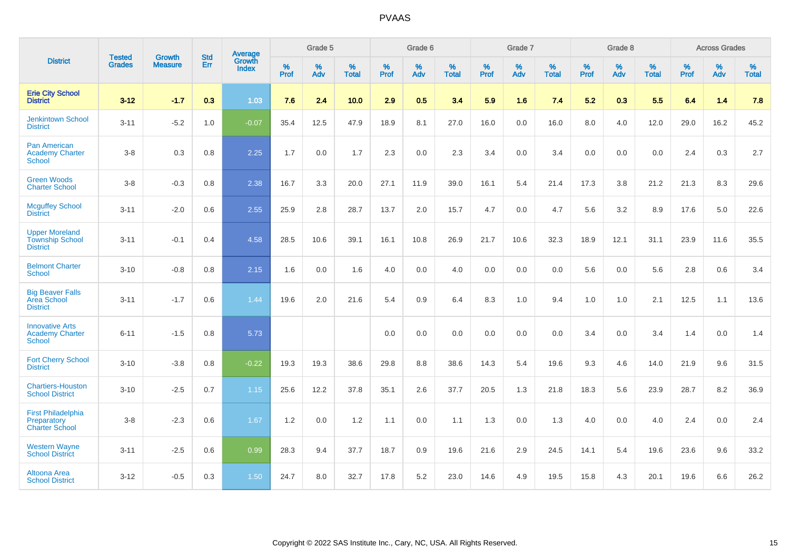|                                                                    | <b>Tested</b> | <b>Growth</b>  | <b>Std</b> | Average                |              | Grade 5  |                      |              | Grade 6  |                      |              | Grade 7  |                      |              | Grade 8  |                      |              | <b>Across Grades</b> |                   |
|--------------------------------------------------------------------|---------------|----------------|------------|------------------------|--------------|----------|----------------------|--------------|----------|----------------------|--------------|----------|----------------------|--------------|----------|----------------------|--------------|----------------------|-------------------|
| <b>District</b>                                                    | <b>Grades</b> | <b>Measure</b> | <b>Err</b> | Growth<br><b>Index</b> | $\%$<br>Prof | %<br>Adv | $\%$<br><b>Total</b> | $\%$<br>Prof | %<br>Adv | $\%$<br><b>Total</b> | $\%$<br>Prof | %<br>Adv | $\%$<br><b>Total</b> | $\%$<br>Prof | %<br>Adv | $\%$<br><b>Total</b> | $\%$<br>Prof | %<br>Adv             | %<br><b>Total</b> |
| <b>Erie City School</b><br><b>District</b>                         | $3 - 12$      | $-1.7$         | 0.3        | 1.03                   | 7.6          | 2.4      | 10.0                 | 2.9          | 0.5      | 3.4                  | 5.9          | 1.6      | 7.4                  | 5.2          | 0.3      | 5.5                  | 6.4          | 1.4                  | 7.8               |
| <b>Jenkintown School</b><br><b>District</b>                        | $3 - 11$      | $-5.2$         | 1.0        | $-0.07$                | 35.4         | 12.5     | 47.9                 | 18.9         | 8.1      | 27.0                 | 16.0         | 0.0      | 16.0                 | 8.0          | 4.0      | 12.0                 | 29.0         | 16.2                 | 45.2              |
| <b>Pan American</b><br><b>Academy Charter</b><br>School            | $3 - 8$       | 0.3            | 0.8        | 2.25                   | 1.7          | 0.0      | 1.7                  | 2.3          | 0.0      | 2.3                  | 3.4          | 0.0      | 3.4                  | 0.0          | 0.0      | 0.0                  | 2.4          | 0.3                  | 2.7               |
| <b>Green Woods</b><br><b>Charter School</b>                        | $3 - 8$       | $-0.3$         | 0.8        | 2.38                   | 16.7         | 3.3      | 20.0                 | 27.1         | 11.9     | 39.0                 | 16.1         | 5.4      | 21.4                 | 17.3         | 3.8      | 21.2                 | 21.3         | 8.3                  | 29.6              |
| <b>Mcguffey School</b><br><b>District</b>                          | $3 - 11$      | $-2.0$         | 0.6        | 2.55                   | 25.9         | 2.8      | 28.7                 | 13.7         | 2.0      | 15.7                 | 4.7          | 0.0      | 4.7                  | 5.6          | 3.2      | 8.9                  | 17.6         | 5.0                  | 22.6              |
| <b>Upper Moreland</b><br><b>Township School</b><br><b>District</b> | $3 - 11$      | $-0.1$         | 0.4        | 4.58                   | 28.5         | 10.6     | 39.1                 | 16.1         | 10.8     | 26.9                 | 21.7         | 10.6     | 32.3                 | 18.9         | 12.1     | 31.1                 | 23.9         | 11.6                 | 35.5              |
| <b>Belmont Charter</b><br><b>School</b>                            | $3 - 10$      | $-0.8$         | 0.8        | 2.15                   | 1.6          | 0.0      | 1.6                  | 4.0          | 0.0      | 4.0                  | 0.0          | 0.0      | 0.0                  | 5.6          | 0.0      | 5.6                  | 2.8          | 0.6                  | 3.4               |
| <b>Big Beaver Falls</b><br>Area School<br><b>District</b>          | $3 - 11$      | $-1.7$         | 0.6        | 1.44                   | 19.6         | 2.0      | 21.6                 | 5.4          | 0.9      | 6.4                  | 8.3          | 1.0      | 9.4                  | 1.0          | 1.0      | 2.1                  | 12.5         | 1.1                  | 13.6              |
| <b>Innovative Arts</b><br><b>Academy Charter</b><br>School         | $6 - 11$      | $-1.5$         | 0.8        | 5.73                   |              |          |                      | 0.0          | 0.0      | 0.0                  | 0.0          | 0.0      | 0.0                  | 3.4          | 0.0      | 3.4                  | 1.4          | 0.0                  | 1.4               |
| <b>Fort Cherry School</b><br><b>District</b>                       | $3 - 10$      | $-3.8$         | 0.8        | $-0.22$                | 19.3         | 19.3     | 38.6                 | 29.8         | 8.8      | 38.6                 | 14.3         | 5.4      | 19.6                 | 9.3          | 4.6      | 14.0                 | 21.9         | 9.6                  | 31.5              |
| <b>Chartiers-Houston</b><br><b>School District</b>                 | $3 - 10$      | $-2.5$         | 0.7        | 1.15                   | 25.6         | 12.2     | 37.8                 | 35.1         | 2.6      | 37.7                 | 20.5         | 1.3      | 21.8                 | 18.3         | 5.6      | 23.9                 | 28.7         | 8.2                  | 36.9              |
| <b>First Philadelphia</b><br>Preparatory<br><b>Charter School</b>  | $3 - 8$       | $-2.3$         | 0.6        | 1.67                   | 1.2          | 0.0      | 1.2                  | 1.1          | 0.0      | 1.1                  | 1.3          | 0.0      | 1.3                  | 4.0          | 0.0      | 4.0                  | 2.4          | 0.0                  | 2.4               |
| <b>Western Wayne</b><br><b>School District</b>                     | $3 - 11$      | $-2.5$         | 0.6        | 0.99                   | 28.3         | 9.4      | 37.7                 | 18.7         | 0.9      | 19.6                 | 21.6         | 2.9      | 24.5                 | 14.1         | 5.4      | 19.6                 | 23.6         | 9.6                  | 33.2              |
| Altoona Area<br><b>School District</b>                             | $3 - 12$      | $-0.5$         | 0.3        | 1.50                   | 24.7         | 8.0      | 32.7                 | 17.8         | 5.2      | 23.0                 | 14.6         | 4.9      | 19.5                 | 15.8         | 4.3      | 20.1                 | 19.6         | 6.6                  | 26.2              |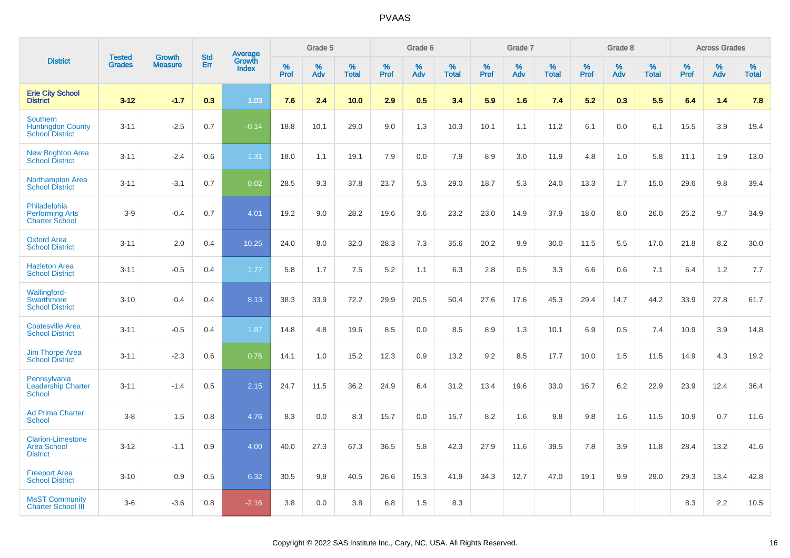|                                                                   | <b>Tested</b> | <b>Growth</b>  | <b>Std</b> | Average                |              | Grade 5  |                   |              | Grade 6  |                   |              | Grade 7  |                   |           | Grade 8  |                   |              | <b>Across Grades</b> |                   |
|-------------------------------------------------------------------|---------------|----------------|------------|------------------------|--------------|----------|-------------------|--------------|----------|-------------------|--------------|----------|-------------------|-----------|----------|-------------------|--------------|----------------------|-------------------|
| <b>District</b>                                                   | <b>Grades</b> | <b>Measure</b> | Err        | Growth<br><b>Index</b> | $\%$<br>Prof | %<br>Adv | %<br><b>Total</b> | $\%$<br>Prof | %<br>Adv | %<br><b>Total</b> | $\%$<br>Prof | %<br>Adv | %<br><b>Total</b> | %<br>Prof | %<br>Adv | %<br><b>Total</b> | $\%$<br>Prof | $\%$<br>Adv          | %<br><b>Total</b> |
| <b>Erie City School</b><br><b>District</b>                        | $3 - 12$      | $-1.7$         | 0.3        | 1.03                   | 7.6          | 2.4      | 10.0              | 2.9          | 0.5      | 3.4               | 5.9          | 1.6      | 7.4               | 5.2       | 0.3      | 5.5               | 6.4          | 1.4                  | 7.8               |
| Southern<br><b>Huntingdon County</b><br><b>School District</b>    | $3 - 11$      | $-2.5$         | 0.7        | $-0.14$                | 18.8         | 10.1     | 29.0              | 9.0          | 1.3      | 10.3              | 10.1         | 1.1      | 11.2              | 6.1       | 0.0      | 6.1               | 15.5         | 3.9                  | 19.4              |
| <b>New Brighton Area</b><br><b>School District</b>                | $3 - 11$      | $-2.4$         | 0.6        | 1.31                   | 18.0         | 1.1      | 19.1              | 7.9          | 0.0      | 7.9               | 8.9          | 3.0      | 11.9              | 4.8       | 1.0      | 5.8               | 11.1         | 1.9                  | 13.0              |
| <b>Northampton Area</b><br><b>School District</b>                 | $3 - 11$      | $-3.1$         | 0.7        | 0.02                   | 28.5         | 9.3      | 37.8              | 23.7         | 5.3      | 29.0              | 18.7         | 5.3      | 24.0              | 13.3      | 1.7      | 15.0              | 29.6         | 9.8                  | 39.4              |
| Philadelphia<br><b>Performing Arts</b><br><b>Charter School</b>   | $3-9$         | $-0.4$         | 0.7        | 4.01                   | 19.2         | 9.0      | 28.2              | 19.6         | 3.6      | 23.2              | 23.0         | 14.9     | 37.9              | 18.0      | 8.0      | 26.0              | 25.2         | 9.7                  | 34.9              |
| <b>Oxford Area</b><br><b>School District</b>                      | $3 - 11$      | 2.0            | 0.4        | 10.25                  | 24.0         | 8.0      | 32.0              | 28.3         | 7.3      | 35.6              | 20.2         | 9.9      | 30.0              | 11.5      | 5.5      | 17.0              | 21.8         | 8.2                  | 30.0              |
| <b>Hazleton Area</b><br><b>School District</b>                    | $3 - 11$      | $-0.5$         | 0.4        | 1.77                   | 5.8          | 1.7      | 7.5               | 5.2          | 1.1      | 6.3               | 2.8          | 0.5      | 3.3               | 6.6       | 0.6      | 7.1               | 6.4          | 1.2                  | 7.7               |
| Wallingford-<br>Swarthmore<br><b>School District</b>              | $3 - 10$      | 0.4            | 0.4        | 8.13                   | 38.3         | 33.9     | 72.2              | 29.9         | 20.5     | 50.4              | 27.6         | 17.6     | 45.3              | 29.4      | 14.7     | 44.2              | 33.9         | 27.8                 | 61.7              |
| <b>Coatesville Area</b><br><b>School District</b>                 | $3 - 11$      | $-0.5$         | 0.4        | 1.87                   | 14.8         | 4.8      | 19.6              | 8.5          | 0.0      | 8.5               | 8.9          | 1.3      | 10.1              | 6.9       | 0.5      | 7.4               | 10.9         | 3.9                  | 14.8              |
| <b>Jim Thorpe Area</b><br><b>School District</b>                  | $3 - 11$      | $-2.3$         | 0.6        | 0.76                   | 14.1         | 1.0      | 15.2              | 12.3         | 0.9      | 13.2              | 9.2          | 8.5      | 17.7              | 10.0      | 1.5      | 11.5              | 14.9         | 4.3                  | 19.2              |
| Pennsylvania<br><b>Leadership Charter</b><br><b>School</b>        | $3 - 11$      | $-1.4$         | 0.5        | 2.15                   | 24.7         | 11.5     | 36.2              | 24.9         | 6.4      | 31.2              | 13.4         | 19.6     | 33.0              | 16.7      | 6.2      | 22.9              | 23.9         | 12.4                 | 36.4              |
| <b>Ad Prima Charter</b><br><b>School</b>                          | $3-8$         | 1.5            | 0.8        | 4.76                   | 8.3          | 0.0      | 8.3               | 15.7         | 0.0      | 15.7              | 8.2          | 1.6      | 9.8               | 9.8       | 1.6      | 11.5              | 10.9         | 0.7                  | 11.6              |
| <b>Clarion-Limestone</b><br><b>Area School</b><br><b>District</b> | $3 - 12$      | $-1.1$         | 0.9        | 4.00                   | 40.0         | 27.3     | 67.3              | 36.5         | 5.8      | 42.3              | 27.9         | 11.6     | 39.5              | 7.8       | 3.9      | 11.8              | 28.4         | 13.2                 | 41.6              |
| <b>Freeport Area</b><br><b>School District</b>                    | $3 - 10$      | 0.9            | 0.5        | 6.32                   | 30.5         | 9.9      | 40.5              | 26.6         | 15.3     | 41.9              | 34.3         | 12.7     | 47.0              | 19.1      | 9.9      | 29.0              | 29.3         | 13.4                 | 42.8              |
| <b>MaST Community</b><br><b>Charter School III</b>                | $3-6$         | $-3.6$         | 0.8        | $-2.16$                | 3.8          | 0.0      | 3.8               | 6.8          | 1.5      | 8.3               |              |          |                   |           |          |                   | 8.3          | 2.2                  | 10.5              |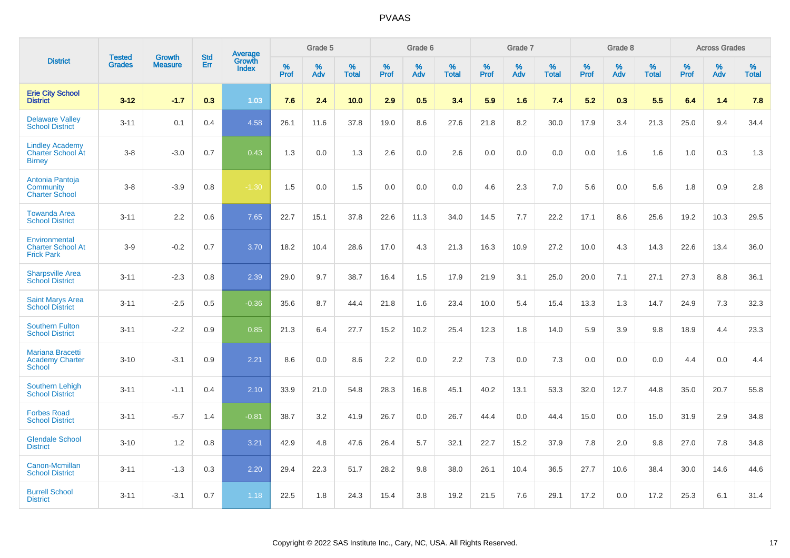|                                                                     |                                | <b>Growth</b>  | <b>Std</b> |                                          |              | Grade 5  |                   |              | Grade 6  |                   |              | Grade 7  |                   |              | Grade 8  |                   |              | <b>Across Grades</b> |                   |
|---------------------------------------------------------------------|--------------------------------|----------------|------------|------------------------------------------|--------------|----------|-------------------|--------------|----------|-------------------|--------------|----------|-------------------|--------------|----------|-------------------|--------------|----------------------|-------------------|
| <b>District</b>                                                     | <b>Tested</b><br><b>Grades</b> | <b>Measure</b> | <b>Err</b> | <b>Average</b><br>Growth<br><b>Index</b> | $\%$<br>Prof | %<br>Adv | %<br><b>Total</b> | $\%$<br>Prof | %<br>Adv | %<br><b>Total</b> | $\%$<br>Prof | %<br>Adv | %<br><b>Total</b> | $\%$<br>Prof | %<br>Adv | %<br><b>Total</b> | $\%$<br>Prof | %<br>Adv             | %<br><b>Total</b> |
| <b>Erie City School</b><br><b>District</b>                          | $3 - 12$                       | $-1.7$         | 0.3        | 1.03                                     | 7.6          | 2.4      | 10.0              | 2.9          | 0.5      | 3.4               | 5.9          | 1.6      | 7.4               | 5.2          | 0.3      | 5.5               | 6.4          | 1.4                  | 7.8               |
| <b>Delaware Valley</b><br><b>School District</b>                    | $3 - 11$                       | 0.1            | 0.4        | 4.58                                     | 26.1         | 11.6     | 37.8              | 19.0         | 8.6      | 27.6              | 21.8         | 8.2      | 30.0              | 17.9         | 3.4      | 21.3              | 25.0         | 9.4                  | 34.4              |
| <b>Lindley Academy</b><br><b>Charter School At</b><br><b>Birney</b> | $3 - 8$                        | $-3.0$         | 0.7        | 0.43                                     | 1.3          | 0.0      | 1.3               | 2.6          | 0.0      | 2.6               | 0.0          | 0.0      | 0.0               | 0.0          | 1.6      | 1.6               | 1.0          | 0.3                  | 1.3               |
| Antonia Pantoja<br>Community<br><b>Charter School</b>               | $3 - 8$                        | $-3.9$         | 0.8        | $-1.30$                                  | 1.5          | 0.0      | 1.5               | 0.0          | 0.0      | 0.0               | 4.6          | 2.3      | 7.0               | 5.6          | 0.0      | 5.6               | 1.8          | 0.9                  | 2.8               |
| <b>Towanda Area</b><br><b>School District</b>                       | $3 - 11$                       | 2.2            | 0.6        | 7.65                                     | 22.7         | 15.1     | 37.8              | 22.6         | 11.3     | 34.0              | 14.5         | 7.7      | 22.2              | 17.1         | 8.6      | 25.6              | 19.2         | 10.3                 | 29.5              |
| Environmental<br><b>Charter School At</b><br><b>Frick Park</b>      | $3-9$                          | $-0.2$         | 0.7        | 3.70                                     | 18.2         | 10.4     | 28.6              | 17.0         | 4.3      | 21.3              | 16.3         | 10.9     | 27.2              | 10.0         | 4.3      | 14.3              | 22.6         | 13.4                 | 36.0              |
| <b>Sharpsville Area</b><br><b>School District</b>                   | $3 - 11$                       | $-2.3$         | 0.8        | 2.39                                     | 29.0         | 9.7      | 38.7              | 16.4         | 1.5      | 17.9              | 21.9         | 3.1      | 25.0              | 20.0         | 7.1      | 27.1              | 27.3         | 8.8                  | 36.1              |
| <b>Saint Marys Area</b><br><b>School District</b>                   | $3 - 11$                       | $-2.5$         | 0.5        | $-0.36$                                  | 35.6         | 8.7      | 44.4              | 21.8         | 1.6      | 23.4              | 10.0         | 5.4      | 15.4              | 13.3         | 1.3      | 14.7              | 24.9         | 7.3                  | 32.3              |
| <b>Southern Fulton</b><br><b>School District</b>                    | $3 - 11$                       | $-2.2$         | 0.9        | 0.85                                     | 21.3         | 6.4      | 27.7              | 15.2         | 10.2     | 25.4              | 12.3         | 1.8      | 14.0              | 5.9          | 3.9      | 9.8               | 18.9         | 4.4                  | 23.3              |
| <b>Mariana Bracetti</b><br><b>Academy Charter</b><br><b>School</b>  | $3 - 10$                       | $-3.1$         | 0.9        | 2.21                                     | 8.6          | 0.0      | 8.6               | 2.2          | 0.0      | 2.2               | 7.3          | 0.0      | 7.3               | 0.0          | 0.0      | 0.0               | 4.4          | 0.0                  | 4.4               |
| <b>Southern Lehigh</b><br><b>School District</b>                    | $3 - 11$                       | $-1.1$         | 0.4        | 2.10                                     | 33.9         | 21.0     | 54.8              | 28.3         | 16.8     | 45.1              | 40.2         | 13.1     | 53.3              | 32.0         | 12.7     | 44.8              | 35.0         | 20.7                 | 55.8              |
| <b>Forbes Road</b><br><b>School District</b>                        | $3 - 11$                       | $-5.7$         | 1.4        | $-0.81$                                  | 38.7         | 3.2      | 41.9              | 26.7         | 0.0      | 26.7              | 44.4         | 0.0      | 44.4              | 15.0         | 0.0      | 15.0              | 31.9         | 2.9                  | 34.8              |
| <b>Glendale School</b><br><b>District</b>                           | $3 - 10$                       | 1.2            | 0.8        | 3.21                                     | 42.9         | 4.8      | 47.6              | 26.4         | 5.7      | 32.1              | 22.7         | 15.2     | 37.9              | 7.8          | 2.0      | 9.8               | 27.0         | 7.8                  | 34.8              |
| Canon-Mcmillan<br><b>School District</b>                            | $3 - 11$                       | $-1.3$         | 0.3        | 2.20                                     | 29.4         | 22.3     | 51.7              | 28.2         | 9.8      | 38.0              | 26.1         | 10.4     | 36.5              | 27.7         | 10.6     | 38.4              | 30.0         | 14.6                 | 44.6              |
| <b>Burrell School</b><br><b>District</b>                            | $3 - 11$                       | $-3.1$         | 0.7        | 1.18                                     | 22.5         | 1.8      | 24.3              | 15.4         | 3.8      | 19.2              | 21.5         | 7.6      | 29.1              | 17.2         | 0.0      | 17.2              | 25.3         | 6.1                  | 31.4              |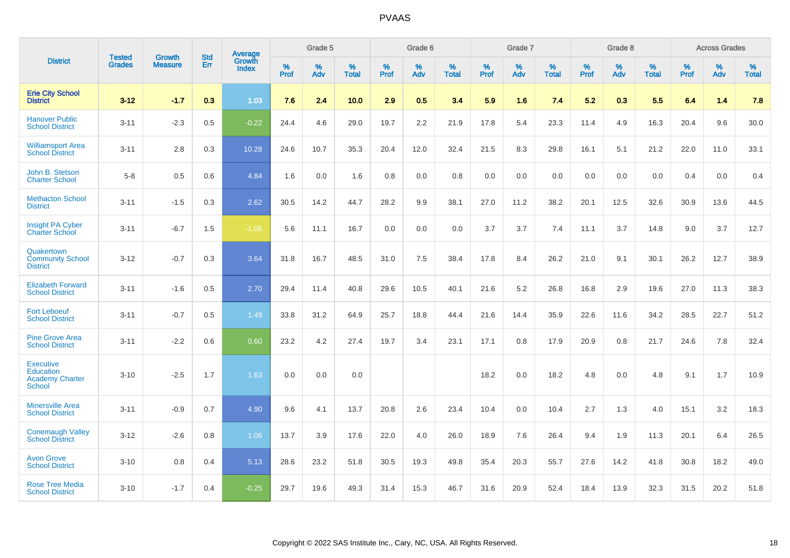|                                                                          | <b>Tested</b> | <b>Growth</b>  | <b>Std</b> | Average                       |           | Grade 5  |                   |           | Grade 6  |                   |           | Grade 7  |                   |           | Grade 8  |                   |           | <b>Across Grades</b> |                   |
|--------------------------------------------------------------------------|---------------|----------------|------------|-------------------------------|-----------|----------|-------------------|-----------|----------|-------------------|-----------|----------|-------------------|-----------|----------|-------------------|-----------|----------------------|-------------------|
| <b>District</b>                                                          | <b>Grades</b> | <b>Measure</b> | Err        | <b>Growth</b><br><b>Index</b> | %<br>Prof | %<br>Adv | %<br><b>Total</b> | %<br>Prof | %<br>Adv | %<br><b>Total</b> | %<br>Prof | %<br>Adv | %<br><b>Total</b> | %<br>Prof | %<br>Adv | %<br><b>Total</b> | %<br>Prof | %<br>Adv             | %<br><b>Total</b> |
| <b>Erie City School</b><br><b>District</b>                               | $3 - 12$      | $-1.7$         | 0.3        | 1.03                          | 7.6       | 2.4      | 10.0              | 2.9       | 0.5      | 3.4               | 5.9       | 1.6      | 7.4               | 5.2       | 0.3      | 5.5               | 6.4       | 1.4                  | 7.8               |
| <b>Hanover Public</b><br><b>School District</b>                          | $3 - 11$      | $-2.3$         | 0.5        | $-0.22$                       | 24.4      | 4.6      | 29.0              | 19.7      | 2.2      | 21.9              | 17.8      | 5.4      | 23.3              | 11.4      | 4.9      | 16.3              | 20.4      | 9.6                  | 30.0              |
| <b>Williamsport Area</b><br><b>School District</b>                       | $3 - 11$      | 2.8            | 0.3        | 10.28                         | 24.6      | 10.7     | 35.3              | 20.4      | 12.0     | 32.4              | 21.5      | 8.3      | 29.8              | 16.1      | 5.1      | 21.2              | 22.0      | 11.0                 | 33.1              |
| John B. Stetson<br><b>Charter School</b>                                 | $5 - 8$       | 0.5            | 0.6        | 4.84                          | 1.6       | 0.0      | 1.6               | 0.8       | 0.0      | 0.8               | 0.0       | 0.0      | 0.0               | 0.0       | 0.0      | 0.0               | 0.4       | 0.0                  | 0.4               |
| <b>Methacton School</b><br><b>District</b>                               | $3 - 11$      | $-1.5$         | 0.3        | 2.62                          | 30.5      | 14.2     | 44.7              | 28.2      | 9.9      | 38.1              | 27.0      | 11.2     | 38.2              | 20.1      | 12.5     | 32.6              | 30.9      | 13.6                 | 44.5              |
| Insight PA Cyber<br><b>Charter School</b>                                | $3 - 11$      | $-6.7$         | 1.5        | $-1.06$                       | 5.6       | 11.1     | 16.7              | 0.0       | 0.0      | 0.0               | 3.7       | 3.7      | 7.4               | 11.1      | 3.7      | 14.8              | 9.0       | 3.7                  | 12.7              |
| Quakertown<br><b>Community School</b><br><b>District</b>                 | $3 - 12$      | $-0.7$         | 0.3        | 3.64                          | 31.8      | 16.7     | 48.5              | 31.0      | 7.5      | 38.4              | 17.8      | 8.4      | 26.2              | 21.0      | 9.1      | 30.1              | 26.2      | 12.7                 | 38.9              |
| <b>Elizabeth Forward</b><br><b>School District</b>                       | $3 - 11$      | $-1.6$         | 0.5        | 2.70                          | 29.4      | 11.4     | 40.8              | 29.6      | 10.5     | 40.1              | 21.6      | 5.2      | 26.8              | 16.8      | 2.9      | 19.6              | 27.0      | 11.3                 | 38.3              |
| <b>Fort Leboeuf</b><br><b>School District</b>                            | $3 - 11$      | $-0.7$         | 0.5        | 1.49                          | 33.8      | 31.2     | 64.9              | 25.7      | 18.8     | 44.4              | 21.6      | 14.4     | 35.9              | 22.6      | 11.6     | 34.2              | 28.5      | 22.7                 | 51.2              |
| <b>Pine Grove Area</b><br><b>School District</b>                         | $3 - 11$      | $-2.2$         | 0.6        | 0.60                          | 23.2      | 4.2      | 27.4              | 19.7      | 3.4      | 23.1              | 17.1      | 0.8      | 17.9              | 20.9      | 0.8      | 21.7              | 24.6      | 7.8                  | 32.4              |
| <b>Executive</b><br><b>Education</b><br><b>Academy Charter</b><br>School | $3 - 10$      | $-2.5$         | 1.7        | 1.63                          | 0.0       | 0.0      | 0.0               |           |          |                   | 18.2      | 0.0      | 18.2              | 4.8       | 0.0      | 4.8               | 9.1       | 1.7                  | 10.9              |
| <b>Minersville Area</b><br><b>School District</b>                        | $3 - 11$      | $-0.9$         | 0.7        | 4.90                          | 9.6       | 4.1      | 13.7              | 20.8      | 2.6      | 23.4              | 10.4      | 0.0      | 10.4              | 2.7       | 1.3      | 4.0               | 15.1      | 3.2                  | 18.3              |
| <b>Conemaugh Valley</b><br><b>School District</b>                        | $3 - 12$      | $-2.6$         | 0.8        | 1.06                          | 13.7      | 3.9      | 17.6              | 22.0      | 4.0      | 26.0              | 18.9      | 7.6      | 26.4              | 9.4       | 1.9      | 11.3              | 20.1      | 6.4                  | 26.5              |
| <b>Avon Grove</b><br><b>School District</b>                              | $3 - 10$      | 0.8            | 0.4        | 5.13                          | 28.6      | 23.2     | 51.8              | 30.5      | 19.3     | 49.8              | 35.4      | 20.3     | 55.7              | 27.6      | 14.2     | 41.8              | 30.8      | 18.2                 | 49.0              |
| <b>Rose Tree Media</b><br><b>School District</b>                         | $3 - 10$      | $-1.7$         | 0.4        | $-0.25$                       | 29.7      | 19.6     | 49.3              | 31.4      | 15.3     | 46.7              | 31.6      | 20.9     | 52.4              | 18.4      | 13.9     | 32.3              | 31.5      | 20.2                 | 51.8              |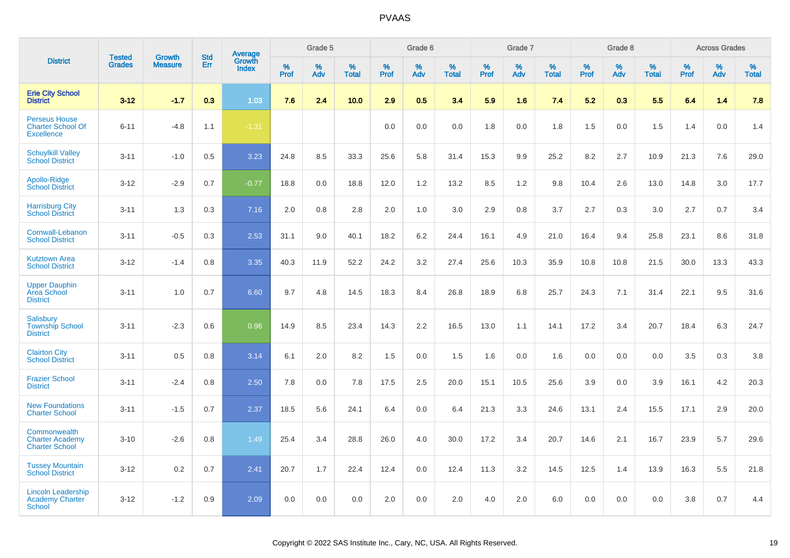|                                                                       |                                | <b>Growth</b>  | <b>Std</b> | Average                |                  | Grade 5  |                   |                  | Grade 6  |                   |                  | Grade 7  |                   |           | Grade 8  |                   |           | <b>Across Grades</b> |                   |
|-----------------------------------------------------------------------|--------------------------------|----------------|------------|------------------------|------------------|----------|-------------------|------------------|----------|-------------------|------------------|----------|-------------------|-----------|----------|-------------------|-----------|----------------------|-------------------|
| <b>District</b>                                                       | <b>Tested</b><br><b>Grades</b> | <b>Measure</b> | Err        | Growth<br><b>Index</b> | %<br><b>Prof</b> | %<br>Adv | %<br><b>Total</b> | %<br><b>Prof</b> | %<br>Adv | %<br><b>Total</b> | %<br><b>Prof</b> | %<br>Adv | %<br><b>Total</b> | %<br>Prof | %<br>Adv | %<br><b>Total</b> | %<br>Prof | %<br>Adv             | %<br><b>Total</b> |
| <b>Erie City School</b><br><b>District</b>                            | $3 - 12$                       | $-1.7$         | 0.3        | 1.03                   | 7.6              | 2.4      | 10.0              | 2.9              | 0.5      | 3.4               | 5.9              | 1.6      | 7.4               | 5.2       | 0.3      | 5.5               | 6.4       | 1.4                  | 7.8               |
| <b>Perseus House</b><br><b>Charter School Of</b><br><b>Excellence</b> | $6 - 11$                       | $-4.8$         | 1.1        | $-1.31$                |                  |          |                   | 0.0              | 0.0      | 0.0               | 1.8              | 0.0      | 1.8               | 1.5       | 0.0      | 1.5               | 1.4       | 0.0                  | 1.4               |
| <b>Schuylkill Valley</b><br><b>School District</b>                    | $3 - 11$                       | $-1.0$         | 0.5        | 3.23                   | 24.8             | 8.5      | 33.3              | 25.6             | 5.8      | 31.4              | 15.3             | 9.9      | 25.2              | 8.2       | 2.7      | 10.9              | 21.3      | 7.6                  | 29.0              |
| Apollo-Ridge<br><b>School District</b>                                | $3-12$                         | $-2.9$         | 0.7        | $-0.77$                | 18.8             | 0.0      | 18.8              | 12.0             | 1.2      | 13.2              | 8.5              | 1.2      | 9.8               | 10.4      | 2.6      | 13.0              | 14.8      | 3.0                  | 17.7              |
| <b>Harrisburg City</b><br><b>School District</b>                      | $3 - 11$                       | 1.3            | 0.3        | 7.16                   | 2.0              | 0.8      | 2.8               | 2.0              | 1.0      | 3.0               | 2.9              | 0.8      | 3.7               | 2.7       | 0.3      | 3.0               | 2.7       | 0.7                  | 3.4               |
| Cornwall-Lebanon<br><b>School District</b>                            | $3 - 11$                       | $-0.5$         | 0.3        | 2.53                   | 31.1             | 9.0      | 40.1              | 18.2             | 6.2      | 24.4              | 16.1             | 4.9      | 21.0              | 16.4      | 9.4      | 25.8              | 23.1      | 8.6                  | 31.8              |
| <b>Kutztown Area</b><br><b>School District</b>                        | $3 - 12$                       | $-1.4$         | 0.8        | 3.35                   | 40.3             | 11.9     | 52.2              | 24.2             | 3.2      | 27.4              | 25.6             | 10.3     | 35.9              | 10.8      | 10.8     | 21.5              | 30.0      | 13.3                 | 43.3              |
| <b>Upper Dauphin</b><br><b>Area School</b><br><b>District</b>         | $3 - 11$                       | 1.0            | 0.7        | 6.60                   | 9.7              | 4.8      | 14.5              | 18.3             | 8.4      | 26.8              | 18.9             | 6.8      | 25.7              | 24.3      | 7.1      | 31.4              | 22.1      | 9.5                  | 31.6              |
| Salisbury<br><b>Township School</b><br><b>District</b>                | $3 - 11$                       | $-2.3$         | 0.6        | 0.96                   | 14.9             | 8.5      | 23.4              | 14.3             | 2.2      | 16.5              | 13.0             | 1.1      | 14.1              | 17.2      | 3.4      | 20.7              | 18.4      | 6.3                  | 24.7              |
| <b>Clairton City</b><br><b>School District</b>                        | $3 - 11$                       | 0.5            | 0.8        | 3.14                   | 6.1              | 2.0      | 8.2               | 1.5              | 0.0      | 1.5               | 1.6              | 0.0      | 1.6               | 0.0       | 0.0      | 0.0               | 3.5       | 0.3                  | 3.8               |
| <b>Frazier School</b><br><b>District</b>                              | $3 - 11$                       | $-2.4$         | 0.8        | 2.50                   | 7.8              | 0.0      | 7.8               | 17.5             | 2.5      | 20.0              | 15.1             | 10.5     | 25.6              | 3.9       | 0.0      | 3.9               | 16.1      | 4.2                  | 20.3              |
| <b>New Foundations</b><br><b>Charter School</b>                       | $3 - 11$                       | $-1.5$         | 0.7        | 2.37                   | 18.5             | 5.6      | 24.1              | 6.4              | 0.0      | 6.4               | 21.3             | 3.3      | 24.6              | 13.1      | 2.4      | 15.5              | 17.1      | 2.9                  | 20.0              |
| Commonwealth<br><b>Charter Academy</b><br><b>Charter School</b>       | $3 - 10$                       | $-2.6$         | 0.8        | 1.49                   | 25.4             | 3.4      | 28.8              | 26.0             | 4.0      | 30.0              | 17.2             | 3.4      | 20.7              | 14.6      | 2.1      | 16.7              | 23.9      | 5.7                  | 29.6              |
| <b>Tussey Mountain</b><br><b>School District</b>                      | $3 - 12$                       | 0.2            | 0.7        | 2.41                   | 20.7             | 1.7      | 22.4              | 12.4             | 0.0      | 12.4              | 11.3             | 3.2      | 14.5              | 12.5      | 1.4      | 13.9              | 16.3      | 5.5                  | 21.8              |
| <b>Lincoln Leadership</b><br><b>Academy Charter</b><br>School         | $3 - 12$                       | $-1.2$         | 0.9        | 2.09                   | 0.0              | 0.0      | 0.0               | 2.0              | 0.0      | 2.0               | 4.0              | 2.0      | 6.0               | 0.0       | 0.0      | 0.0               | 3.8       | 0.7                  | 4.4               |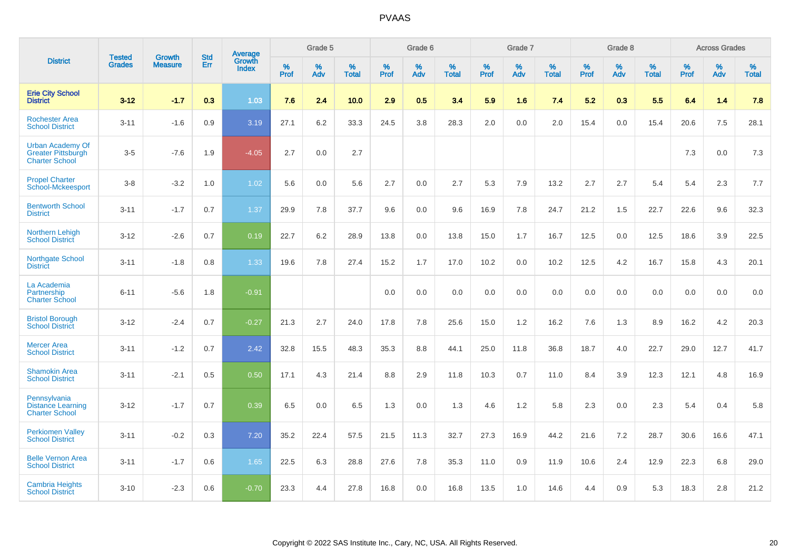|                                                                               | <b>Tested</b> | <b>Growth</b>  | <b>Std</b> | <b>Average</b>                |           | Grade 5     |                   |                  | Grade 6  |                   |                  | Grade 7  |                   |                  | Grade 8  |                   |           | <b>Across Grades</b> |                   |
|-------------------------------------------------------------------------------|---------------|----------------|------------|-------------------------------|-----------|-------------|-------------------|------------------|----------|-------------------|------------------|----------|-------------------|------------------|----------|-------------------|-----------|----------------------|-------------------|
| <b>District</b>                                                               | <b>Grades</b> | <b>Measure</b> | <b>Err</b> | <b>Growth</b><br><b>Index</b> | %<br>Prof | $\%$<br>Adv | %<br><b>Total</b> | %<br><b>Prof</b> | %<br>Adv | %<br><b>Total</b> | %<br><b>Prof</b> | %<br>Adv | %<br><b>Total</b> | %<br><b>Prof</b> | %<br>Adv | %<br><b>Total</b> | %<br>Prof | %<br>Adv             | %<br><b>Total</b> |
| <b>Erie City School</b><br><b>District</b>                                    | $3 - 12$      | $-1.7$         | 0.3        | 1.03                          | 7.6       | 2.4         | 10.0              | 2.9              | 0.5      | 3.4               | 5.9              | 1.6      | 7.4               | 5.2              | 0.3      | 5.5               | 6.4       | 1.4                  | 7.8               |
| <b>Rochester Area</b><br><b>School District</b>                               | $3 - 11$      | $-1.6$         | 0.9        | 3.19                          | 27.1      | 6.2         | 33.3              | 24.5             | 3.8      | 28.3              | $2.0\,$          | 0.0      | 2.0               | 15.4             | 0.0      | 15.4              | 20.6      | 7.5                  | 28.1              |
| <b>Urban Academy Of</b><br><b>Greater Pittsburgh</b><br><b>Charter School</b> | $3-5$         | $-7.6$         | 1.9        | $-4.05$                       | 2.7       | 0.0         | 2.7               |                  |          |                   |                  |          |                   |                  |          |                   | 7.3       | 0.0                  | 7.3               |
| <b>Propel Charter</b><br>School-Mckeesport                                    | $3 - 8$       | $-3.2$         | 1.0        | 1.02                          | 5.6       | 0.0         | 5.6               | 2.7              | 0.0      | 2.7               | 5.3              | 7.9      | 13.2              | 2.7              | 2.7      | 5.4               | 5.4       | 2.3                  | 7.7               |
| <b>Bentworth School</b><br><b>District</b>                                    | $3 - 11$      | $-1.7$         | 0.7        | 1.37                          | 29.9      | 7.8         | 37.7              | 9.6              | 0.0      | 9.6               | 16.9             | 7.8      | 24.7              | 21.2             | 1.5      | 22.7              | 22.6      | 9.6                  | 32.3              |
| Northern Lehigh<br><b>School District</b>                                     | $3 - 12$      | $-2.6$         | 0.7        | 0.19                          | 22.7      | 6.2         | 28.9              | 13.8             | 0.0      | 13.8              | 15.0             | 1.7      | 16.7              | 12.5             | 0.0      | 12.5              | 18.6      | 3.9                  | 22.5              |
| <b>Northgate School</b><br><b>District</b>                                    | $3 - 11$      | $-1.8$         | 0.8        | 1.33                          | 19.6      | 7.8         | 27.4              | 15.2             | 1.7      | 17.0              | 10.2             | 0.0      | 10.2              | 12.5             | 4.2      | 16.7              | 15.8      | 4.3                  | 20.1              |
| La Academia<br>Partnership<br><b>Charter School</b>                           | $6 - 11$      | $-5.6$         | 1.8        | $-0.91$                       |           |             |                   | 0.0              | 0.0      | 0.0               | 0.0              | 0.0      | 0.0               | 0.0              | 0.0      | 0.0               | 0.0       | 0.0                  | 0.0               |
| <b>Bristol Borough</b><br><b>School District</b>                              | $3 - 12$      | $-2.4$         | 0.7        | $-0.27$                       | 21.3      | 2.7         | 24.0              | 17.8             | 7.8      | 25.6              | 15.0             | 1.2      | 16.2              | 7.6              | 1.3      | 8.9               | 16.2      | 4.2                  | 20.3              |
| <b>Mercer Area</b><br><b>School District</b>                                  | $3 - 11$      | $-1.2$         | 0.7        | 2.42                          | 32.8      | 15.5        | 48.3              | 35.3             | 8.8      | 44.1              | 25.0             | 11.8     | 36.8              | 18.7             | 4.0      | 22.7              | 29.0      | 12.7                 | 41.7              |
| <b>Shamokin Area</b><br><b>School District</b>                                | $3 - 11$      | $-2.1$         | 0.5        | 0.50                          | 17.1      | 4.3         | 21.4              | 8.8              | 2.9      | 11.8              | 10.3             | 0.7      | 11.0              | 8.4              | 3.9      | 12.3              | 12.1      | 4.8                  | 16.9              |
| Pennsylvania<br><b>Distance Learning</b><br><b>Charter School</b>             | $3 - 12$      | $-1.7$         | 0.7        | 0.39                          | 6.5       | 0.0         | 6.5               | 1.3              | 0.0      | 1.3               | 4.6              | 1.2      | 5.8               | 2.3              | 0.0      | 2.3               | 5.4       | 0.4                  | 5.8               |
| <b>Perkiomen Valley</b><br><b>School District</b>                             | $3 - 11$      | $-0.2$         | 0.3        | 7.20                          | 35.2      | 22.4        | 57.5              | 21.5             | 11.3     | 32.7              | 27.3             | 16.9     | 44.2              | 21.6             | 7.2      | 28.7              | 30.6      | 16.6                 | 47.1              |
| <b>Belle Vernon Area</b><br><b>School District</b>                            | $3 - 11$      | $-1.7$         | 0.6        | 1.65                          | 22.5      | 6.3         | 28.8              | 27.6             | 7.8      | 35.3              | 11.0             | 0.9      | 11.9              | 10.6             | 2.4      | 12.9              | 22.3      | 6.8                  | 29.0              |
| <b>Cambria Heights</b><br><b>School District</b>                              | $3 - 10$      | $-2.3$         | 0.6        | $-0.70$                       | 23.3      | 4.4         | 27.8              | 16.8             | 0.0      | 16.8              | 13.5             | 1.0      | 14.6              | 4.4              | 0.9      | 5.3               | 18.3      | 2.8                  | 21.2              |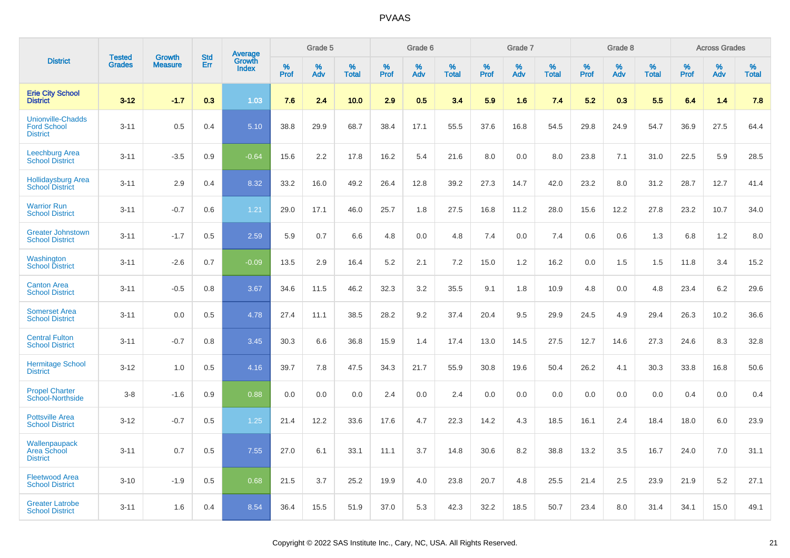|                                                                   |                                |                                 | <b>Std</b> | <b>Average</b>         |                     | Grade 5  |                   |                     | Grade 6  |                   |                     | Grade 7  |                   |                     | Grade 8  |                   |              | <b>Across Grades</b> |                   |
|-------------------------------------------------------------------|--------------------------------|---------------------------------|------------|------------------------|---------------------|----------|-------------------|---------------------|----------|-------------------|---------------------|----------|-------------------|---------------------|----------|-------------------|--------------|----------------------|-------------------|
| <b>District</b>                                                   | <b>Tested</b><br><b>Grades</b> | <b>Growth</b><br><b>Measure</b> | Err        | Growth<br><b>Index</b> | $\%$<br><b>Prof</b> | %<br>Adv | %<br><b>Total</b> | $\%$<br><b>Prof</b> | %<br>Adv | %<br><b>Total</b> | $\%$<br><b>Prof</b> | %<br>Adv | %<br><b>Total</b> | $\%$<br><b>Prof</b> | %<br>Adv | %<br><b>Total</b> | $\%$<br>Prof | %<br>Adv             | %<br><b>Total</b> |
| <b>Erie City School</b><br><b>District</b>                        | $3 - 12$                       | $-1.7$                          | 0.3        | 1.03                   | 7.6                 | 2.4      | 10.0              | 2.9                 | 0.5      | 3.4               | 5.9                 | 1.6      | 7.4               | 5.2                 | 0.3      | 5.5               | 6.4          | 1.4                  | 7.8               |
| <b>Unionville-Chadds</b><br><b>Ford School</b><br><b>District</b> | $3 - 11$                       | 0.5                             | 0.4        | 5.10                   | 38.8                | 29.9     | 68.7              | 38.4                | 17.1     | 55.5              | 37.6                | 16.8     | 54.5              | 29.8                | 24.9     | 54.7              | 36.9         | 27.5                 | 64.4              |
| Leechburg Area<br><b>School District</b>                          | $3 - 11$                       | $-3.5$                          | 0.9        | $-0.64$                | 15.6                | 2.2      | 17.8              | 16.2                | 5.4      | 21.6              | 8.0                 | 0.0      | 8.0               | 23.8                | 7.1      | 31.0              | 22.5         | 5.9                  | 28.5              |
| <b>Hollidaysburg Area</b><br><b>School District</b>               | $3 - 11$                       | 2.9                             | 0.4        | 8.32                   | 33.2                | 16.0     | 49.2              | 26.4                | 12.8     | 39.2              | 27.3                | 14.7     | 42.0              | 23.2                | 8.0      | 31.2              | 28.7         | 12.7                 | 41.4              |
| <b>Warrior Run</b><br><b>School District</b>                      | $3 - 11$                       | $-0.7$                          | 0.6        | 1.21                   | 29.0                | 17.1     | 46.0              | 25.7                | 1.8      | 27.5              | 16.8                | 11.2     | 28.0              | 15.6                | 12.2     | 27.8              | 23.2         | 10.7                 | 34.0              |
| <b>Greater Johnstown</b><br><b>School District</b>                | $3 - 11$                       | $-1.7$                          | 0.5        | 2.59                   | 5.9                 | 0.7      | 6.6               | 4.8                 | 0.0      | 4.8               | 7.4                 | 0.0      | 7.4               | 0.6                 | 0.6      | 1.3               | 6.8          | 1.2                  | 8.0               |
| Washington<br><b>School District</b>                              | $3 - 11$                       | $-2.6$                          | 0.7        | $-0.09$                | 13.5                | 2.9      | 16.4              | 5.2                 | 2.1      | 7.2               | 15.0                | 1.2      | 16.2              | 0.0                 | 1.5      | 1.5               | 11.8         | 3.4                  | 15.2              |
| <b>Canton Area</b><br><b>School District</b>                      | $3 - 11$                       | $-0.5$                          | 0.8        | 3.67                   | 34.6                | 11.5     | 46.2              | 32.3                | 3.2      | 35.5              | 9.1                 | 1.8      | 10.9              | 4.8                 | 0.0      | 4.8               | 23.4         | 6.2                  | 29.6              |
| <b>Somerset Area</b><br><b>School District</b>                    | $3 - 11$                       | 0.0                             | 0.5        | 4.78                   | 27.4                | 11.1     | 38.5              | 28.2                | 9.2      | 37.4              | 20.4                | 9.5      | 29.9              | 24.5                | 4.9      | 29.4              | 26.3         | 10.2                 | 36.6              |
| <b>Central Fulton</b><br><b>School District</b>                   | $3 - 11$                       | $-0.7$                          | 0.8        | 3.45                   | 30.3                | 6.6      | 36.8              | 15.9                | 1.4      | 17.4              | 13.0                | 14.5     | 27.5              | 12.7                | 14.6     | 27.3              | 24.6         | 8.3                  | 32.8              |
| <b>Hermitage School</b><br><b>District</b>                        | $3 - 12$                       | 1.0                             | 0.5        | 4.16                   | 39.7                | 7.8      | 47.5              | 34.3                | 21.7     | 55.9              | 30.8                | 19.6     | 50.4              | 26.2                | 4.1      | 30.3              | 33.8         | 16.8                 | 50.6              |
| <b>Propel Charter</b><br><b>School-Northside</b>                  | $3-8$                          | $-1.6$                          | 0.9        | 0.88                   | 0.0                 | 0.0      | 0.0               | 2.4                 | 0.0      | 2.4               | 0.0                 | 0.0      | 0.0               | 0.0                 | 0.0      | 0.0               | 0.4          | 0.0                  | 0.4               |
| <b>Pottsville Area</b><br><b>School District</b>                  | $3 - 12$                       | $-0.7$                          | 0.5        | 1.25                   | 21.4                | 12.2     | 33.6              | 17.6                | 4.7      | 22.3              | 14.2                | 4.3      | 18.5              | 16.1                | 2.4      | 18.4              | 18.0         | 6.0                  | 23.9              |
| Wallenpaupack<br><b>Area School</b><br><b>District</b>            | $3 - 11$                       | 0.7                             | 0.5        | 7.55                   | 27.0                | 6.1      | 33.1              | 11.1                | 3.7      | 14.8              | 30.6                | 8.2      | 38.8              | 13.2                | 3.5      | 16.7              | 24.0         | 7.0                  | 31.1              |
| <b>Fleetwood Area</b><br><b>School District</b>                   | $3 - 10$                       | $-1.9$                          | 0.5        | 0.68                   | 21.5                | 3.7      | 25.2              | 19.9                | 4.0      | 23.8              | 20.7                | 4.8      | 25.5              | 21.4                | 2.5      | 23.9              | 21.9         | 5.2                  | 27.1              |
| <b>Greater Latrobe</b><br><b>School District</b>                  | $3 - 11$                       | 1.6                             | 0.4        | 8.54                   | 36.4                | 15.5     | 51.9              | 37.0                | 5.3      | 42.3              | 32.2                | 18.5     | 50.7              | 23.4                | 8.0      | 31.4              | 34.1         | 15.0                 | 49.1              |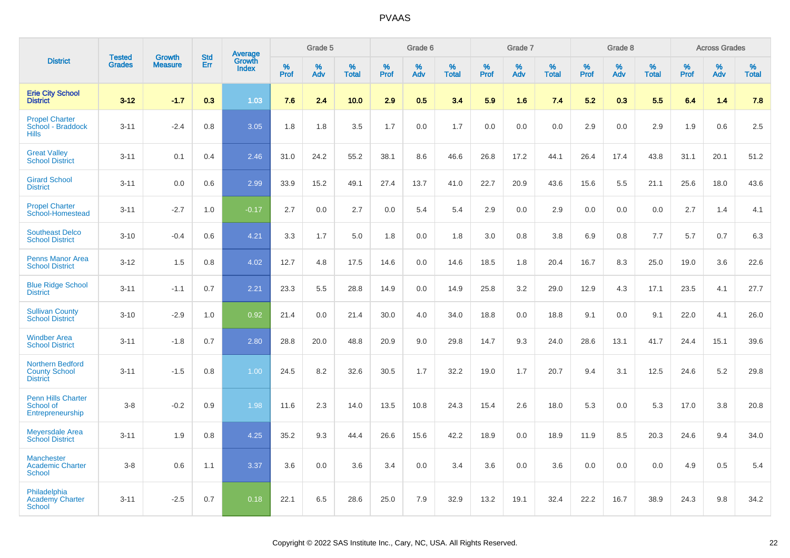|                                                               |                                |                                 | <b>Std</b> | Average                |                     | Grade 5  |                   |                  | Grade 6  |                   |                  | Grade 7  |                   |           | Grade 8  |                   |                  | <b>Across Grades</b> |                   |
|---------------------------------------------------------------|--------------------------------|---------------------------------|------------|------------------------|---------------------|----------|-------------------|------------------|----------|-------------------|------------------|----------|-------------------|-----------|----------|-------------------|------------------|----------------------|-------------------|
| <b>District</b>                                               | <b>Tested</b><br><b>Grades</b> | <b>Growth</b><br><b>Measure</b> | Err        | Growth<br><b>Index</b> | $\%$<br><b>Prof</b> | %<br>Adv | %<br><b>Total</b> | %<br><b>Prof</b> | %<br>Adv | %<br><b>Total</b> | %<br><b>Prof</b> | %<br>Adv | %<br><b>Total</b> | %<br>Prof | %<br>Adv | %<br><b>Total</b> | %<br><b>Prof</b> | %<br>Adv             | %<br><b>Total</b> |
| <b>Erie City School</b><br><b>District</b>                    | $3-12$                         | $-1.7$                          | 0.3        | 1.03                   | 7.6                 | 2.4      | 10.0              | 2.9              | 0.5      | 3.4               | 5.9              | 1.6      | 7.4               | 5.2       | 0.3      | 5.5               | 6.4              | 1.4                  | 7.8               |
| <b>Propel Charter</b><br>School - Braddock<br><b>Hills</b>    | $3 - 11$                       | $-2.4$                          | 0.8        | 3.05                   | 1.8                 | 1.8      | 3.5               | 1.7              | 0.0      | 1.7               | 0.0              | 0.0      | 0.0               | 2.9       | 0.0      | 2.9               | 1.9              | 0.6                  | 2.5               |
| <b>Great Valley</b><br><b>School District</b>                 | $3 - 11$                       | 0.1                             | 0.4        | 2.46                   | 31.0                | 24.2     | 55.2              | 38.1             | 8.6      | 46.6              | 26.8             | 17.2     | 44.1              | 26.4      | 17.4     | 43.8              | 31.1             | 20.1                 | 51.2              |
| <b>Girard School</b><br><b>District</b>                       | $3 - 11$                       | 0.0                             | 0.6        | 2.99                   | 33.9                | 15.2     | 49.1              | 27.4             | 13.7     | 41.0              | 22.7             | 20.9     | 43.6              | 15.6      | 5.5      | 21.1              | 25.6             | 18.0                 | 43.6              |
| <b>Propel Charter</b><br>School-Homestead                     | $3 - 11$                       | $-2.7$                          | 1.0        | $-0.17$                | 2.7                 | 0.0      | 2.7               | 0.0              | 5.4      | 5.4               | 2.9              | 0.0      | 2.9               | 0.0       | 0.0      | 0.0               | 2.7              | 1.4                  | 4.1               |
| <b>Southeast Delco</b><br><b>School District</b>              | $3 - 10$                       | $-0.4$                          | 0.6        | 4.21                   | 3.3                 | 1.7      | 5.0               | 1.8              | 0.0      | 1.8               | 3.0              | 0.8      | 3.8               | 6.9       | 0.8      | 7.7               | 5.7              | 0.7                  | 6.3               |
| <b>Penns Manor Area</b><br><b>School District</b>             | $3 - 12$                       | 1.5                             | 0.8        | 4.02                   | 12.7                | 4.8      | 17.5              | 14.6             | 0.0      | 14.6              | 18.5             | 1.8      | 20.4              | 16.7      | 8.3      | 25.0              | 19.0             | 3.6                  | 22.6              |
| <b>Blue Ridge School</b><br><b>District</b>                   | $3 - 11$                       | $-1.1$                          | 0.7        | 2.21                   | 23.3                | 5.5      | 28.8              | 14.9             | 0.0      | 14.9              | 25.8             | 3.2      | 29.0              | 12.9      | 4.3      | 17.1              | 23.5             | 4.1                  | 27.7              |
| <b>Sullivan County</b><br><b>School District</b>              | $3 - 10$                       | $-2.9$                          | 1.0        | 0.92                   | 21.4                | 0.0      | 21.4              | 30.0             | 4.0      | 34.0              | 18.8             | 0.0      | 18.8              | 9.1       | 0.0      | 9.1               | 22.0             | 4.1                  | 26.0              |
| <b>Windber Area</b><br><b>School District</b>                 | $3 - 11$                       | $-1.8$                          | 0.7        | 2.80                   | 28.8                | 20.0     | 48.8              | 20.9             | 9.0      | 29.8              | 14.7             | 9.3      | 24.0              | 28.6      | 13.1     | 41.7              | 24.4             | 15.1                 | 39.6              |
| Northern Bedford<br><b>County School</b><br><b>District</b>   | $3 - 11$                       | $-1.5$                          | 0.8        | 1.00                   | 24.5                | 8.2      | 32.6              | 30.5             | 1.7      | 32.2              | 19.0             | 1.7      | 20.7              | 9.4       | 3.1      | 12.5              | 24.6             | 5.2                  | 29.8              |
| <b>Penn Hills Charter</b><br>School of<br>Entrepreneurship    | $3-8$                          | $-0.2$                          | 0.9        | 1.98                   | 11.6                | 2.3      | 14.0              | 13.5             | 10.8     | 24.3              | 15.4             | 2.6      | 18.0              | 5.3       | 0.0      | 5.3               | 17.0             | 3.8                  | 20.8              |
| <b>Meyersdale Area</b><br><b>School District</b>              | $3 - 11$                       | 1.9                             | 0.8        | 4.25                   | 35.2                | 9.3      | 44.4              | 26.6             | 15.6     | 42.2              | 18.9             | 0.0      | 18.9              | 11.9      | 8.5      | 20.3              | 24.6             | 9.4                  | 34.0              |
| <b>Manchester</b><br><b>Academic Charter</b><br><b>School</b> | $3-8$                          | 0.6                             | 1.1        | 3.37                   | 3.6                 | 0.0      | 3.6               | 3.4              | 0.0      | 3.4               | 3.6              | 0.0      | 3.6               | 0.0       | 0.0      | 0.0               | 4.9              | 0.5                  | 5.4               |
| Philadelphia<br><b>Academy Charter</b><br><b>School</b>       | $3 - 11$                       | $-2.5$                          | 0.7        | 0.18                   | 22.1                | 6.5      | 28.6              | 25.0             | 7.9      | 32.9              | 13.2             | 19.1     | 32.4              | 22.2      | 16.7     | 38.9              | 24.3             | 9.8                  | 34.2              |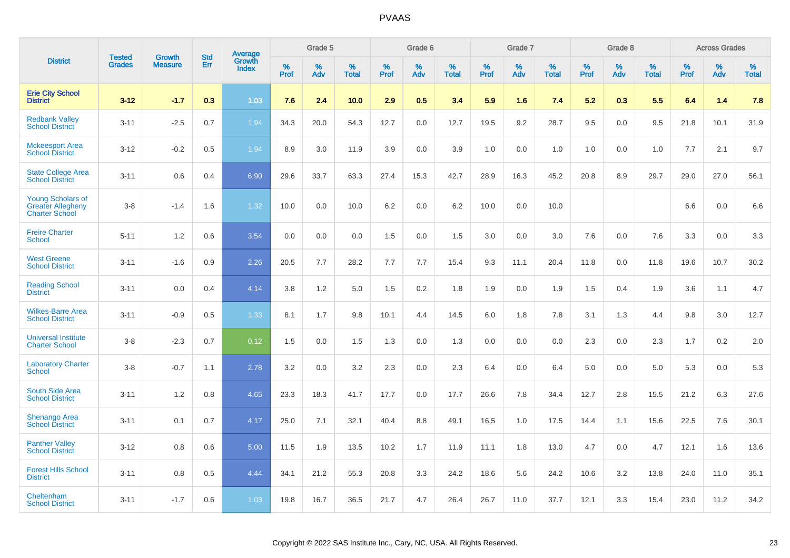|                                                                               | <b>Tested</b> | <b>Growth</b>  | <b>Std</b> | Average<br>Growth |                     | Grade 5  |                      |                     | Grade 6  |                      |              | Grade 7  |                      |                     | Grade 8  |                      |                     | <b>Across Grades</b> |                      |
|-------------------------------------------------------------------------------|---------------|----------------|------------|-------------------|---------------------|----------|----------------------|---------------------|----------|----------------------|--------------|----------|----------------------|---------------------|----------|----------------------|---------------------|----------------------|----------------------|
| <b>District</b>                                                               | <b>Grades</b> | <b>Measure</b> | Err        | <b>Index</b>      | $\%$<br><b>Prof</b> | %<br>Adv | $\%$<br><b>Total</b> | $\%$<br><b>Prof</b> | %<br>Adv | $\%$<br><b>Total</b> | $\%$<br>Prof | %<br>Adv | $\%$<br><b>Total</b> | $\%$<br><b>Prof</b> | %<br>Adv | $\%$<br><b>Total</b> | $\%$<br><b>Prof</b> | $\%$<br>Adv          | $\%$<br><b>Total</b> |
| <b>Erie City School</b><br><b>District</b>                                    | $3 - 12$      | $-1.7$         | 0.3        | 1.03              | 7.6                 | 2.4      | 10.0                 | 2.9                 | 0.5      | 3.4                  | 5.9          | 1.6      | 7.4                  | 5.2                 | 0.3      | 5.5                  | 6.4                 | 1.4                  | 7.8                  |
| <b>Redbank Valley</b><br><b>School District</b>                               | $3 - 11$      | $-2.5$         | 0.7        | 1.94              | 34.3                | 20.0     | 54.3                 | 12.7                | 0.0      | 12.7                 | 19.5         | 9.2      | 28.7                 | 9.5                 | 0.0      | 9.5                  | 21.8                | 10.1                 | 31.9                 |
| <b>Mckeesport Area</b><br><b>School District</b>                              | $3 - 12$      | $-0.2$         | 0.5        | 1.94              | 8.9                 | 3.0      | 11.9                 | 3.9                 | 0.0      | 3.9                  | 1.0          | 0.0      | 1.0                  | 1.0                 | 0.0      | 1.0                  | 7.7                 | 2.1                  | 9.7                  |
| <b>State College Area</b><br><b>School District</b>                           | $3 - 11$      | 0.6            | 0.4        | 6.90              | 29.6                | 33.7     | 63.3                 | 27.4                | 15.3     | 42.7                 | 28.9         | 16.3     | 45.2                 | 20.8                | 8.9      | 29.7                 | 29.0                | 27.0                 | 56.1                 |
| <b>Young Scholars of</b><br><b>Greater Allegheny</b><br><b>Charter School</b> | $3 - 8$       | $-1.4$         | 1.6        | 1.32              | 10.0                | 0.0      | 10.0                 | 6.2                 | 0.0      | 6.2                  | 10.0         | 0.0      | 10.0                 |                     |          |                      | 6.6                 | 0.0                  | 6.6                  |
| <b>Freire Charter</b><br><b>School</b>                                        | $5 - 11$      | 1.2            | 0.6        | 3.54              | 0.0                 | 0.0      | 0.0                  | 1.5                 | 0.0      | 1.5                  | 3.0          | 0.0      | 3.0                  | 7.6                 | 0.0      | 7.6                  | 3.3                 | 0.0                  | 3.3                  |
| <b>West Greene</b><br><b>School District</b>                                  | $3 - 11$      | $-1.6$         | 0.9        | 2.26              | 20.5                | 7.7      | 28.2                 | 7.7                 | 7.7      | 15.4                 | 9.3          | 11.1     | 20.4                 | 11.8                | 0.0      | 11.8                 | 19.6                | 10.7                 | 30.2                 |
| <b>Reading School</b><br><b>District</b>                                      | $3 - 11$      | 0.0            | 0.4        | 4.14              | 3.8                 | 1.2      | 5.0                  | 1.5                 | 0.2      | 1.8                  | 1.9          | 0.0      | 1.9                  | 1.5                 | 0.4      | 1.9                  | 3.6                 | 1.1                  | 4.7                  |
| <b>Wilkes-Barre Area</b><br><b>School District</b>                            | $3 - 11$      | $-0.9$         | 0.5        | 1.33              | 8.1                 | 1.7      | 9.8                  | 10.1                | 4.4      | 14.5                 | $6.0\,$      | 1.8      | 7.8                  | 3.1                 | 1.3      | 4.4                  | 9.8                 | 3.0                  | 12.7                 |
| <b>Universal Institute</b><br><b>Charter School</b>                           | $3 - 8$       | $-2.3$         | 0.7        | 0.12              | 1.5                 | 0.0      | 1.5                  | 1.3                 | 0.0      | 1.3                  | 0.0          | 0.0      | 0.0                  | 2.3                 | 0.0      | 2.3                  | 1.7                 | $0.2\,$              | 2.0                  |
| <b>Laboratory Charter</b><br><b>School</b>                                    | $3 - 8$       | $-0.7$         | 1.1        | 2.78              | 3.2                 | 0.0      | 3.2                  | 2.3                 | 0.0      | 2.3                  | 6.4          | 0.0      | 6.4                  | 5.0                 | 0.0      | 5.0                  | 5.3                 | 0.0                  | 5.3                  |
| <b>South Side Area</b><br><b>School District</b>                              | $3 - 11$      | 1.2            | 0.8        | 4.65              | 23.3                | 18.3     | 41.7                 | 17.7                | 0.0      | 17.7                 | 26.6         | 7.8      | 34.4                 | 12.7                | 2.8      | 15.5                 | 21.2                | 6.3                  | 27.6                 |
| <b>Shenango Area</b><br><b>School District</b>                                | $3 - 11$      | 0.1            | 0.7        | 4.17              | 25.0                | 7.1      | 32.1                 | 40.4                | 8.8      | 49.1                 | 16.5         | 1.0      | 17.5                 | 14.4                | 1.1      | 15.6                 | 22.5                | 7.6                  | 30.1                 |
| <b>Panther Valley</b><br><b>School District</b>                               | $3 - 12$      | 0.8            | 0.6        | 5.00              | 11.5                | 1.9      | 13.5                 | 10.2                | 1.7      | 11.9                 | 11.1         | 1.8      | 13.0                 | 4.7                 | 0.0      | 4.7                  | 12.1                | 1.6                  | 13.6                 |
| <b>Forest Hills School</b><br><b>District</b>                                 | $3 - 11$      | 0.8            | 0.5        | 4.44              | 34.1                | 21.2     | 55.3                 | 20.8                | 3.3      | 24.2                 | 18.6         | 5.6      | 24.2                 | 10.6                | 3.2      | 13.8                 | 24.0                | 11.0                 | 35.1                 |
| Cheltenham<br><b>School District</b>                                          | $3 - 11$      | $-1.7$         | 0.6        | 1.03              | 19.8                | 16.7     | 36.5                 | 21.7                | 4.7      | 26.4                 | 26.7         | 11.0     | 37.7                 | 12.1                | 3.3      | 15.4                 | 23.0                | 11.2                 | 34.2                 |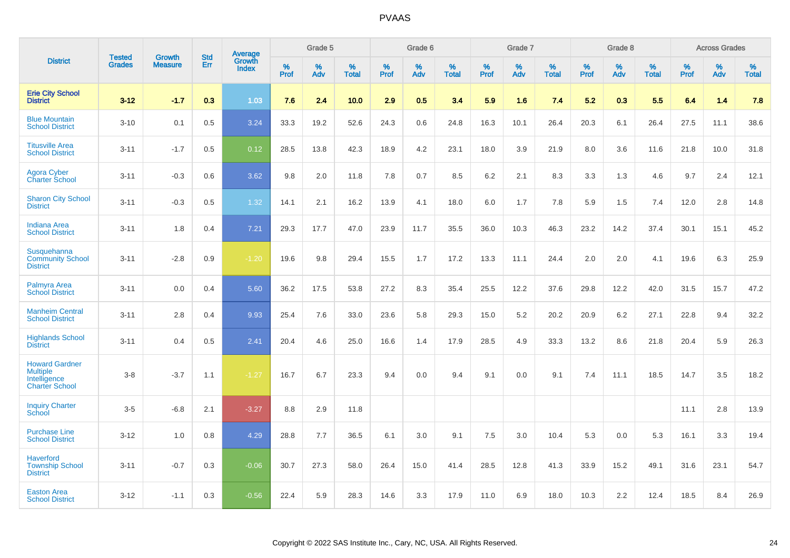|                                                                                   | <b>Tested</b> | <b>Growth</b>  | <b>Std</b> | <b>Average</b><br>Growth |                     | Grade 5  |                   |              | Grade 6  |                   |              | Grade 7  |                   |           | Grade 8  |                   |           | <b>Across Grades</b> |                   |
|-----------------------------------------------------------------------------------|---------------|----------------|------------|--------------------------|---------------------|----------|-------------------|--------------|----------|-------------------|--------------|----------|-------------------|-----------|----------|-------------------|-----------|----------------------|-------------------|
| <b>District</b>                                                                   | <b>Grades</b> | <b>Measure</b> | Err        | <b>Index</b>             | $\%$<br><b>Prof</b> | %<br>Adv | %<br><b>Total</b> | $\%$<br>Prof | %<br>Adv | %<br><b>Total</b> | $\%$<br>Prof | %<br>Adv | %<br><b>Total</b> | %<br>Prof | %<br>Adv | %<br><b>Total</b> | %<br>Prof | %<br>Adv             | %<br><b>Total</b> |
| <b>Erie City School</b><br><b>District</b>                                        | $3 - 12$      | $-1.7$         | 0.3        | 1.03                     | 7.6                 | 2.4      | 10.0              | 2.9          | 0.5      | 3.4               | 5.9          | 1.6      | 7.4               | 5.2       | 0.3      | 5.5               | 6.4       | 1.4                  | 7.8               |
| <b>Blue Mountain</b><br><b>School District</b>                                    | $3 - 10$      | 0.1            | 0.5        | 3.24                     | 33.3                | 19.2     | 52.6              | 24.3         | 0.6      | 24.8              | 16.3         | 10.1     | 26.4              | 20.3      | 6.1      | 26.4              | 27.5      | 11.1                 | 38.6              |
| <b>Titusville Area</b><br><b>School District</b>                                  | $3 - 11$      | $-1.7$         | 0.5        | 0.12                     | 28.5                | 13.8     | 42.3              | 18.9         | 4.2      | 23.1              | 18.0         | 3.9      | 21.9              | 8.0       | 3.6      | 11.6              | 21.8      | 10.0                 | 31.8              |
| <b>Agora Cyber</b><br><b>Charter School</b>                                       | $3 - 11$      | $-0.3$         | 0.6        | 3.62                     | 9.8                 | 2.0      | 11.8              | 7.8          | 0.7      | 8.5               | 6.2          | 2.1      | 8.3               | 3.3       | 1.3      | 4.6               | 9.7       | 2.4                  | 12.1              |
| <b>Sharon City School</b><br><b>District</b>                                      | $3 - 11$      | $-0.3$         | 0.5        | 1.32                     | 14.1                | 2.1      | 16.2              | 13.9         | 4.1      | 18.0              | 6.0          | 1.7      | 7.8               | 5.9       | 1.5      | 7.4               | 12.0      | 2.8                  | 14.8              |
| <b>Indiana Area</b><br><b>School District</b>                                     | $3 - 11$      | 1.8            | 0.4        | 7.21                     | 29.3                | 17.7     | 47.0              | 23.9         | 11.7     | 35.5              | 36.0         | 10.3     | 46.3              | 23.2      | 14.2     | 37.4              | 30.1      | 15.1                 | 45.2              |
| Susquehanna<br><b>Community School</b><br><b>District</b>                         | $3 - 11$      | $-2.8$         | 0.9        | $-1.20$                  | 19.6                | 9.8      | 29.4              | 15.5         | 1.7      | 17.2              | 13.3         | 11.1     | 24.4              | 2.0       | 2.0      | 4.1               | 19.6      | 6.3                  | 25.9              |
| Palmyra Area<br><b>School District</b>                                            | $3 - 11$      | 0.0            | 0.4        | 5.60                     | 36.2                | 17.5     | 53.8              | 27.2         | 8.3      | 35.4              | 25.5         | 12.2     | 37.6              | 29.8      | 12.2     | 42.0              | 31.5      | 15.7                 | 47.2              |
| <b>Manheim Central</b><br><b>School District</b>                                  | $3 - 11$      | 2.8            | 0.4        | 9.93                     | 25.4                | 7.6      | 33.0              | 23.6         | 5.8      | 29.3              | 15.0         | 5.2      | 20.2              | 20.9      | 6.2      | 27.1              | 22.8      | 9.4                  | 32.2              |
| <b>Highlands School</b><br><b>District</b>                                        | $3 - 11$      | 0.4            | 0.5        | $\overline{2.41}$        | 20.4                | 4.6      | 25.0              | 16.6         | 1.4      | 17.9              | 28.5         | 4.9      | 33.3              | 13.2      | 8.6      | 21.8              | 20.4      | 5.9                  | 26.3              |
| <b>Howard Gardner</b><br><b>Multiple</b><br>Intelligence<br><b>Charter School</b> | $3-8$         | $-3.7$         | 1.1        | $-1.27$                  | 16.7                | 6.7      | 23.3              | 9.4          | 0.0      | 9.4               | 9.1          | 0.0      | 9.1               | 7.4       | 11.1     | 18.5              | 14.7      | 3.5                  | 18.2              |
| <b>Inquiry Charter</b><br>School                                                  | $3-5$         | $-6.8$         | 2.1        | $-3.27$                  | 8.8                 | 2.9      | 11.8              |              |          |                   |              |          |                   |           |          |                   | 11.1      | 2.8                  | 13.9              |
| <b>Purchase Line</b><br><b>School District</b>                                    | $3 - 12$      | 1.0            | 0.8        | 4.29                     | 28.8                | 7.7      | 36.5              | 6.1          | 3.0      | 9.1               | 7.5          | 3.0      | 10.4              | 5.3       | 0.0      | 5.3               | 16.1      | 3.3                  | 19.4              |
| <b>Haverford</b><br><b>Township School</b><br><b>District</b>                     | $3 - 11$      | $-0.7$         | 0.3        | $-0.06$                  | 30.7                | 27.3     | 58.0              | 26.4         | 15.0     | 41.4              | 28.5         | 12.8     | 41.3              | 33.9      | 15.2     | 49.1              | 31.6      | 23.1                 | 54.7              |
| <b>Easton Area</b><br><b>School District</b>                                      | $3 - 12$      | $-1.1$         | 0.3        | $-0.56$                  | 22.4                | 5.9      | 28.3              | 14.6         | 3.3      | 17.9              | 11.0         | 6.9      | 18.0              | 10.3      | 2.2      | 12.4              | 18.5      | 8.4                  | 26.9              |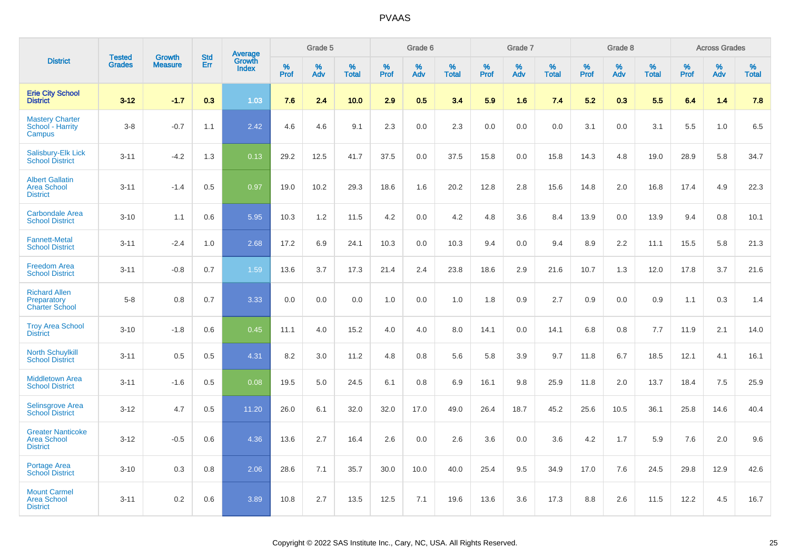|                                                                   |                                |                                 |                   | Average                |                     | Grade 5  |                   |                  | Grade 6  |                   |                  | Grade 7  |                   |           | Grade 8  |                   |              | <b>Across Grades</b> |                   |
|-------------------------------------------------------------------|--------------------------------|---------------------------------|-------------------|------------------------|---------------------|----------|-------------------|------------------|----------|-------------------|------------------|----------|-------------------|-----------|----------|-------------------|--------------|----------------------|-------------------|
| <b>District</b>                                                   | <b>Tested</b><br><b>Grades</b> | <b>Growth</b><br><b>Measure</b> | <b>Std</b><br>Err | Growth<br><b>Index</b> | $\%$<br><b>Prof</b> | %<br>Adv | %<br><b>Total</b> | %<br><b>Prof</b> | %<br>Adv | %<br><b>Total</b> | %<br><b>Prof</b> | %<br>Adv | %<br><b>Total</b> | %<br>Prof | %<br>Adv | %<br><b>Total</b> | $\%$<br>Prof | $\%$<br>Adv          | %<br><b>Total</b> |
| <b>Erie City School</b><br><b>District</b>                        | $3 - 12$                       | $-1.7$                          | 0.3               | 1.03                   | 7.6                 | 2.4      | 10.0              | 2.9              | 0.5      | 3.4               | 5.9              | 1.6      | 7.4               | 5.2       | 0.3      | 5.5               | 6.4          | 1.4                  | 7.8               |
| <b>Mastery Charter</b><br>School - Harrity<br>Campus              | $3-8$                          | $-0.7$                          | 1.1               | 2.42                   | 4.6                 | 4.6      | 9.1               | 2.3              | 0.0      | 2.3               | 0.0              | 0.0      | 0.0               | 3.1       | 0.0      | 3.1               | 5.5          | 1.0                  | 6.5               |
| Salisbury-Elk Lick<br><b>School District</b>                      | $3 - 11$                       | $-4.2$                          | 1.3               | 0.13                   | 29.2                | 12.5     | 41.7              | 37.5             | 0.0      | 37.5              | 15.8             | 0.0      | 15.8              | 14.3      | 4.8      | 19.0              | 28.9         | 5.8                  | 34.7              |
| <b>Albert Gallatin</b><br><b>Area School</b><br><b>District</b>   | $3 - 11$                       | $-1.4$                          | 0.5               | 0.97                   | 19.0                | 10.2     | 29.3              | 18.6             | 1.6      | 20.2              | 12.8             | 2.8      | 15.6              | 14.8      | 2.0      | 16.8              | 17.4         | 4.9                  | 22.3              |
| <b>Carbondale Area</b><br><b>School District</b>                  | $3 - 10$                       | 1.1                             | 0.6               | 5.95                   | 10.3                | 1.2      | 11.5              | 4.2              | 0.0      | 4.2               | 4.8              | 3.6      | 8.4               | 13.9      | 0.0      | 13.9              | 9.4          | 0.8                  | 10.1              |
| <b>Fannett-Metal</b><br><b>School District</b>                    | $3 - 11$                       | $-2.4$                          | 1.0               | 2.68                   | 17.2                | 6.9      | 24.1              | 10.3             | 0.0      | 10.3              | 9.4              | 0.0      | 9.4               | 8.9       | 2.2      | 11.1              | 15.5         | 5.8                  | 21.3              |
| <b>Freedom Area</b><br><b>School District</b>                     | $3 - 11$                       | $-0.8$                          | 0.7               | 1.59                   | 13.6                | 3.7      | 17.3              | 21.4             | 2.4      | 23.8              | 18.6             | 2.9      | 21.6              | 10.7      | 1.3      | 12.0              | 17.8         | 3.7                  | 21.6              |
| <b>Richard Allen</b><br>Preparatory<br><b>Charter School</b>      | $5-8$                          | 0.8                             | 0.7               | 3.33                   | 0.0                 | 0.0      | 0.0               | 1.0              | 0.0      | 1.0               | 1.8              | 0.9      | 2.7               | 0.9       | 0.0      | 0.9               | 1.1          | 0.3                  | 1.4               |
| <b>Troy Area School</b><br><b>District</b>                        | $3 - 10$                       | $-1.8$                          | 0.6               | 0.45                   | 11.1                | 4.0      | 15.2              | 4.0              | 4.0      | 8.0               | 14.1             | 0.0      | 14.1              | 6.8       | 0.8      | 7.7               | 11.9         | 2.1                  | 14.0              |
| <b>North Schuylkill</b><br><b>School District</b>                 | $3 - 11$                       | 0.5                             | 0.5               | 4.31                   | 8.2                 | 3.0      | 11.2              | 4.8              | 0.8      | 5.6               | 5.8              | 3.9      | 9.7               | 11.8      | 6.7      | 18.5              | 12.1         | 4.1                  | 16.1              |
| <b>Middletown Area</b><br><b>School District</b>                  | $3 - 11$                       | $-1.6$                          | 0.5               | 0.08                   | 19.5                | 5.0      | 24.5              | 6.1              | 0.8      | 6.9               | 16.1             | 9.8      | 25.9              | 11.8      | 2.0      | 13.7              | 18.4         | 7.5                  | 25.9              |
| <b>Selinsgrove Area</b><br><b>School District</b>                 | $3 - 12$                       | 4.7                             | 0.5               | 11.20                  | 26.0                | 6.1      | 32.0              | 32.0             | 17.0     | 49.0              | 26.4             | 18.7     | 45.2              | 25.6      | 10.5     | 36.1              | 25.8         | 14.6                 | 40.4              |
| <b>Greater Nanticoke</b><br><b>Area School</b><br><b>District</b> | $3 - 12$                       | $-0.5$                          | 0.6               | 4.36                   | 13.6                | 2.7      | 16.4              | 2.6              | 0.0      | 2.6               | 3.6              | 0.0      | 3.6               | 4.2       | 1.7      | 5.9               | 7.6          | 2.0                  | 9.6               |
| Portage Area<br><b>School District</b>                            | $3 - 10$                       | 0.3                             | 0.8               | 2.06                   | 28.6                | 7.1      | 35.7              | 30.0             | 10.0     | 40.0              | 25.4             | 9.5      | 34.9              | 17.0      | 7.6      | 24.5              | 29.8         | 12.9                 | 42.6              |
| <b>Mount Carmel</b><br><b>Area School</b><br><b>District</b>      | $3 - 11$                       | 0.2                             | 0.6               | 3.89                   | 10.8                | 2.7      | 13.5              | 12.5             | 7.1      | 19.6              | 13.6             | 3.6      | 17.3              | 8.8       | 2.6      | 11.5              | 12.2         | 4.5                  | 16.7              |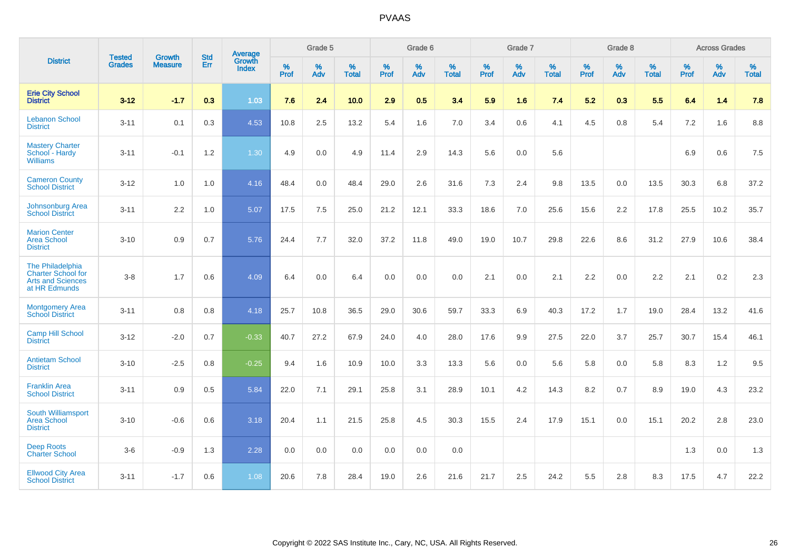|                                                                                            | <b>Tested</b> | <b>Growth</b>  | <b>Std</b> | Average                |                     | Grade 5  |                   |                     | Grade 6  |                   |              | Grade 7  |                   |                     | Grade 8  |                   |                     | <b>Across Grades</b> |                   |
|--------------------------------------------------------------------------------------------|---------------|----------------|------------|------------------------|---------------------|----------|-------------------|---------------------|----------|-------------------|--------------|----------|-------------------|---------------------|----------|-------------------|---------------------|----------------------|-------------------|
| <b>District</b>                                                                            | <b>Grades</b> | <b>Measure</b> | <b>Err</b> | Growth<br><b>Index</b> | $\%$<br><b>Prof</b> | %<br>Adv | %<br><b>Total</b> | $\%$<br><b>Prof</b> | %<br>Adv | %<br><b>Total</b> | $\%$<br>Prof | %<br>Adv | %<br><b>Total</b> | $\%$<br><b>Prof</b> | %<br>Adv | %<br><b>Total</b> | $\%$<br><b>Prof</b> | %<br>Adv             | %<br><b>Total</b> |
| <b>Erie City School</b><br><b>District</b>                                                 | $3 - 12$      | $-1.7$         | 0.3        | 1.03                   | 7.6                 | 2.4      | 10.0              | 2.9                 | 0.5      | 3.4               | 5.9          | 1.6      | 7.4               | 5.2                 | 0.3      | 5.5               | 6.4                 | 1.4                  | 7.8               |
| <b>Lebanon School</b><br><b>District</b>                                                   | $3 - 11$      | 0.1            | 0.3        | 4.53                   | 10.8                | 2.5      | 13.2              | 5.4                 | 1.6      | 7.0               | 3.4          | 0.6      | 4.1               | 4.5                 | 0.8      | 5.4               | 7.2                 | 1.6                  | 8.8               |
| <b>Mastery Charter</b><br>School - Hardy<br><b>Williams</b>                                | $3 - 11$      | $-0.1$         | 1.2        | 1.30                   | 4.9                 | 0.0      | 4.9               | 11.4                | 2.9      | 14.3              | 5.6          | 0.0      | 5.6               |                     |          |                   | 6.9                 | 0.6                  | 7.5               |
| <b>Cameron County</b><br><b>School District</b>                                            | $3 - 12$      | 1.0            | 1.0        | 4.16                   | 48.4                | 0.0      | 48.4              | 29.0                | 2.6      | 31.6              | 7.3          | 2.4      | 9.8               | 13.5                | 0.0      | 13.5              | 30.3                | 6.8                  | 37.2              |
| Johnsonburg Area<br><b>School District</b>                                                 | $3 - 11$      | 2.2            | 1.0        | 5.07                   | 17.5                | 7.5      | 25.0              | 21.2                | 12.1     | 33.3              | 18.6         | 7.0      | 25.6              | 15.6                | 2.2      | 17.8              | 25.5                | 10.2                 | 35.7              |
| <b>Marion Center</b><br><b>Area School</b><br><b>District</b>                              | $3 - 10$      | 0.9            | 0.7        | 5.76                   | 24.4                | 7.7      | 32.0              | 37.2                | 11.8     | 49.0              | 19.0         | 10.7     | 29.8              | 22.6                | 8.6      | 31.2              | 27.9                | 10.6                 | 38.4              |
| The Philadelphia<br><b>Charter School for</b><br><b>Arts and Sciences</b><br>at HR Edmunds | $3 - 8$       | 1.7            | 0.6        | 4.09                   | 6.4                 | 0.0      | 6.4               | 0.0                 | 0.0      | 0.0               | 2.1          | 0.0      | 2.1               | 2.2                 | 0.0      | 2.2               | 2.1                 | $0.2\,$              | 2.3               |
| <b>Montgomery Area</b><br><b>School District</b>                                           | $3 - 11$      | 0.8            | 0.8        | 4.18                   | 25.7                | 10.8     | 36.5              | 29.0                | 30.6     | 59.7              | 33.3         | 6.9      | 40.3              | 17.2                | 1.7      | 19.0              | 28.4                | 13.2                 | 41.6              |
| <b>Camp Hill School</b><br><b>District</b>                                                 | $3 - 12$      | $-2.0$         | 0.7        | $-0.33$                | 40.7                | 27.2     | 67.9              | 24.0                | 4.0      | 28.0              | 17.6         | 9.9      | 27.5              | 22.0                | 3.7      | 25.7              | 30.7                | 15.4                 | 46.1              |
| <b>Antietam School</b><br><b>District</b>                                                  | $3 - 10$      | $-2.5$         | 0.8        | $-0.25$                | 9.4                 | 1.6      | 10.9              | 10.0                | 3.3      | 13.3              | 5.6          | 0.0      | 5.6               | 5.8                 | 0.0      | 5.8               | 8.3                 | 1.2                  | 9.5               |
| <b>Franklin Area</b><br><b>School District</b>                                             | $3 - 11$      | 0.9            | 0.5        | 5.84                   | 22.0                | 7.1      | 29.1              | 25.8                | 3.1      | 28.9              | 10.1         | 4.2      | 14.3              | 8.2                 | 0.7      | 8.9               | 19.0                | 4.3                  | 23.2              |
| South Williamsport<br><b>Area School</b><br><b>District</b>                                | $3 - 10$      | $-0.6$         | 0.6        | 3.18                   | 20.4                | 1.1      | 21.5              | 25.8                | 4.5      | 30.3              | 15.5         | 2.4      | 17.9              | 15.1                | 0.0      | 15.1              | 20.2                | 2.8                  | 23.0              |
| <b>Deep Roots</b><br><b>Charter School</b>                                                 | $3-6$         | $-0.9$         | 1.3        | 2.28                   | 0.0                 | 0.0      | 0.0               | 0.0                 | 0.0      | 0.0               |              |          |                   |                     |          |                   | 1.3                 | 0.0                  | 1.3               |
| <b>Ellwood City Area</b><br><b>School District</b>                                         | $3 - 11$      | $-1.7$         | 0.6        | 1.08                   | 20.6                | 7.8      | 28.4              | 19.0                | 2.6      | 21.6              | 21.7         | 2.5      | 24.2              | 5.5                 | 2.8      | 8.3               | 17.5                | 4.7                  | 22.2              |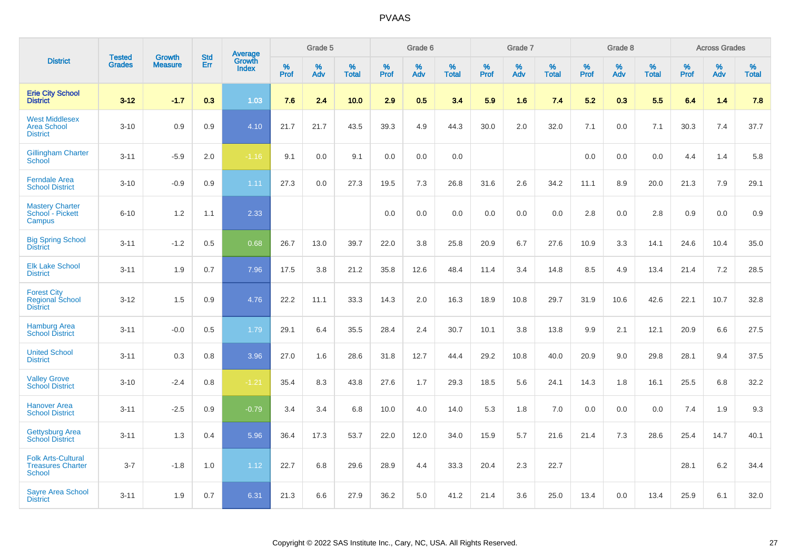|                                                                 |                                |                                 |                   | Average                |                     | Grade 5     |                   |                  | Grade 6  |                   |              | Grade 7     |                   |              | Grade 8  |                   |                     | <b>Across Grades</b> |                   |
|-----------------------------------------------------------------|--------------------------------|---------------------------------|-------------------|------------------------|---------------------|-------------|-------------------|------------------|----------|-------------------|--------------|-------------|-------------------|--------------|----------|-------------------|---------------------|----------------------|-------------------|
| <b>District</b>                                                 | <b>Tested</b><br><b>Grades</b> | <b>Growth</b><br><b>Measure</b> | <b>Std</b><br>Err | Growth<br><b>Index</b> | $\%$<br><b>Prof</b> | $\%$<br>Adv | %<br><b>Total</b> | %<br><b>Prof</b> | %<br>Adv | %<br><b>Total</b> | $\%$<br>Prof | $\%$<br>Adv | %<br><b>Total</b> | $\%$<br>Prof | %<br>Adv | %<br><b>Total</b> | $\%$<br><b>Prof</b> | $\%$<br>Adv          | %<br><b>Total</b> |
| <b>Erie City School</b><br><b>District</b>                      | $3 - 12$                       | $-1.7$                          | 0.3               | 1.03                   | 7.6                 | 2.4         | 10.0              | 2.9              | 0.5      | 3.4               | 5.9          | 1.6         | 7.4               | 5.2          | 0.3      | 5.5               | 6.4                 | 1.4                  | 7.8               |
| <b>West Middlesex</b><br><b>Area School</b><br><b>District</b>  | $3 - 10$                       | 0.9                             | 0.9               | 4.10                   | 21.7                | 21.7        | 43.5              | 39.3             | 4.9      | 44.3              | 30.0         | 2.0         | 32.0              | 7.1          | 0.0      | 7.1               | 30.3                | 7.4                  | 37.7              |
| <b>Gillingham Charter</b><br>School                             | $3 - 11$                       | $-5.9$                          | 2.0               | $-1.16$                | 9.1                 | 0.0         | 9.1               | 0.0              | 0.0      | 0.0               |              |             |                   | 0.0          | 0.0      | 0.0               | 4.4                 | 1.4                  | 5.8               |
| <b>Ferndale Area</b><br><b>School District</b>                  | $3 - 10$                       | $-0.9$                          | 0.9               | 1.11                   | 27.3                | 0.0         | 27.3              | 19.5             | 7.3      | 26.8              | 31.6         | 2.6         | 34.2              | 11.1         | 8.9      | 20.0              | 21.3                | 7.9                  | 29.1              |
| <b>Mastery Charter</b><br>School - Pickett<br>Campus            | $6 - 10$                       | 1.2                             | 1.1               | 2.33                   |                     |             |                   | 0.0              | 0.0      | 0.0               | 0.0          | 0.0         | 0.0               | 2.8          | 0.0      | 2.8               | 0.9                 | 0.0                  | 0.9               |
| <b>Big Spring School</b><br><b>District</b>                     | $3 - 11$                       | $-1.2$                          | 0.5               | 0.68                   | 26.7                | 13.0        | 39.7              | 22.0             | 3.8      | 25.8              | 20.9         | 6.7         | 27.6              | 10.9         | 3.3      | 14.1              | 24.6                | 10.4                 | 35.0              |
| <b>Elk Lake School</b><br><b>District</b>                       | $3 - 11$                       | 1.9                             | 0.7               | 7.96                   | 17.5                | 3.8         | 21.2              | 35.8             | 12.6     | 48.4              | 11.4         | 3.4         | 14.8              | 8.5          | 4.9      | 13.4              | 21.4                | 7.2                  | 28.5              |
| <b>Forest City</b><br><b>Regional School</b><br><b>District</b> | $3 - 12$                       | 1.5                             | 0.9               | 4.76                   | 22.2                | 11.1        | 33.3              | 14.3             | 2.0      | 16.3              | 18.9         | 10.8        | 29.7              | 31.9         | 10.6     | 42.6              | 22.1                | 10.7                 | 32.8              |
| <b>Hamburg Area</b><br><b>School District</b>                   | $3 - 11$                       | $-0.0$                          | 0.5               | 1.79                   | 29.1                | 6.4         | 35.5              | 28.4             | 2.4      | 30.7              | 10.1         | 3.8         | 13.8              | 9.9          | 2.1      | 12.1              | 20.9                | 6.6                  | 27.5              |
| <b>United School</b><br><b>District</b>                         | $3 - 11$                       | 0.3                             | 0.8               | 3.96                   | 27.0                | 1.6         | 28.6              | 31.8             | 12.7     | 44.4              | 29.2         | 10.8        | 40.0              | 20.9         | 9.0      | 29.8              | 28.1                | 9.4                  | 37.5              |
| <b>Valley Grove</b><br><b>School District</b>                   | $3 - 10$                       | $-2.4$                          | 0.8               | $-1.21$                | 35.4                | 8.3         | 43.8              | 27.6             | 1.7      | 29.3              | 18.5         | 5.6         | 24.1              | 14.3         | 1.8      | 16.1              | 25.5                | 6.8                  | 32.2              |
| <b>Hanover Area</b><br><b>School District</b>                   | $3 - 11$                       | $-2.5$                          | 0.9               | $-0.79$                | 3.4                 | 3.4         | 6.8               | 10.0             | 4.0      | 14.0              | 5.3          | 1.8         | 7.0               | 0.0          | 0.0      | 0.0               | 7.4                 | 1.9                  | 9.3               |
| <b>Gettysburg Area</b><br><b>School District</b>                | $3 - 11$                       | 1.3                             | 0.4               | 5.96                   | 36.4                | 17.3        | 53.7              | 22.0             | 12.0     | 34.0              | 15.9         | 5.7         | 21.6              | 21.4         | 7.3      | 28.6              | 25.4                | 14.7                 | 40.1              |
| <b>Folk Arts-Cultural</b><br><b>Treasures Charter</b><br>School | $3 - 7$                        | $-1.8$                          | 1.0               | 1.12                   | 22.7                | 6.8         | 29.6              | 28.9             | 4.4      | 33.3              | 20.4         | 2.3         | 22.7              |              |          |                   | 28.1                | 6.2                  | 34.4              |
| <b>Sayre Area School</b><br><b>District</b>                     | $3 - 11$                       | 1.9                             | 0.7               | 6.31                   | 21.3                | 6.6         | 27.9              | 36.2             | 5.0      | 41.2              | 21.4         | 3.6         | 25.0              | 13.4         | 0.0      | 13.4              | 25.9                | 6.1                  | 32.0              |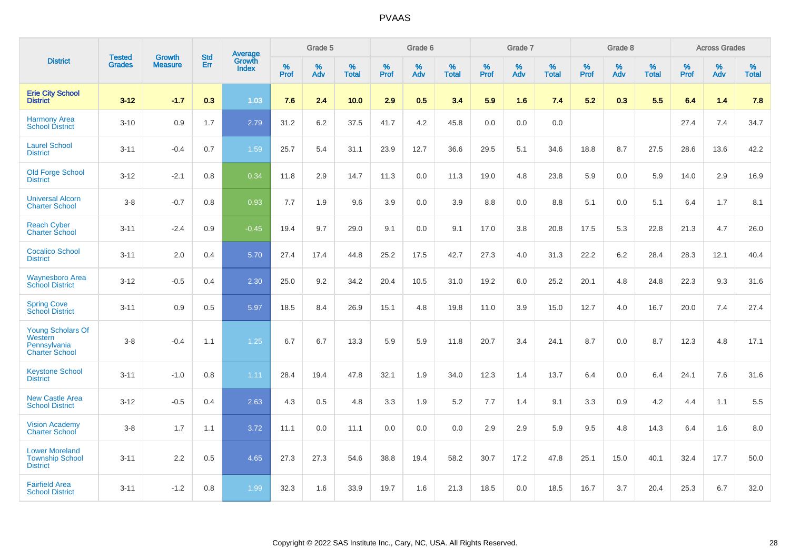|                                                                              | <b>Tested</b> | <b>Growth</b>  | <b>Std</b> | Average                       |              | Grade 5  |                   |           | Grade 6  |                   |           | Grade 7  |                   |           | Grade 8  |                   |           | <b>Across Grades</b> |                   |
|------------------------------------------------------------------------------|---------------|----------------|------------|-------------------------------|--------------|----------|-------------------|-----------|----------|-------------------|-----------|----------|-------------------|-----------|----------|-------------------|-----------|----------------------|-------------------|
| <b>District</b>                                                              | <b>Grades</b> | <b>Measure</b> | Err        | <b>Growth</b><br><b>Index</b> | $\%$<br>Prof | %<br>Adv | %<br><b>Total</b> | %<br>Prof | %<br>Adv | %<br><b>Total</b> | %<br>Prof | %<br>Adv | %<br><b>Total</b> | %<br>Prof | %<br>Adv | %<br><b>Total</b> | %<br>Prof | %<br>Adv             | %<br><b>Total</b> |
| <b>Erie City School</b><br><b>District</b>                                   | $3 - 12$      | $-1.7$         | 0.3        | 1.03                          | 7.6          | 2.4      | 10.0              | 2.9       | 0.5      | 3.4               | 5.9       | 1.6      | 7.4               | 5.2       | 0.3      | 5.5               | 6.4       | 1.4                  | 7.8               |
| <b>Harmony Area</b><br><b>School District</b>                                | $3 - 10$      | 0.9            | 1.7        | 2.79                          | 31.2         | 6.2      | 37.5              | 41.7      | 4.2      | 45.8              | 0.0       | 0.0      | 0.0               |           |          |                   | 27.4      | 7.4                  | 34.7              |
| <b>Laurel School</b><br><b>District</b>                                      | $3 - 11$      | $-0.4$         | 0.7        | 1.59                          | 25.7         | 5.4      | 31.1              | 23.9      | 12.7     | 36.6              | 29.5      | 5.1      | 34.6              | 18.8      | 8.7      | 27.5              | 28.6      | 13.6                 | 42.2              |
| <b>Old Forge School</b><br><b>District</b>                                   | $3 - 12$      | $-2.1$         | 0.8        | 0.34                          | 11.8         | 2.9      | 14.7              | 11.3      | 0.0      | 11.3              | 19.0      | 4.8      | 23.8              | 5.9       | 0.0      | 5.9               | 14.0      | 2.9                  | 16.9              |
| <b>Universal Alcorn</b><br><b>Charter School</b>                             | $3 - 8$       | $-0.7$         | 0.8        | 0.93                          | 7.7          | 1.9      | 9.6               | 3.9       | $0.0\,$  | 3.9               | 8.8       | $0.0\,$  | 8.8               | 5.1       | $0.0\,$  | 5.1               | 6.4       | 1.7                  | 8.1               |
| <b>Reach Cyber</b><br><b>Charter School</b>                                  | $3 - 11$      | $-2.4$         | 0.9        | $-0.45$                       | 19.4         | 9.7      | 29.0              | 9.1       | 0.0      | 9.1               | 17.0      | 3.8      | 20.8              | 17.5      | 5.3      | 22.8              | 21.3      | 4.7                  | 26.0              |
| <b>Cocalico School</b><br><b>District</b>                                    | $3 - 11$      | 2.0            | 0.4        | 5.70                          | 27.4         | 17.4     | 44.8              | 25.2      | 17.5     | 42.7              | 27.3      | 4.0      | 31.3              | 22.2      | $6.2\,$  | 28.4              | 28.3      | 12.1                 | 40.4              |
| <b>Waynesboro Area</b><br><b>School District</b>                             | $3 - 12$      | $-0.5$         | 0.4        | 2.30                          | 25.0         | 9.2      | 34.2              | 20.4      | 10.5     | 31.0              | 19.2      | 6.0      | 25.2              | 20.1      | 4.8      | 24.8              | 22.3      | 9.3                  | 31.6              |
| <b>Spring Cove</b><br><b>School District</b>                                 | $3 - 11$      | 0.9            | 0.5        | 5.97                          | 18.5         | 8.4      | 26.9              | 15.1      | 4.8      | 19.8              | 11.0      | 3.9      | 15.0              | 12.7      | 4.0      | 16.7              | 20.0      | 7.4                  | 27.4              |
| <b>Young Scholars Of</b><br>Western<br>Pennsylvania<br><b>Charter School</b> | $3 - 8$       | $-0.4$         | 1.1        | 1.25                          | 6.7          | 6.7      | 13.3              | 5.9       | 5.9      | 11.8              | 20.7      | 3.4      | 24.1              | 8.7       | 0.0      | 8.7               | 12.3      | 4.8                  | 17.1              |
| <b>Keystone School</b><br><b>District</b>                                    | $3 - 11$      | $-1.0$         | 0.8        | 1.11                          | 28.4         | 19.4     | 47.8              | 32.1      | 1.9      | 34.0              | 12.3      | 1.4      | 13.7              | 6.4       | 0.0      | 6.4               | 24.1      | 7.6                  | 31.6              |
| <b>New Castle Area</b><br><b>School District</b>                             | $3 - 12$      | $-0.5$         | 0.4        | 2.63                          | 4.3          | 0.5      | 4.8               | 3.3       | 1.9      | 5.2               | 7.7       | 1.4      | 9.1               | 3.3       | 0.9      | 4.2               | 4.4       | 1.1                  | 5.5               |
| <b>Vision Academy</b><br><b>Charter School</b>                               | $3 - 8$       | 1.7            | 1.1        | 3.72                          | 11.1         | 0.0      | 11.1              | 0.0       | 0.0      | 0.0               | 2.9       | 2.9      | 5.9               | 9.5       | 4.8      | 14.3              | 6.4       | 1.6                  | 8.0               |
| <b>Lower Moreland</b><br><b>Township School</b><br><b>District</b>           | $3 - 11$      | 2.2            | 0.5        | 4.65                          | 27.3         | 27.3     | 54.6              | 38.8      | 19.4     | 58.2              | 30.7      | 17.2     | 47.8              | 25.1      | 15.0     | 40.1              | 32.4      | 17.7                 | 50.0              |
| <b>Fairfield Area</b><br><b>School District</b>                              | $3 - 11$      | $-1.2$         | 0.8        | 1.99                          | 32.3         | 1.6      | 33.9              | 19.7      | 1.6      | 21.3              | 18.5      | 0.0      | 18.5              | 16.7      | 3.7      | 20.4              | 25.3      | 6.7                  | 32.0              |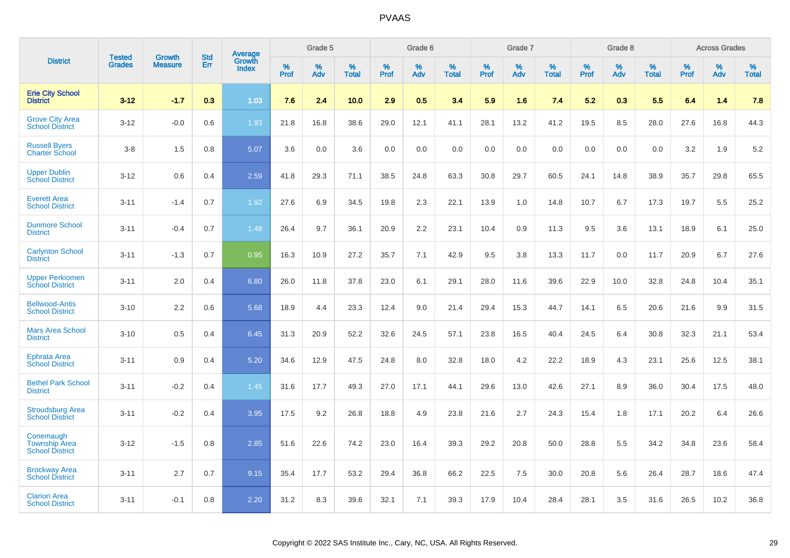|                                                             | <b>Tested</b> | <b>Growth</b>  | <b>Std</b> | Average<br>Growth |                     | Grade 5  |                      |              | Grade 6  |                      |              | Grade 7  |                      |              | Grade 8  |                      |                     | <b>Across Grades</b> |                      |
|-------------------------------------------------------------|---------------|----------------|------------|-------------------|---------------------|----------|----------------------|--------------|----------|----------------------|--------------|----------|----------------------|--------------|----------|----------------------|---------------------|----------------------|----------------------|
| <b>District</b>                                             | <b>Grades</b> | <b>Measure</b> | Err        | <b>Index</b>      | $\%$<br><b>Prof</b> | %<br>Adv | $\%$<br><b>Total</b> | $\%$<br>Prof | %<br>Adv | $\%$<br><b>Total</b> | $\%$<br>Prof | %<br>Adv | $\%$<br><b>Total</b> | $\%$<br>Prof | %<br>Adv | $\%$<br><b>Total</b> | $\%$<br><b>Prof</b> | $\%$<br>Adv          | $\%$<br><b>Total</b> |
| <b>Erie City School</b><br><b>District</b>                  | $3 - 12$      | $-1.7$         | 0.3        | 1.03              | 7.6                 | 2.4      | 10.0                 | 2.9          | 0.5      | 3.4                  | 5.9          | 1.6      | 7.4                  | 5.2          | 0.3      | 5.5                  | 6.4                 | 1.4                  | 7.8                  |
| <b>Grove City Area</b><br><b>School District</b>            | $3 - 12$      | $-0.0$         | 0.6        | 1.93              | 21.8                | 16.8     | 38.6                 | 29.0         | 12.1     | 41.1                 | 28.1         | 13.2     | 41.2                 | 19.5         | 8.5      | 28.0                 | 27.6                | 16.8                 | 44.3                 |
| <b>Russell Byers</b><br><b>Charter School</b>               | $3 - 8$       | 1.5            | 0.8        | 5.07              | 3.6                 | 0.0      | 3.6                  | 0.0          | 0.0      | 0.0                  | 0.0          | 0.0      | 0.0                  | 0.0          | 0.0      | 0.0                  | 3.2                 | 1.9                  | 5.2                  |
| <b>Upper Dublin</b><br><b>School District</b>               | $3 - 12$      | 0.6            | 0.4        | 2.59              | 41.8                | 29.3     | 71.1                 | 38.5         | 24.8     | 63.3                 | 30.8         | 29.7     | 60.5                 | 24.1         | 14.8     | 38.9                 | 35.7                | 29.8                 | 65.5                 |
| <b>Everett Area</b><br><b>School District</b>               | $3 - 11$      | $-1.4$         | 0.7        | 1.92              | 27.6                | 6.9      | 34.5                 | 19.8         | 2.3      | 22.1                 | 13.9         | 1.0      | 14.8                 | 10.7         | 6.7      | 17.3                 | 19.7                | 5.5                  | 25.2                 |
| <b>Dunmore School</b><br><b>District</b>                    | $3 - 11$      | $-0.4$         | 0.7        | 1.48              | 26.4                | 9.7      | 36.1                 | 20.9         | 2.2      | 23.1                 | 10.4         | 0.9      | 11.3                 | 9.5          | 3.6      | 13.1                 | 18.9                | 6.1                  | 25.0                 |
| <b>Carlynton School</b><br><b>District</b>                  | $3 - 11$      | $-1.3$         | 0.7        | 0.95              | 16.3                | 10.9     | 27.2                 | 35.7         | 7.1      | 42.9                 | 9.5          | 3.8      | 13.3                 | 11.7         | 0.0      | 11.7                 | 20.9                | 6.7                  | 27.6                 |
| <b>Upper Perkiomen</b><br><b>School District</b>            | $3 - 11$      | 2.0            | 0.4        | 6.80              | 26.0                | 11.8     | 37.8                 | 23.0         | 6.1      | 29.1                 | 28.0         | 11.6     | 39.6                 | 22.9         | 10.0     | 32.8                 | 24.8                | 10.4                 | 35.1                 |
| <b>Bellwood-Antis</b><br><b>School District</b>             | $3 - 10$      | 2.2            | 0.6        | 5.68              | 18.9                | 4.4      | 23.3                 | 12.4         | 9.0      | 21.4                 | 29.4         | 15.3     | 44.7                 | 14.1         | 6.5      | 20.6                 | 21.6                | 9.9                  | 31.5                 |
| <b>Mars Area School</b><br><b>District</b>                  | $3 - 10$      | 0.5            | 0.4        | 6.45              | 31.3                | 20.9     | 52.2                 | 32.6         | 24.5     | 57.1                 | 23.8         | 16.5     | 40.4                 | 24.5         | 6.4      | 30.8                 | 32.3                | 21.1                 | 53.4                 |
| <b>Ephrata Area</b><br><b>School District</b>               | $3 - 11$      | 0.9            | 0.4        | 5.20              | 34.6                | 12.9     | 47.5                 | 24.8         | 8.0      | 32.8                 | 18.0         | 4.2      | 22.2                 | 18.9         | 4.3      | 23.1                 | 25.6                | 12.5                 | 38.1                 |
| <b>Bethel Park School</b><br><b>District</b>                | $3 - 11$      | $-0.2$         | 0.4        | 1.45              | 31.6                | 17.7     | 49.3                 | 27.0         | 17.1     | 44.1                 | 29.6         | 13.0     | 42.6                 | 27.1         | 8.9      | 36.0                 | 30.4                | 17.5                 | 48.0                 |
| <b>Stroudsburg Area</b><br><b>School District</b>           | $3 - 11$      | $-0.2$         | 0.4        | 3.95              | 17.5                | 9.2      | 26.8                 | 18.8         | 4.9      | 23.8                 | 21.6         | 2.7      | 24.3                 | 15.4         | 1.8      | 17.1                 | 20.2                | 6.4                  | 26.6                 |
| Conemaugh<br><b>Township Area</b><br><b>School District</b> | $3 - 12$      | $-1.5$         | 0.8        | 2.85              | 51.6                | 22.6     | 74.2                 | 23.0         | 16.4     | 39.3                 | 29.2         | 20.8     | 50.0                 | 28.8         | 5.5      | 34.2                 | 34.8                | 23.6                 | 58.4                 |
| <b>Brockway Area</b><br><b>School District</b>              | $3 - 11$      | 2.7            | 0.7        | 9.15              | 35.4                | 17.7     | 53.2                 | 29.4         | 36.8     | 66.2                 | 22.5         | 7.5      | 30.0                 | 20.8         | 5.6      | 26.4                 | 28.7                | 18.6                 | 47.4                 |
| <b>Clarion Area</b><br><b>School District</b>               | $3 - 11$      | $-0.1$         | 0.8        | 2.20              | 31.2                | 8.3      | 39.6                 | 32.1         | 7.1      | 39.3                 | 17.9         | 10.4     | 28.4                 | 28.1         | 3.5      | 31.6                 | 26.5                | 10.2                 | 36.8                 |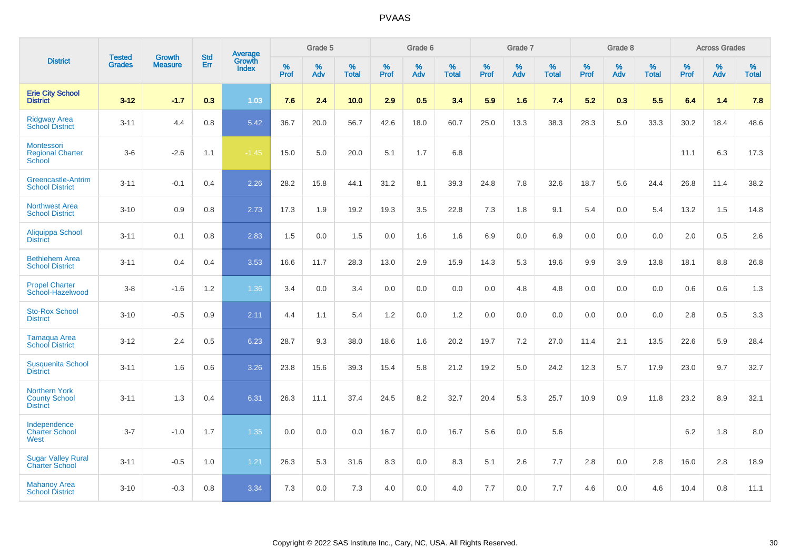|                                                                 | <b>Tested</b> | <b>Growth</b>  | <b>Std</b> | Average                       |              | Grade 5  |                   |           | Grade 6  |                   |           | Grade 7  |                   |           | Grade 8  |                   |           | <b>Across Grades</b> |                   |
|-----------------------------------------------------------------|---------------|----------------|------------|-------------------------------|--------------|----------|-------------------|-----------|----------|-------------------|-----------|----------|-------------------|-----------|----------|-------------------|-----------|----------------------|-------------------|
| <b>District</b>                                                 | <b>Grades</b> | <b>Measure</b> | Err        | <b>Growth</b><br><b>Index</b> | $\%$<br>Prof | %<br>Adv | %<br><b>Total</b> | %<br>Prof | %<br>Adv | %<br><b>Total</b> | %<br>Prof | %<br>Adv | %<br><b>Total</b> | %<br>Prof | %<br>Adv | %<br><b>Total</b> | %<br>Prof | %<br>Adv             | %<br><b>Total</b> |
| <b>Erie City School</b><br><b>District</b>                      | $3 - 12$      | $-1.7$         | 0.3        | 1.03                          | 7.6          | 2.4      | 10.0              | 2.9       | 0.5      | 3.4               | 5.9       | 1.6      | 7.4               | 5.2       | 0.3      | 5.5               | 6.4       | 1.4                  | 7.8               |
| <b>Ridgway Area</b><br><b>School District</b>                   | $3 - 11$      | 4.4            | 0.8        | 5.42                          | 36.7         | 20.0     | 56.7              | 42.6      | 18.0     | 60.7              | 25.0      | 13.3     | 38.3              | 28.3      | 5.0      | 33.3              | 30.2      | 18.4                 | 48.6              |
| Montessori<br><b>Regional Charter</b><br>School                 | $3-6$         | $-2.6$         | 1.1        | $-1.45$                       | 15.0         | 5.0      | 20.0              | 5.1       | 1.7      | 6.8               |           |          |                   |           |          |                   | 11.1      | 6.3                  | 17.3              |
| <b>Greencastle-Antrim</b><br><b>School District</b>             | $3 - 11$      | $-0.1$         | 0.4        | 2.26                          | 28.2         | 15.8     | 44.1              | 31.2      | 8.1      | 39.3              | 24.8      | 7.8      | 32.6              | 18.7      | 5.6      | 24.4              | 26.8      | 11.4                 | 38.2              |
| <b>Northwest Area</b><br><b>School District</b>                 | $3 - 10$      | 0.9            | 0.8        | 2.73                          | 17.3         | 1.9      | 19.2              | 19.3      | 3.5      | 22.8              | 7.3       | 1.8      | 9.1               | 5.4       | 0.0      | 5.4               | 13.2      | 1.5                  | 14.8              |
| <b>Aliquippa School</b><br><b>District</b>                      | $3 - 11$      | 0.1            | 0.8        | 2.83                          | 1.5          | 0.0      | 1.5               | 0.0       | 1.6      | 1.6               | 6.9       | 0.0      | 6.9               | 0.0       | 0.0      | 0.0               | 2.0       | 0.5                  | 2.6               |
| <b>Bethlehem Area</b><br><b>School District</b>                 | $3 - 11$      | 0.4            | 0.4        | 3.53                          | 16.6         | 11.7     | 28.3              | 13.0      | 2.9      | 15.9              | 14.3      | 5.3      | 19.6              | 9.9       | 3.9      | 13.8              | 18.1      | 8.8                  | 26.8              |
| <b>Propel Charter</b><br>School-Hazelwood                       | $3 - 8$       | $-1.6$         | 1.2        | 1.36                          | 3.4          | 0.0      | 3.4               | 0.0       | 0.0      | 0.0               | 0.0       | 4.8      | 4.8               | 0.0       | 0.0      | 0.0               | 0.6       | 0.6                  | 1.3               |
| <b>Sto-Rox School</b><br><b>District</b>                        | $3 - 10$      | $-0.5$         | 0.9        | 2.11                          | 4.4          | 1.1      | 5.4               | 1.2       | 0.0      | 1.2               | 0.0       | 0.0      | 0.0               | 0.0       | 0.0      | 0.0               | 2.8       | 0.5                  | 3.3               |
| <b>Tamaqua Area</b><br><b>School District</b>                   | $3 - 12$      | 2.4            | 0.5        | 6.23                          | 28.7         | 9.3      | 38.0              | 18.6      | 1.6      | 20.2              | 19.7      | 7.2      | 27.0              | 11.4      | 2.1      | 13.5              | 22.6      | 5.9                  | 28.4              |
| <b>Susquenita School</b><br><b>District</b>                     | $3 - 11$      | 1.6            | 0.6        | 3.26                          | 23.8         | 15.6     | 39.3              | 15.4      | 5.8      | 21.2              | 19.2      | 5.0      | 24.2              | 12.3      | 5.7      | 17.9              | 23.0      | 9.7                  | 32.7              |
| <b>Northern York</b><br><b>County School</b><br><b>District</b> | $3 - 11$      | 1.3            | 0.4        | 6.31                          | 26.3         | 11.1     | 37.4              | 24.5      | 8.2      | 32.7              | 20.4      | 5.3      | 25.7              | 10.9      | 0.9      | 11.8              | 23.2      | 8.9                  | 32.1              |
| Independence<br><b>Charter School</b><br>West                   | $3 - 7$       | $-1.0$         | 1.7        | 1.35                          | 0.0          | $0.0\,$  | 0.0               | 16.7      | 0.0      | 16.7              | 5.6       | 0.0      | 5.6               |           |          |                   | 6.2       | 1.8                  | 8.0               |
| <b>Sugar Valley Rural</b><br><b>Charter School</b>              | $3 - 11$      | $-0.5$         | 1.0        | 1.21                          | 26.3         | 5.3      | 31.6              | 8.3       | 0.0      | 8.3               | 5.1       | 2.6      | 7.7               | 2.8       | 0.0      | 2.8               | 16.0      | 2.8                  | 18.9              |
| <b>Mahanoy Area</b><br><b>School District</b>                   | $3 - 10$      | $-0.3$         | 0.8        | 3.34                          | 7.3          | 0.0      | 7.3               | 4.0       | 0.0      | 4.0               | 7.7       | 0.0      | 7.7               | 4.6       | 0.0      | 4.6               | 10.4      | 0.8                  | 11.1              |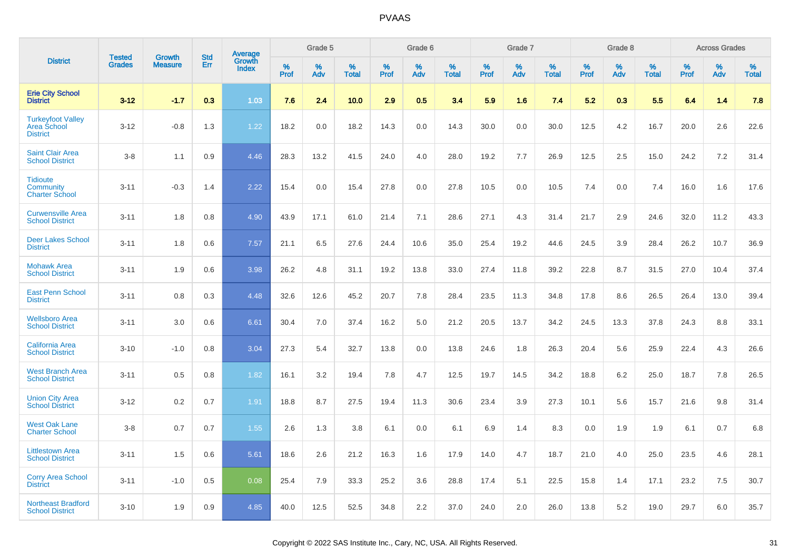|                                                                   |                                |                                 |                   | Average                |           | Grade 5  |                   |           | Grade 6  |                   |           | Grade 7  |                   |           | Grade 8  |                   |           | <b>Across Grades</b> |                   |
|-------------------------------------------------------------------|--------------------------------|---------------------------------|-------------------|------------------------|-----------|----------|-------------------|-----------|----------|-------------------|-----------|----------|-------------------|-----------|----------|-------------------|-----------|----------------------|-------------------|
| <b>District</b>                                                   | <b>Tested</b><br><b>Grades</b> | <b>Growth</b><br><b>Measure</b> | <b>Std</b><br>Err | Growth<br><b>Index</b> | %<br>Prof | %<br>Adv | %<br><b>Total</b> | %<br>Prof | %<br>Adv | %<br><b>Total</b> | %<br>Prof | %<br>Adv | %<br><b>Total</b> | %<br>Prof | %<br>Adv | %<br><b>Total</b> | %<br>Prof | %<br>Adv             | %<br><b>Total</b> |
| <b>Erie City School</b><br><b>District</b>                        | $3 - 12$                       | $-1.7$                          | 0.3               | 1.03                   | 7.6       | 2.4      | 10.0              | 2.9       | 0.5      | 3.4               | 5.9       | 1.6      | 7.4               | 5.2       | 0.3      | 5.5               | 6.4       | 1.4                  | 7.8               |
| <b>Turkeyfoot Valley</b><br><b>Area School</b><br><b>District</b> | $3 - 12$                       | $-0.8$                          | 1.3               | 1.22                   | 18.2      | 0.0      | 18.2              | 14.3      | 0.0      | 14.3              | 30.0      | 0.0      | 30.0              | 12.5      | 4.2      | 16.7              | 20.0      | 2.6                  | 22.6              |
| <b>Saint Clair Area</b><br><b>School District</b>                 | $3-8$                          | 1.1                             | 0.9               | 4.46                   | 28.3      | 13.2     | 41.5              | 24.0      | 4.0      | 28.0              | 19.2      | 7.7      | 26.9              | 12.5      | 2.5      | 15.0              | 24.2      | 7.2                  | 31.4              |
| <b>Tidioute</b><br><b>Community</b><br><b>Charter School</b>      | $3 - 11$                       | $-0.3$                          | 1.4               | 2.22                   | 15.4      | 0.0      | 15.4              | 27.8      | 0.0      | 27.8              | 10.5      | 0.0      | 10.5              | 7.4       | 0.0      | 7.4               | 16.0      | 1.6                  | 17.6              |
| <b>Curwensville Area</b><br><b>School District</b>                | $3 - 11$                       | 1.8                             | 0.8               | 4.90                   | 43.9      | 17.1     | 61.0              | 21.4      | 7.1      | 28.6              | 27.1      | 4.3      | 31.4              | 21.7      | 2.9      | 24.6              | 32.0      | 11.2                 | 43.3              |
| <b>Deer Lakes School</b><br><b>District</b>                       | $3 - 11$                       | 1.8                             | 0.6               | 7.57                   | 21.1      | 6.5      | 27.6              | 24.4      | 10.6     | 35.0              | 25.4      | 19.2     | 44.6              | 24.5      | 3.9      | 28.4              | 26.2      | 10.7                 | 36.9              |
| <b>Mohawk Area</b><br><b>School District</b>                      | $3 - 11$                       | 1.9                             | 0.6               | 3.98                   | 26.2      | 4.8      | 31.1              | 19.2      | 13.8     | 33.0              | 27.4      | 11.8     | 39.2              | 22.8      | 8.7      | 31.5              | 27.0      | 10.4                 | 37.4              |
| <b>East Penn School</b><br><b>District</b>                        | $3 - 11$                       | 0.8                             | 0.3               | 4.48                   | 32.6      | 12.6     | 45.2              | 20.7      | 7.8      | 28.4              | 23.5      | 11.3     | 34.8              | 17.8      | 8.6      | 26.5              | 26.4      | 13.0                 | 39.4              |
| <b>Wellsboro Area</b><br><b>School District</b>                   | $3 - 11$                       | 3.0                             | 0.6               | 6.61                   | 30.4      | 7.0      | 37.4              | 16.2      | 5.0      | 21.2              | 20.5      | 13.7     | 34.2              | 24.5      | 13.3     | 37.8              | 24.3      | 8.8                  | 33.1              |
| California Area<br><b>School District</b>                         | $3 - 10$                       | $-1.0$                          | 0.8               | 3.04                   | 27.3      | 5.4      | 32.7              | 13.8      | 0.0      | 13.8              | 24.6      | 1.8      | 26.3              | 20.4      | 5.6      | 25.9              | 22.4      | 4.3                  | 26.6              |
| <b>West Branch Area</b><br><b>School District</b>                 | $3 - 11$                       | 0.5                             | 0.8               | 1.82                   | 16.1      | 3.2      | 19.4              | 7.8       | 4.7      | 12.5              | 19.7      | 14.5     | 34.2              | 18.8      | 6.2      | 25.0              | 18.7      | 7.8                  | 26.5              |
| <b>Union City Area</b><br><b>School District</b>                  | $3 - 12$                       | 0.2                             | 0.7               | 1.91                   | 18.8      | 8.7      | 27.5              | 19.4      | 11.3     | 30.6              | 23.4      | 3.9      | 27.3              | 10.1      | 5.6      | 15.7              | 21.6      | 9.8                  | 31.4              |
| <b>West Oak Lane</b><br><b>Charter School</b>                     | $3-8$                          | 0.7                             | 0.7               | 1.55                   | 2.6       | 1.3      | 3.8               | 6.1       | 0.0      | 6.1               | 6.9       | 1.4      | 8.3               | 0.0       | 1.9      | 1.9               | 6.1       | 0.7                  | 6.8               |
| <b>Littlestown Area</b><br><b>School District</b>                 | $3 - 11$                       | 1.5                             | 0.6               | 5.61                   | 18.6      | 2.6      | 21.2              | 16.3      | 1.6      | 17.9              | 14.0      | 4.7      | 18.7              | 21.0      | 4.0      | 25.0              | 23.5      | 4.6                  | 28.1              |
| <b>Corry Area School</b><br><b>District</b>                       | $3 - 11$                       | $-1.0$                          | 0.5               | 0.08                   | 25.4      | 7.9      | 33.3              | 25.2      | 3.6      | 28.8              | 17.4      | 5.1      | 22.5              | 15.8      | 1.4      | 17.1              | 23.2      | 7.5                  | 30.7              |
| <b>Northeast Bradford</b><br><b>School District</b>               | $3 - 10$                       | 1.9                             | 0.9               | 4.85                   | 40.0      | 12.5     | 52.5              | 34.8      | 2.2      | 37.0              | 24.0      | 2.0      | 26.0              | 13.8      | 5.2      | 19.0              | 29.7      | 6.0                  | 35.7              |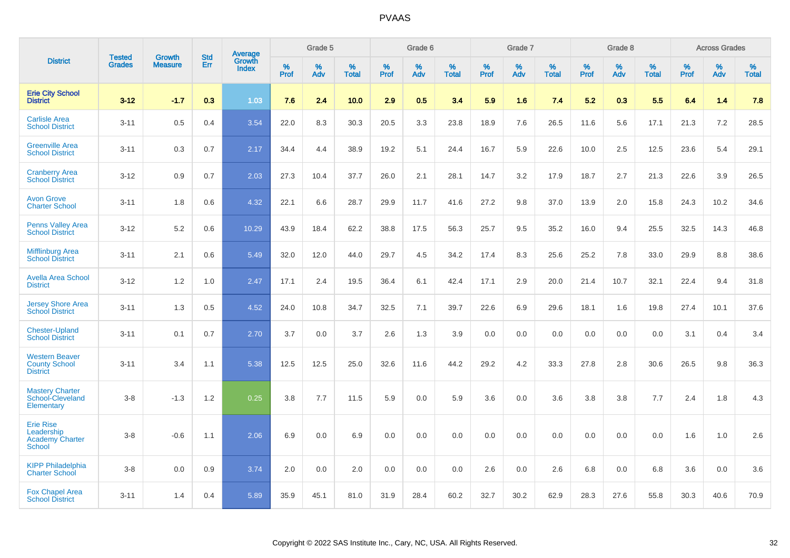|                                                                    | <b>Tested</b> | <b>Growth</b>  | <b>Std</b> | Average<br>Growth |              | Grade 5  |                   |              | Grade 6  |                   |              | Grade 7  |                   |              | Grade 8  |                   |              | <b>Across Grades</b> |                   |
|--------------------------------------------------------------------|---------------|----------------|------------|-------------------|--------------|----------|-------------------|--------------|----------|-------------------|--------------|----------|-------------------|--------------|----------|-------------------|--------------|----------------------|-------------------|
| <b>District</b>                                                    | <b>Grades</b> | <b>Measure</b> | <b>Err</b> | <b>Index</b>      | $\%$<br>Prof | %<br>Adv | %<br><b>Total</b> | $\%$<br>Prof | %<br>Adv | %<br><b>Total</b> | $\%$<br>Prof | %<br>Adv | %<br><b>Total</b> | $\%$<br>Prof | %<br>Adv | %<br><b>Total</b> | $\%$<br>Prof | %<br>Adv             | %<br><b>Total</b> |
| <b>Erie City School</b><br><b>District</b>                         | $3 - 12$      | $-1.7$         | 0.3        | 1.03              | 7.6          | 2.4      | 10.0              | 2.9          | 0.5      | 3.4               | 5.9          | 1.6      | 7.4               | 5.2          | 0.3      | 5.5               | 6.4          | 1.4                  | 7.8               |
| <b>Carlisle Area</b><br><b>School District</b>                     | $3 - 11$      | 0.5            | 0.4        | 3.54              | 22.0         | 8.3      | 30.3              | 20.5         | 3.3      | 23.8              | 18.9         | 7.6      | 26.5              | 11.6         | 5.6      | 17.1              | 21.3         | 7.2                  | 28.5              |
| <b>Greenville Area</b><br><b>School District</b>                   | $3 - 11$      | 0.3            | 0.7        | 2.17              | 34.4         | 4.4      | 38.9              | 19.2         | 5.1      | 24.4              | 16.7         | 5.9      | 22.6              | 10.0         | 2.5      | 12.5              | 23.6         | 5.4                  | 29.1              |
| <b>Cranberry Area</b><br><b>School District</b>                    | $3 - 12$      | 0.9            | 0.7        | 2.03              | 27.3         | 10.4     | 37.7              | 26.0         | 2.1      | 28.1              | 14.7         | 3.2      | 17.9              | 18.7         | 2.7      | 21.3              | 22.6         | 3.9                  | 26.5              |
| <b>Avon Grove</b><br><b>Charter School</b>                         | $3 - 11$      | 1.8            | 0.6        | 4.32              | 22.1         | 6.6      | 28.7              | 29.9         | 11.7     | 41.6              | 27.2         | 9.8      | 37.0              | 13.9         | 2.0      | 15.8              | 24.3         | 10.2                 | 34.6              |
| <b>Penns Valley Area</b><br><b>School District</b>                 | $3 - 12$      | 5.2            | 0.6        | 10.29             | 43.9         | 18.4     | 62.2              | 38.8         | 17.5     | 56.3              | 25.7         | 9.5      | 35.2              | 16.0         | 9.4      | 25.5              | 32.5         | 14.3                 | 46.8              |
| <b>Mifflinburg Area</b><br><b>School District</b>                  | $3 - 11$      | 2.1            | 0.6        | 5.49              | 32.0         | 12.0     | 44.0              | 29.7         | 4.5      | 34.2              | 17.4         | 8.3      | 25.6              | 25.2         | 7.8      | 33.0              | 29.9         | 8.8                  | 38.6              |
| <b>Avella Area School</b><br><b>District</b>                       | $3 - 12$      | 1.2            | 1.0        | 2.47              | 17.1         | 2.4      | 19.5              | 36.4         | 6.1      | 42.4              | 17.1         | 2.9      | 20.0              | 21.4         | 10.7     | 32.1              | 22.4         | 9.4                  | 31.8              |
| <b>Jersey Shore Area</b><br><b>School District</b>                 | $3 - 11$      | 1.3            | 0.5        | 4.52              | 24.0         | 10.8     | 34.7              | 32.5         | 7.1      | 39.7              | 22.6         | 6.9      | 29.6              | 18.1         | 1.6      | 19.8              | 27.4         | 10.1                 | 37.6              |
| <b>Chester-Upland</b><br><b>School District</b>                    | $3 - 11$      | 0.1            | 0.7        | 2.70              | 3.7          | 0.0      | 3.7               | 2.6          | 1.3      | 3.9               | 0.0          | 0.0      | 0.0               | 0.0          | 0.0      | 0.0               | 3.1          | 0.4                  | 3.4               |
| <b>Western Beaver</b><br><b>County School</b><br><b>District</b>   | $3 - 11$      | 3.4            | 1.1        | 5.38              | 12.5         | 12.5     | 25.0              | 32.6         | 11.6     | 44.2              | 29.2         | 4.2      | 33.3              | 27.8         | 2.8      | 30.6              | 26.5         | 9.8                  | 36.3              |
| <b>Mastery Charter</b><br>School-Cleveland<br>Elementary           | $3 - 8$       | $-1.3$         | 1.2        | 0.25              | 3.8          | 7.7      | 11.5              | 5.9          | 0.0      | 5.9               | 3.6          | 0.0      | 3.6               | 3.8          | 3.8      | 7.7               | 2.4          | 1.8                  | 4.3               |
| <b>Erie Rise</b><br>Leadership<br><b>Academy Charter</b><br>School | $3 - 8$       | $-0.6$         | 1.1        | 2.06              | 6.9          | 0.0      | 6.9               | 0.0          | 0.0      | 0.0               | 0.0          | 0.0      | 0.0               | 0.0          | 0.0      | 0.0               | 1.6          | 1.0                  | 2.6               |
| <b>KIPP Philadelphia</b><br><b>Charter School</b>                  | $3 - 8$       | 0.0            | 0.9        | 3.74              | 2.0          | 0.0      | 2.0               | 0.0          | 0.0      | 0.0               | 2.6          | 0.0      | 2.6               | 6.8          | 0.0      | 6.8               | 3.6          | 0.0                  | 3.6               |
| <b>Fox Chapel Area</b><br><b>School District</b>                   | $3 - 11$      | 1.4            | 0.4        | 5.89              | 35.9         | 45.1     | 81.0              | 31.9         | 28.4     | 60.2              | 32.7         | 30.2     | 62.9              | 28.3         | 27.6     | 55.8              | 30.3         | 40.6                 | 70.9              |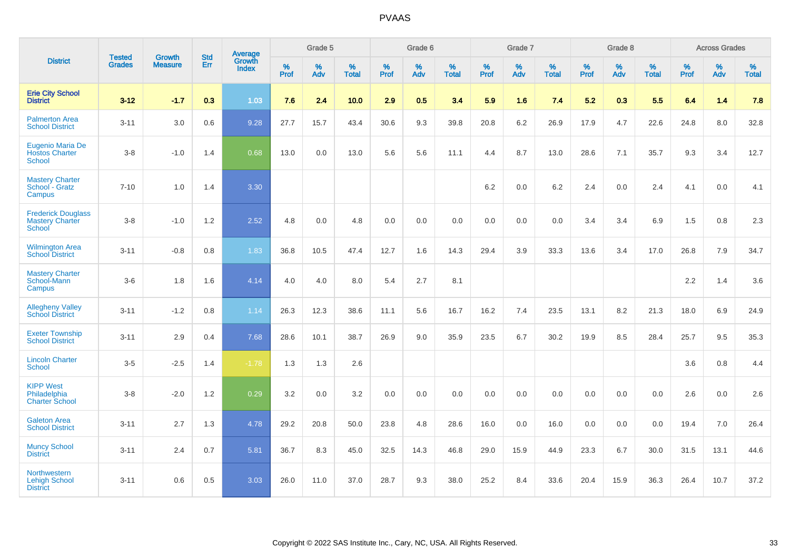|                                                                      | <b>Tested</b> | <b>Growth</b>  | <b>Std</b> | Average                |              | Grade 5  |                   |              | Grade 6  |                   |              | Grade 7  |                   |              | Grade 8  |                   |              | <b>Across Grades</b> |                   |
|----------------------------------------------------------------------|---------------|----------------|------------|------------------------|--------------|----------|-------------------|--------------|----------|-------------------|--------------|----------|-------------------|--------------|----------|-------------------|--------------|----------------------|-------------------|
| <b>District</b>                                                      | <b>Grades</b> | <b>Measure</b> | Err        | Growth<br><b>Index</b> | $\%$<br>Prof | %<br>Adv | %<br><b>Total</b> | $\%$<br>Prof | %<br>Adv | %<br><b>Total</b> | $\%$<br>Prof | %<br>Adv | %<br><b>Total</b> | $\%$<br>Prof | %<br>Adv | %<br><b>Total</b> | $\%$<br>Prof | %<br>Adv             | %<br><b>Total</b> |
| <b>Erie City School</b><br><b>District</b>                           | $3 - 12$      | $-1.7$         | 0.3        | 1.03                   | 7.6          | 2.4      | 10.0              | 2.9          | 0.5      | 3.4               | 5.9          | 1.6      | 7.4               | 5.2          | 0.3      | 5.5               | 6.4          | 1.4                  | 7.8               |
| <b>Palmerton Area</b><br><b>School District</b>                      | $3 - 11$      | 3.0            | 0.6        | 9.28                   | 27.7         | 15.7     | 43.4              | 30.6         | 9.3      | 39.8              | 20.8         | 6.2      | 26.9              | 17.9         | 4.7      | 22.6              | 24.8         | 8.0                  | 32.8              |
| Eugenio Maria De<br><b>Hostos Charter</b><br><b>School</b>           | $3 - 8$       | $-1.0$         | 1.4        | 0.68                   | 13.0         | 0.0      | 13.0              | 5.6          | 5.6      | 11.1              | 4.4          | 8.7      | 13.0              | 28.6         | 7.1      | 35.7              | 9.3          | 3.4                  | 12.7              |
| <b>Mastery Charter</b><br>School - Gratz<br>Campus                   | $7 - 10$      | 1.0            | 1.4        | 3.30                   |              |          |                   |              |          |                   | 6.2          | $0.0\,$  | 6.2               | 2.4          | $0.0\,$  | 2.4               | 4.1          | $0.0\,$              | 4.1               |
| <b>Frederick Douglass</b><br><b>Mastery Charter</b><br><b>School</b> | $3 - 8$       | $-1.0$         | 1.2        | 2.52                   | 4.8          | 0.0      | 4.8               | $0.0\,$      | 0.0      | 0.0               | $0.0\,$      | 0.0      | 0.0               | 3.4          | 3.4      | 6.9               | 1.5          | 0.8                  | $2.3\,$           |
| <b>Wilmington Area</b><br><b>School District</b>                     | $3 - 11$      | $-0.8$         | 0.8        | 1.83                   | 36.8         | 10.5     | 47.4              | 12.7         | 1.6      | 14.3              | 29.4         | 3.9      | 33.3              | 13.6         | 3.4      | 17.0              | 26.8         | 7.9                  | 34.7              |
| <b>Mastery Charter</b><br>School-Mann<br>Campus                      | $3-6$         | 1.8            | 1.6        | 4.14                   | 4.0          | 4.0      | 8.0               | 5.4          | 2.7      | 8.1               |              |          |                   |              |          |                   | 2.2          | 1.4                  | 3.6               |
| <b>Allegheny Valley</b><br><b>School District</b>                    | $3 - 11$      | $-1.2$         | 0.8        | 1.14                   | 26.3         | 12.3     | 38.6              | 11.1         | 5.6      | 16.7              | 16.2         | 7.4      | 23.5              | 13.1         | 8.2      | 21.3              | 18.0         | 6.9                  | 24.9              |
| <b>Exeter Township</b><br><b>School District</b>                     | $3 - 11$      | 2.9            | 0.4        | 7.68                   | 28.6         | 10.1     | 38.7              | 26.9         | 9.0      | 35.9              | 23.5         | 6.7      | 30.2              | 19.9         | 8.5      | 28.4              | 25.7         | 9.5                  | 35.3              |
| <b>Lincoln Charter</b><br><b>School</b>                              | $3-5$         | $-2.5$         | 1.4        | $-1.78$                | 1.3          | 1.3      | 2.6               |              |          |                   |              |          |                   |              |          |                   | 3.6          | 0.8                  | 4.4               |
| <b>KIPP West</b><br>Philadelphia<br><b>Charter School</b>            | $3 - 8$       | $-2.0$         | 1.2        | 0.29                   | 3.2          | 0.0      | 3.2               | 0.0          | 0.0      | 0.0               | 0.0          | 0.0      | 0.0               | 0.0          | 0.0      | 0.0               | 2.6          | 0.0                  | 2.6               |
| <b>Galeton Area</b><br><b>School District</b>                        | $3 - 11$      | 2.7            | 1.3        | 4.78                   | 29.2         | 20.8     | 50.0              | 23.8         | 4.8      | 28.6              | 16.0         | 0.0      | 16.0              | 0.0          | 0.0      | 0.0               | 19.4         | 7.0                  | 26.4              |
| <b>Muncy School</b><br><b>District</b>                               | $3 - 11$      | 2.4            | 0.7        | 5.81                   | 36.7         | 8.3      | 45.0              | 32.5         | 14.3     | 46.8              | 29.0         | 15.9     | 44.9              | 23.3         | 6.7      | 30.0              | 31.5         | 13.1                 | 44.6              |
| <b>Northwestern</b><br><b>Lehigh School</b><br><b>District</b>       | $3 - 11$      | 0.6            | 0.5        | 3.03                   | 26.0         | 11.0     | 37.0              | 28.7         | 9.3      | 38.0              | 25.2         | 8.4      | 33.6              | 20.4         | 15.9     | 36.3              | 26.4         | 10.7                 | 37.2              |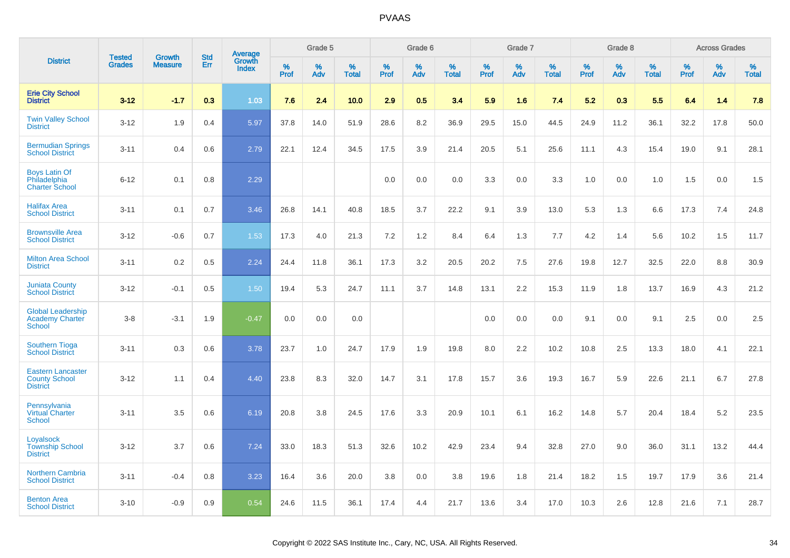|                                                                     | <b>Tested</b> | <b>Growth</b>  | <b>Std</b> |                                   |              | Grade 5  |                   |           | Grade 6  |                   |           | Grade 7  |                   |           | Grade 8  |                   |              | <b>Across Grades</b> |                   |
|---------------------------------------------------------------------|---------------|----------------|------------|-----------------------------------|--------------|----------|-------------------|-----------|----------|-------------------|-----------|----------|-------------------|-----------|----------|-------------------|--------------|----------------------|-------------------|
| <b>District</b>                                                     | <b>Grades</b> | <b>Measure</b> | <b>Err</b> | Average<br>Growth<br><b>Index</b> | $\%$<br>Prof | %<br>Adv | %<br><b>Total</b> | %<br>Prof | %<br>Adv | %<br><b>Total</b> | %<br>Prof | %<br>Adv | %<br><b>Total</b> | %<br>Prof | %<br>Adv | %<br><b>Total</b> | $\%$<br>Prof | %<br>Adv             | %<br><b>Total</b> |
| <b>Erie City School</b><br><b>District</b>                          | $3 - 12$      | $-1.7$         | 0.3        | 1.03                              | 7.6          | 2.4      | 10.0              | 2.9       | 0.5      | 3.4               | 5.9       | 1.6      | 7.4               | 5.2       | 0.3      | 5.5               | 6.4          | 1.4                  | 7.8               |
| <b>Twin Valley School</b><br><b>District</b>                        | $3 - 12$      | 1.9            | 0.4        | 5.97                              | 37.8         | 14.0     | 51.9              | 28.6      | 8.2      | 36.9              | 29.5      | 15.0     | 44.5              | 24.9      | 11.2     | 36.1              | 32.2         | 17.8                 | 50.0              |
| <b>Bermudian Springs</b><br><b>School District</b>                  | $3 - 11$      | 0.4            | 0.6        | 2.79                              | 22.1         | 12.4     | 34.5              | 17.5      | 3.9      | 21.4              | 20.5      | 5.1      | 25.6              | 11.1      | 4.3      | 15.4              | 19.0         | 9.1                  | 28.1              |
| <b>Boys Latin Of</b><br>Philadelphia<br><b>Charter School</b>       | $6 - 12$      | 0.1            | 0.8        | 2.29                              |              |          |                   | 0.0       | 0.0      | 0.0               | 3.3       | 0.0      | 3.3               | 1.0       | 0.0      | 1.0               | 1.5          | 0.0                  | 1.5               |
| <b>Halifax Area</b><br><b>School District</b>                       | $3 - 11$      | 0.1            | 0.7        | 3.46                              | 26.8         | 14.1     | 40.8              | 18.5      | 3.7      | 22.2              | 9.1       | 3.9      | 13.0              | 5.3       | 1.3      | 6.6               | 17.3         | 7.4                  | 24.8              |
| <b>Brownsville Area</b><br><b>School District</b>                   | $3 - 12$      | $-0.6$         | 0.7        | 1.53                              | 17.3         | 4.0      | 21.3              | 7.2       | $1.2$    | 8.4               | 6.4       | 1.3      | 7.7               | 4.2       | 1.4      | 5.6               | 10.2         | 1.5                  | 11.7              |
| <b>Milton Area School</b><br><b>District</b>                        | $3 - 11$      | 0.2            | 0.5        | 2.24                              | 24.4         | 11.8     | 36.1              | 17.3      | 3.2      | 20.5              | 20.2      | 7.5      | 27.6              | 19.8      | 12.7     | 32.5              | 22.0         | 8.8                  | 30.9              |
| <b>Juniata County</b><br><b>School District</b>                     | $3 - 12$      | $-0.1$         | 0.5        | 1.50                              | 19.4         | 5.3      | 24.7              | 11.1      | 3.7      | 14.8              | 13.1      | 2.2      | 15.3              | 11.9      | 1.8      | 13.7              | 16.9         | 4.3                  | 21.2              |
| <b>Global Leadership</b><br>Academy Charter<br>School               | $3 - 8$       | $-3.1$         | 1.9        | $-0.47$                           | 0.0          | 0.0      | 0.0               |           |          |                   | 0.0       | 0.0      | 0.0               | 9.1       | 0.0      | 9.1               | 2.5          | 0.0                  | 2.5               |
| <b>Southern Tioga</b><br><b>School District</b>                     | $3 - 11$      | 0.3            | 0.6        | 3.78                              | 23.7         | 1.0      | 24.7              | 17.9      | 1.9      | 19.8              | 8.0       | 2.2      | 10.2              | 10.8      | 2.5      | 13.3              | 18.0         | 4.1                  | 22.1              |
| <b>Eastern Lancaster</b><br><b>County School</b><br><b>District</b> | $3 - 12$      | 1.1            | 0.4        | 4.40                              | 23.8         | 8.3      | 32.0              | 14.7      | 3.1      | 17.8              | 15.7      | 3.6      | 19.3              | 16.7      | 5.9      | 22.6              | 21.1         | 6.7                  | 27.8              |
| Pennsylvania<br><b>Virtual Charter</b><br><b>School</b>             | $3 - 11$      | 3.5            | 0.6        | 6.19                              | 20.8         | 3.8      | 24.5              | 17.6      | 3.3      | 20.9              | 10.1      | 6.1      | 16.2              | 14.8      | 5.7      | 20.4              | 18.4         | 5.2                  | 23.5              |
| Loyalsock<br><b>Township School</b><br><b>District</b>              | $3 - 12$      | 3.7            | 0.6        | 7.24                              | 33.0         | 18.3     | 51.3              | 32.6      | 10.2     | 42.9              | 23.4      | 9.4      | 32.8              | 27.0      | 9.0      | 36.0              | 31.1         | 13.2                 | 44.4              |
| <b>Northern Cambria</b><br><b>School District</b>                   | $3 - 11$      | $-0.4$         | 0.8        | 3.23                              | 16.4         | 3.6      | 20.0              | 3.8       | 0.0      | 3.8               | 19.6      | 1.8      | 21.4              | 18.2      | 1.5      | 19.7              | 17.9         | 3.6                  | 21.4              |
| <b>Benton Area</b><br><b>School District</b>                        | $3 - 10$      | $-0.9$         | 0.9        | 0.54                              | 24.6         | 11.5     | 36.1              | 17.4      | 4.4      | 21.7              | 13.6      | 3.4      | 17.0              | 10.3      | 2.6      | 12.8              | 21.6         | 7.1                  | 28.7              |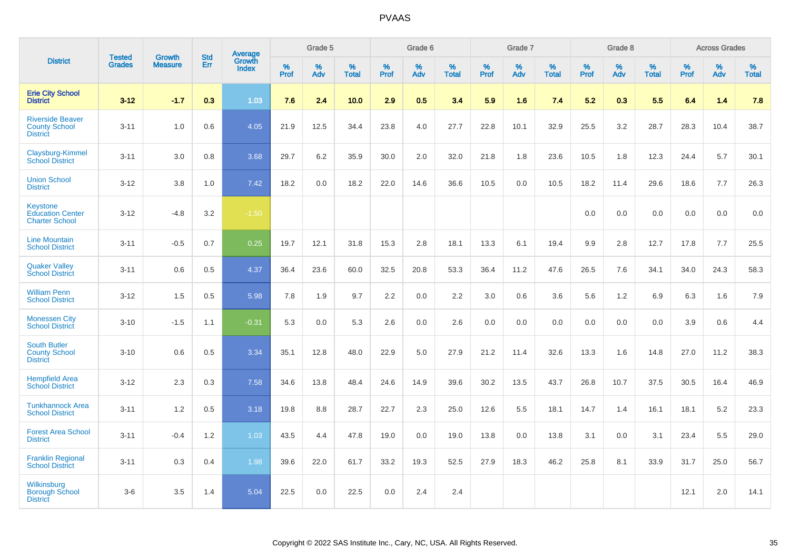|                                                                     |                                | <b>Growth</b>  | <b>Std</b> | <b>Average</b>                |                  | Grade 5  |                   |                  | Grade 6  |                   |                  | Grade 7  |                   |                  | Grade 8  |                   |                  | <b>Across Grades</b> |                   |
|---------------------------------------------------------------------|--------------------------------|----------------|------------|-------------------------------|------------------|----------|-------------------|------------------|----------|-------------------|------------------|----------|-------------------|------------------|----------|-------------------|------------------|----------------------|-------------------|
| <b>District</b>                                                     | <b>Tested</b><br><b>Grades</b> | <b>Measure</b> | Err        | <b>Growth</b><br><b>Index</b> | %<br><b>Prof</b> | %<br>Adv | %<br><b>Total</b> | %<br><b>Prof</b> | %<br>Adv | %<br><b>Total</b> | %<br><b>Prof</b> | %<br>Adv | %<br><b>Total</b> | %<br><b>Prof</b> | %<br>Adv | %<br><b>Total</b> | %<br><b>Prof</b> | %<br>Adv             | %<br><b>Total</b> |
| <b>Erie City School</b><br><b>District</b>                          | $3 - 12$                       | $-1.7$         | 0.3        | 1.03                          | 7.6              | 2.4      | 10.0              | 2.9              | 0.5      | 3.4               | 5.9              | 1.6      | 7.4               | 5.2              | 0.3      | 5.5               | 6.4              | 1.4                  | 7.8               |
| <b>Riverside Beaver</b><br><b>County School</b><br><b>District</b>  | $3 - 11$                       | 1.0            | 0.6        | 4.05                          | 21.9             | 12.5     | 34.4              | 23.8             | 4.0      | 27.7              | 22.8             | 10.1     | 32.9              | 25.5             | 3.2      | 28.7              | 28.3             | 10.4                 | 38.7              |
| Claysburg-Kimmel<br><b>School District</b>                          | $3 - 11$                       | 3.0            | 0.8        | 3.68                          | 29.7             | 6.2      | 35.9              | 30.0             | 2.0      | 32.0              | 21.8             | 1.8      | 23.6              | 10.5             | 1.8      | 12.3              | 24.4             | 5.7                  | 30.1              |
| <b>Union School</b><br><b>District</b>                              | $3 - 12$                       | 3.8            | 1.0        | 7.42                          | 18.2             | 0.0      | 18.2              | 22.0             | 14.6     | 36.6              | 10.5             | 0.0      | 10.5              | 18.2             | 11.4     | 29.6              | 18.6             | 7.7                  | 26.3              |
| <b>Keystone</b><br><b>Education Center</b><br><b>Charter School</b> | $3 - 12$                       | $-4.8$         | 3.2        | $-1.50$                       |                  |          |                   |                  |          |                   |                  |          |                   | 0.0              | 0.0      | 0.0               | 0.0              | 0.0                  | 0.0               |
| <b>Line Mountain</b><br><b>School District</b>                      | $3 - 11$                       | $-0.5$         | 0.7        | 0.25                          | 19.7             | 12.1     | 31.8              | 15.3             | 2.8      | 18.1              | 13.3             | 6.1      | 19.4              | 9.9              | 2.8      | 12.7              | 17.8             | 7.7                  | 25.5              |
| <b>Quaker Valley</b><br><b>School District</b>                      | $3 - 11$                       | 0.6            | 0.5        | 4.37                          | 36.4             | 23.6     | 60.0              | 32.5             | 20.8     | 53.3              | 36.4             | 11.2     | 47.6              | 26.5             | 7.6      | 34.1              | 34.0             | 24.3                 | 58.3              |
| <b>William Penn</b><br><b>School District</b>                       | $3 - 12$                       | 1.5            | 0.5        | 5.98                          | 7.8              | 1.9      | 9.7               | 2.2              | 0.0      | 2.2               | 3.0              | 0.6      | 3.6               | 5.6              | 1.2      | 6.9               | 6.3              | 1.6                  | 7.9               |
| <b>Monessen City</b><br><b>School District</b>                      | $3 - 10$                       | $-1.5$         | 1.1        | $-0.31$                       | 5.3              | 0.0      | 5.3               | 2.6              | 0.0      | 2.6               | 0.0              | 0.0      | 0.0               | 0.0              | 0.0      | 0.0               | 3.9              | 0.6                  | 4.4               |
| <b>South Butler</b><br><b>County School</b><br><b>District</b>      | $3 - 10$                       | 0.6            | 0.5        | 3.34                          | 35.1             | 12.8     | 48.0              | 22.9             | 5.0      | 27.9              | 21.2             | 11.4     | 32.6              | 13.3             | 1.6      | 14.8              | 27.0             | 11.2                 | 38.3              |
| <b>Hempfield Area</b><br><b>School District</b>                     | $3 - 12$                       | 2.3            | 0.3        | 7.58                          | 34.6             | 13.8     | 48.4              | 24.6             | 14.9     | 39.6              | 30.2             | 13.5     | 43.7              | 26.8             | 10.7     | 37.5              | 30.5             | 16.4                 | 46.9              |
| <b>Tunkhannock Area</b><br><b>School District</b>                   | $3 - 11$                       | 1.2            | 0.5        | 3.18                          | 19.8             | 8.8      | 28.7              | 22.7             | 2.3      | 25.0              | 12.6             | 5.5      | 18.1              | 14.7             | 1.4      | 16.1              | 18.1             | 5.2                  | 23.3              |
| <b>Forest Area School</b><br><b>District</b>                        | $3 - 11$                       | $-0.4$         | 1.2        | 1.03                          | 43.5             | 4.4      | 47.8              | 19.0             | 0.0      | 19.0              | 13.8             | 0.0      | 13.8              | 3.1              | 0.0      | 3.1               | 23.4             | 5.5                  | 29.0              |
| <b>Franklin Regional</b><br><b>School District</b>                  | $3 - 11$                       | 0.3            | 0.4        | 1.98                          | 39.6             | 22.0     | 61.7              | 33.2             | 19.3     | 52.5              | 27.9             | 18.3     | 46.2              | 25.8             | 8.1      | 33.9              | 31.7             | 25.0                 | 56.7              |
| <b>Wilkinsburg</b><br><b>Borough School</b><br><b>District</b>      | $3-6$                          | 3.5            | 1.4        | 5.04                          | 22.5             | 0.0      | 22.5              | 0.0              | 2.4      | 2.4               |                  |          |                   |                  |          |                   | 12.1             | 2.0                  | 14.1              |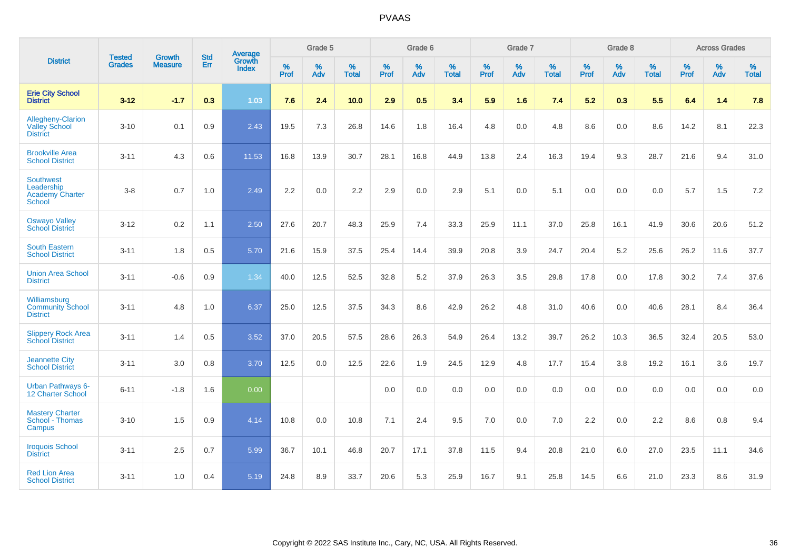|                                                                    | <b>Tested</b> | <b>Growth</b>  | <b>Std</b> | Average                |                     | Grade 5  |                   |                     | Grade 6  |                   |              | Grade 7  |                   |                     | Grade 8  |                   |                     | <b>Across Grades</b> |                   |
|--------------------------------------------------------------------|---------------|----------------|------------|------------------------|---------------------|----------|-------------------|---------------------|----------|-------------------|--------------|----------|-------------------|---------------------|----------|-------------------|---------------------|----------------------|-------------------|
| <b>District</b>                                                    | <b>Grades</b> | <b>Measure</b> | <b>Err</b> | Growth<br><b>Index</b> | $\%$<br><b>Prof</b> | %<br>Adv | %<br><b>Total</b> | $\%$<br><b>Prof</b> | %<br>Adv | %<br><b>Total</b> | $\%$<br>Prof | %<br>Adv | %<br><b>Total</b> | $\%$<br><b>Prof</b> | %<br>Adv | %<br><b>Total</b> | $\%$<br><b>Prof</b> | %<br>Adv             | %<br><b>Total</b> |
| <b>Erie City School</b><br><b>District</b>                         | $3 - 12$      | $-1.7$         | 0.3        | 1.03                   | 7.6                 | 2.4      | 10.0              | 2.9                 | 0.5      | 3.4               | 5.9          | 1.6      | 7.4               | 5.2                 | 0.3      | 5.5               | 6.4                 | 1.4                  | 7.8               |
| Allegheny-Clarion<br><b>Valley School</b><br><b>District</b>       | $3 - 10$      | 0.1            | 0.9        | 2.43                   | 19.5                | 7.3      | 26.8              | 14.6                | 1.8      | 16.4              | 4.8          | 0.0      | 4.8               | 8.6                 | 0.0      | 8.6               | 14.2                | 8.1                  | 22.3              |
| <b>Brookville Area</b><br><b>School District</b>                   | $3 - 11$      | 4.3            | 0.6        | 11.53                  | 16.8                | 13.9     | 30.7              | 28.1                | 16.8     | 44.9              | 13.8         | 2.4      | 16.3              | 19.4                | 9.3      | 28.7              | 21.6                | 9.4                  | 31.0              |
| <b>Southwest</b><br>Leadership<br><b>Academy Charter</b><br>School | $3 - 8$       | 0.7            | 1.0        | 2.49                   | 2.2                 | 0.0      | 2.2               | 2.9                 | 0.0      | 2.9               | 5.1          | 0.0      | 5.1               | 0.0                 | 0.0      | 0.0               | 5.7                 | 1.5                  | 7.2               |
| <b>Oswayo Valley</b><br><b>School District</b>                     | $3 - 12$      | 0.2            | 1.1        | 2.50                   | 27.6                | 20.7     | 48.3              | 25.9                | 7.4      | 33.3              | 25.9         | 11.1     | 37.0              | 25.8                | 16.1     | 41.9              | 30.6                | 20.6                 | 51.2              |
| <b>South Eastern</b><br><b>School District</b>                     | $3 - 11$      | 1.8            | 0.5        | 5.70                   | 21.6                | 15.9     | 37.5              | 25.4                | 14.4     | 39.9              | 20.8         | 3.9      | 24.7              | 20.4                | 5.2      | 25.6              | 26.2                | 11.6                 | 37.7              |
| <b>Union Area School</b><br><b>District</b>                        | $3 - 11$      | $-0.6$         | 0.9        | 1.34                   | 40.0                | 12.5     | 52.5              | 32.8                | 5.2      | 37.9              | 26.3         | 3.5      | 29.8              | 17.8                | 0.0      | 17.8              | 30.2                | 7.4                  | 37.6              |
| Williamsburg<br><b>Community School</b><br><b>District</b>         | $3 - 11$      | 4.8            | 1.0        | 6.37                   | 25.0                | 12.5     | 37.5              | 34.3                | 8.6      | 42.9              | 26.2         | 4.8      | 31.0              | 40.6                | 0.0      | 40.6              | 28.1                | 8.4                  | 36.4              |
| <b>Slippery Rock Area</b><br><b>School District</b>                | $3 - 11$      | 1.4            | 0.5        | 3.52                   | 37.0                | 20.5     | 57.5              | 28.6                | 26.3     | 54.9              | 26.4         | 13.2     | 39.7              | 26.2                | 10.3     | 36.5              | 32.4                | 20.5                 | 53.0              |
| <b>Jeannette City</b><br><b>School District</b>                    | $3 - 11$      | 3.0            | 0.8        | 3.70                   | 12.5                | 0.0      | 12.5              | 22.6                | 1.9      | 24.5              | 12.9         | 4.8      | 17.7              | 15.4                | 3.8      | 19.2              | 16.1                | 3.6                  | 19.7              |
| <b>Urban Pathways 6-</b><br>12 Charter School                      | $6 - 11$      | $-1.8$         | 1.6        | 0.00                   |                     |          |                   | 0.0                 | 0.0      | 0.0               | 0.0          | 0.0      | 0.0               | 0.0                 | 0.0      | 0.0               | 0.0                 | 0.0                  | 0.0               |
| <b>Mastery Charter</b><br>School - Thomas<br>Campus                | $3 - 10$      | 1.5            | 0.9        | 4.14                   | 10.8                | 0.0      | 10.8              | 7.1                 | 2.4      | 9.5               | 7.0          | $0.0\,$  | 7.0               | 2.2                 | $0.0\,$  | 2.2               | 8.6                 | $0.8\,$              | 9.4               |
| <b>Iroquois School</b><br><b>District</b>                          | $3 - 11$      | 2.5            | 0.7        | 5.99                   | 36.7                | 10.1     | 46.8              | 20.7                | 17.1     | 37.8              | 11.5         | 9.4      | 20.8              | 21.0                | 6.0      | 27.0              | 23.5                | 11.1                 | 34.6              |
| <b>Red Lion Area</b><br><b>School District</b>                     | $3 - 11$      | 1.0            | 0.4        | 5.19                   | 24.8                | 8.9      | 33.7              | 20.6                | 5.3      | 25.9              | 16.7         | 9.1      | 25.8              | 14.5                | 6.6      | 21.0              | 23.3                | 8.6                  | 31.9              |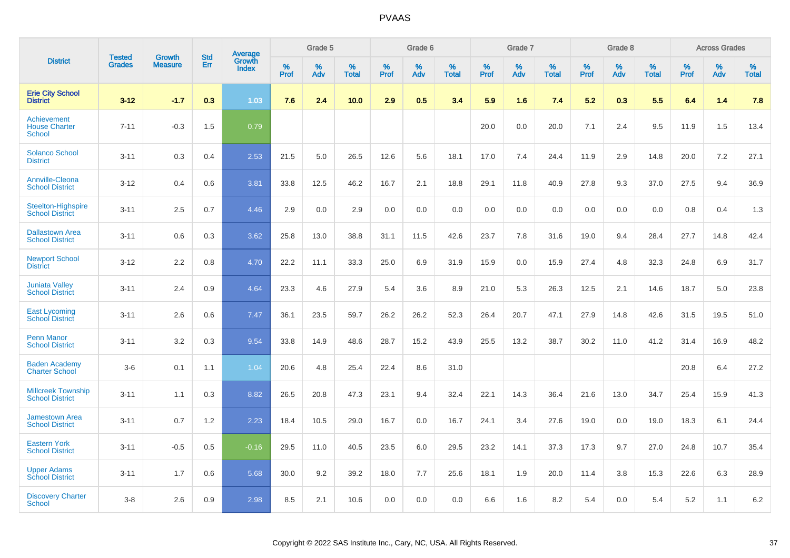|                                                             |                                |                                 | <b>Std</b> | Average                |           | Grade 5  |                      |           | Grade 6  |                   |           | Grade 7  |                      |           | Grade 8  |                   |           | <b>Across Grades</b> |                   |
|-------------------------------------------------------------|--------------------------------|---------------------------------|------------|------------------------|-----------|----------|----------------------|-----------|----------|-------------------|-----------|----------|----------------------|-----------|----------|-------------------|-----------|----------------------|-------------------|
| <b>District</b>                                             | <b>Tested</b><br><b>Grades</b> | <b>Growth</b><br><b>Measure</b> | Err        | Growth<br><b>Index</b> | %<br>Prof | %<br>Adv | $\%$<br><b>Total</b> | %<br>Prof | %<br>Adv | %<br><b>Total</b> | %<br>Prof | %<br>Adv | $\%$<br><b>Total</b> | %<br>Prof | %<br>Adv | %<br><b>Total</b> | %<br>Prof | %<br>Adv             | %<br><b>Total</b> |
| <b>Erie City School</b><br><b>District</b>                  | $3 - 12$                       | $-1.7$                          | 0.3        | 1.03                   | 7.6       | 2.4      | 10.0                 | 2.9       | 0.5      | 3.4               | 5.9       | 1.6      | 7.4                  | 5.2       | 0.3      | 5.5               | 6.4       | 1.4                  | 7.8               |
| <b>Achievement</b><br><b>House Charter</b><br><b>School</b> | $7 - 11$                       | $-0.3$                          | 1.5        | 0.79                   |           |          |                      |           |          |                   | 20.0      | 0.0      | 20.0                 | 7.1       | 2.4      | 9.5               | 11.9      | 1.5                  | 13.4              |
| <b>Solanco School</b><br><b>District</b>                    | $3 - 11$                       | 0.3                             | 0.4        | 2.53                   | 21.5      | 5.0      | 26.5                 | 12.6      | 5.6      | 18.1              | 17.0      | 7.4      | 24.4                 | 11.9      | 2.9      | 14.8              | 20.0      | 7.2                  | 27.1              |
| <b>Annville-Cleona</b><br><b>School District</b>            | $3 - 12$                       | 0.4                             | 0.6        | 3.81                   | 33.8      | 12.5     | 46.2                 | 16.7      | 2.1      | 18.8              | 29.1      | 11.8     | 40.9                 | 27.8      | 9.3      | 37.0              | 27.5      | 9.4                  | 36.9              |
| <b>Steelton-Highspire</b><br><b>School District</b>         | $3 - 11$                       | 2.5                             | 0.7        | 4.46                   | 2.9       | 0.0      | 2.9                  | 0.0       | 0.0      | 0.0               | 0.0       | 0.0      | 0.0                  | 0.0       | 0.0      | 0.0               | 0.8       | 0.4                  | 1.3               |
| <b>Dallastown Area</b><br><b>School District</b>            | $3 - 11$                       | 0.6                             | 0.3        | 3.62                   | 25.8      | 13.0     | 38.8                 | 31.1      | 11.5     | 42.6              | 23.7      | 7.8      | 31.6                 | 19.0      | 9.4      | 28.4              | 27.7      | 14.8                 | 42.4              |
| <b>Newport School</b><br><b>District</b>                    | $3 - 12$                       | 2.2                             | 0.8        | 4.70                   | 22.2      | 11.1     | 33.3                 | 25.0      | 6.9      | 31.9              | 15.9      | 0.0      | 15.9                 | 27.4      | 4.8      | 32.3              | 24.8      | 6.9                  | 31.7              |
| <b>Juniata Valley</b><br><b>School District</b>             | $3 - 11$                       | 2.4                             | 0.9        | 4.64                   | 23.3      | 4.6      | 27.9                 | 5.4       | 3.6      | 8.9               | 21.0      | 5.3      | 26.3                 | 12.5      | 2.1      | 14.6              | 18.7      | 5.0                  | 23.8              |
| <b>East Lycoming</b><br><b>School District</b>              | $3 - 11$                       | 2.6                             | 0.6        | 7.47                   | 36.1      | 23.5     | 59.7                 | 26.2      | 26.2     | 52.3              | 26.4      | 20.7     | 47.1                 | 27.9      | 14.8     | 42.6              | 31.5      | 19.5                 | 51.0              |
| <b>Penn Manor</b><br><b>School District</b>                 | $3 - 11$                       | 3.2                             | 0.3        | 9.54                   | 33.8      | 14.9     | 48.6                 | 28.7      | 15.2     | 43.9              | 25.5      | 13.2     | 38.7                 | 30.2      | 11.0     | 41.2              | 31.4      | 16.9                 | 48.2              |
| <b>Baden Academy</b><br><b>Charter School</b>               | $3-6$                          | 0.1                             | 1.1        | 1.04                   | 20.6      | 4.8      | 25.4                 | 22.4      | 8.6      | 31.0              |           |          |                      |           |          |                   | 20.8      | 6.4                  | 27.2              |
| <b>Millcreek Township</b><br><b>School District</b>         | $3 - 11$                       | 1.1                             | 0.3        | 8.82                   | 26.5      | 20.8     | 47.3                 | 23.1      | 9.4      | 32.4              | 22.1      | 14.3     | 36.4                 | 21.6      | 13.0     | 34.7              | 25.4      | 15.9                 | 41.3              |
| <b>Jamestown Area</b><br><b>School District</b>             | $3 - 11$                       | 0.7                             | 1.2        | 2.23                   | 18.4      | 10.5     | 29.0                 | 16.7      | 0.0      | 16.7              | 24.1      | 3.4      | 27.6                 | 19.0      | 0.0      | 19.0              | 18.3      | 6.1                  | 24.4              |
| <b>Eastern York</b><br><b>School District</b>               | $3 - 11$                       | $-0.5$                          | 0.5        | $-0.16$                | 29.5      | 11.0     | 40.5                 | 23.5      | 6.0      | 29.5              | 23.2      | 14.1     | 37.3                 | 17.3      | 9.7      | 27.0              | 24.8      | 10.7                 | 35.4              |
| <b>Upper Adams</b><br><b>School District</b>                | $3 - 11$                       | 1.7                             | 0.6        | 5.68                   | 30.0      | 9.2      | 39.2                 | 18.0      | 7.7      | 25.6              | 18.1      | 1.9      | 20.0                 | 11.4      | 3.8      | 15.3              | 22.6      | 6.3                  | 28.9              |
| <b>Discovery Charter</b><br>School                          | $3 - 8$                        | 2.6                             | 0.9        | 2.98                   | 8.5       | 2.1      | 10.6                 | 0.0       | 0.0      | 0.0               | 6.6       | 1.6      | 8.2                  | 5.4       | $0.0\,$  | 5.4               | 5.2       | 1.1                  | 6.2               |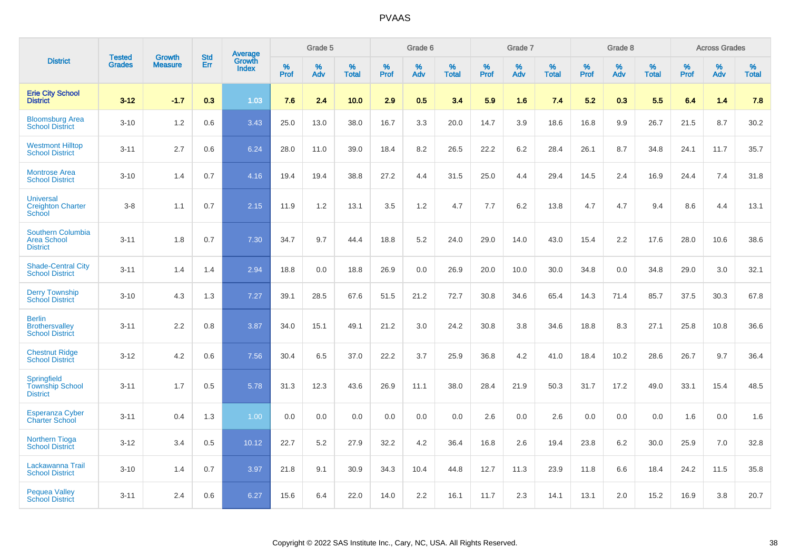|                                                                   | <b>Tested</b> | <b>Growth</b>  | <b>Std</b> | <b>Average</b>         |              | Grade 5  |                   |              | Grade 6  |                   |              | Grade 7  |                   |              | Grade 8  |                   |              | <b>Across Grades</b> |                   |
|-------------------------------------------------------------------|---------------|----------------|------------|------------------------|--------------|----------|-------------------|--------------|----------|-------------------|--------------|----------|-------------------|--------------|----------|-------------------|--------------|----------------------|-------------------|
| <b>District</b>                                                   | <b>Grades</b> | <b>Measure</b> | <b>Err</b> | Growth<br><b>Index</b> | $\%$<br>Prof | %<br>Adv | %<br><b>Total</b> | $\%$<br>Prof | %<br>Adv | %<br><b>Total</b> | $\%$<br>Prof | %<br>Adv | %<br><b>Total</b> | $\%$<br>Prof | %<br>Adv | %<br><b>Total</b> | $\%$<br>Prof | %<br>Adv             | %<br><b>Total</b> |
| <b>Erie City School</b><br><b>District</b>                        | $3 - 12$      | $-1.7$         | 0.3        | 1.03                   | 7.6          | 2.4      | 10.0              | 2.9          | 0.5      | 3.4               | 5.9          | 1.6      | 7.4               | 5.2          | 0.3      | 5.5               | 6.4          | 1.4                  | 7.8               |
| <b>Bloomsburg Area</b><br><b>School District</b>                  | $3 - 10$      | 1.2            | 0.6        | 3.43                   | 25.0         | 13.0     | 38.0              | 16.7         | 3.3      | 20.0              | 14.7         | 3.9      | 18.6              | 16.8         | 9.9      | 26.7              | 21.5         | 8.7                  | 30.2              |
| <b>Westmont Hilltop</b><br><b>School District</b>                 | $3 - 11$      | 2.7            | 0.6        | 6.24                   | 28.0         | 11.0     | 39.0              | 18.4         | 8.2      | 26.5              | 22.2         | 6.2      | 28.4              | 26.1         | 8.7      | 34.8              | 24.1         | 11.7                 | 35.7              |
| <b>Montrose Area</b><br><b>School District</b>                    | $3 - 10$      | 1.4            | 0.7        | 4.16                   | 19.4         | 19.4     | 38.8              | 27.2         | 4.4      | 31.5              | 25.0         | 4.4      | 29.4              | 14.5         | 2.4      | 16.9              | 24.4         | 7.4                  | 31.8              |
| <b>Universal</b><br><b>Creighton Charter</b><br>School            | $3 - 8$       | 1.1            | 0.7        | 2.15                   | 11.9         | 1.2      | 13.1              | 3.5          | 1.2      | 4.7               | 7.7          | 6.2      | 13.8              | 4.7          | 4.7      | 9.4               | 8.6          | 4.4                  | 13.1              |
| <b>Southern Columbia</b><br><b>Area School</b><br><b>District</b> | $3 - 11$      | 1.8            | 0.7        | 7.30                   | 34.7         | 9.7      | 44.4              | 18.8         | 5.2      | 24.0              | 29.0         | 14.0     | 43.0              | 15.4         | 2.2      | 17.6              | 28.0         | 10.6                 | 38.6              |
| <b>Shade-Central City</b><br><b>School District</b>               | $3 - 11$      | 1.4            | 1.4        | 2.94                   | 18.8         | 0.0      | 18.8              | 26.9         | 0.0      | 26.9              | 20.0         | 10.0     | 30.0              | 34.8         | 0.0      | 34.8              | 29.0         | 3.0                  | 32.1              |
| <b>Derry Township</b><br><b>School District</b>                   | $3 - 10$      | 4.3            | 1.3        | 7.27                   | 39.1         | 28.5     | 67.6              | 51.5         | 21.2     | 72.7              | 30.8         | 34.6     | 65.4              | 14.3         | 71.4     | 85.7              | 37.5         | 30.3                 | 67.8              |
| <b>Berlin</b><br><b>Brothersvalley</b><br><b>School District</b>  | $3 - 11$      | 2.2            | 0.8        | 3.87                   | 34.0         | 15.1     | 49.1              | 21.2         | 3.0      | 24.2              | 30.8         | 3.8      | 34.6              | 18.8         | 8.3      | 27.1              | 25.8         | 10.8                 | 36.6              |
| <b>Chestnut Ridge</b><br><b>School District</b>                   | $3 - 12$      | 4.2            | 0.6        | 7.56                   | 30.4         | 6.5      | 37.0              | 22.2         | 3.7      | 25.9              | 36.8         | 4.2      | 41.0              | 18.4         | 10.2     | 28.6              | 26.7         | 9.7                  | 36.4              |
| Springfield<br><b>Township School</b><br><b>District</b>          | $3 - 11$      | 1.7            | 0.5        | 5.78                   | 31.3         | 12.3     | 43.6              | 26.9         | 11.1     | 38.0              | 28.4         | 21.9     | 50.3              | 31.7         | 17.2     | 49.0              | 33.1         | 15.4                 | 48.5              |
| <b>Esperanza Cyber</b><br><b>Charter School</b>                   | $3 - 11$      | 0.4            | 1.3        | 1.00                   | 0.0          | 0.0      | 0.0               | 0.0          | 0.0      | 0.0               | 2.6          | 0.0      | 2.6               | 0.0          | 0.0      | 0.0               | 1.6          | 0.0                  | 1.6               |
| <b>Northern Tioga</b><br><b>School District</b>                   | $3 - 12$      | 3.4            | 0.5        | 10.12                  | 22.7         | 5.2      | 27.9              | 32.2         | 4.2      | 36.4              | 16.8         | 2.6      | 19.4              | 23.8         | 6.2      | 30.0              | 25.9         | 7.0                  | 32.8              |
| Lackawanna Trail<br><b>School District</b>                        | $3 - 10$      | 1.4            | 0.7        | 3.97                   | 21.8         | 9.1      | 30.9              | 34.3         | 10.4     | 44.8              | 12.7         | 11.3     | 23.9              | 11.8         | 6.6      | 18.4              | 24.2         | 11.5                 | 35.8              |
| <b>Pequea Valley</b><br><b>School District</b>                    | $3 - 11$      | 2.4            | 0.6        | 6.27                   | 15.6         | 6.4      | 22.0              | 14.0         | 2.2      | 16.1              | 11.7         | 2.3      | 14.1              | 13.1         | 2.0      | 15.2              | 16.9         | 3.8                  | 20.7              |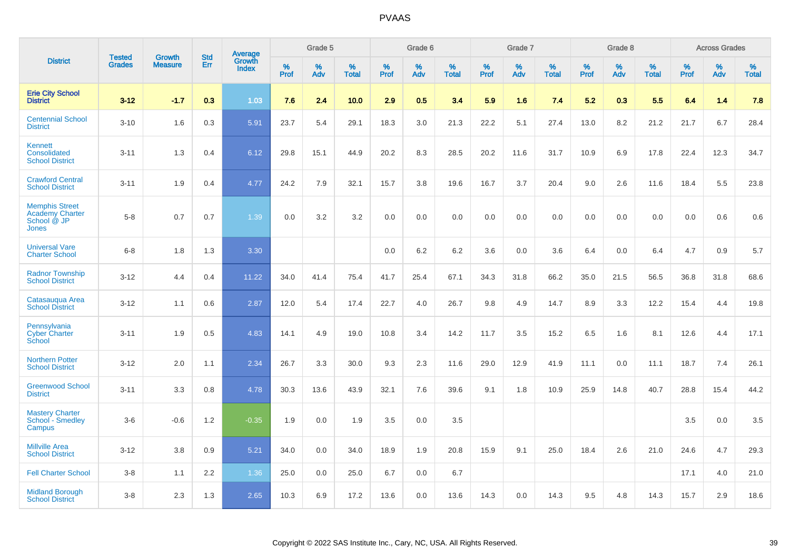|                                                                         |                                |                                 | <b>Std</b> | Average                |           | Grade 5  |                   |           | Grade 6  |                   |           | Grade 7  |                   |           | Grade 8  |                   |           | <b>Across Grades</b> |                   |
|-------------------------------------------------------------------------|--------------------------------|---------------------------------|------------|------------------------|-----------|----------|-------------------|-----------|----------|-------------------|-----------|----------|-------------------|-----------|----------|-------------------|-----------|----------------------|-------------------|
| <b>District</b>                                                         | <b>Tested</b><br><b>Grades</b> | <b>Growth</b><br><b>Measure</b> | Err        | Growth<br><b>Index</b> | %<br>Prof | %<br>Adv | %<br><b>Total</b> | %<br>Prof | %<br>Adv | %<br><b>Total</b> | %<br>Prof | %<br>Adv | %<br><b>Total</b> | %<br>Prof | %<br>Adv | %<br><b>Total</b> | %<br>Prof | %<br>Adv             | %<br><b>Total</b> |
| <b>Erie City School</b><br><b>District</b>                              | $3 - 12$                       | $-1.7$                          | 0.3        | 1.03                   | 7.6       | 2.4      | 10.0              | 2.9       | 0.5      | 3.4               | 5.9       | 1.6      | 7.4               | 5.2       | 0.3      | 5.5               | 6.4       | 1.4                  | 7.8               |
| <b>Centennial School</b><br><b>District</b>                             | $3 - 10$                       | 1.6                             | 0.3        | 5.91                   | 23.7      | 5.4      | 29.1              | 18.3      | 3.0      | 21.3              | 22.2      | 5.1      | 27.4              | 13.0      | 8.2      | 21.2              | 21.7      | 6.7                  | 28.4              |
| Kennett<br>Consolidated<br><b>School District</b>                       | $3 - 11$                       | 1.3                             | 0.4        | 6.12                   | 29.8      | 15.1     | 44.9              | 20.2      | 8.3      | 28.5              | 20.2      | 11.6     | 31.7              | 10.9      | 6.9      | 17.8              | 22.4      | 12.3                 | 34.7              |
| <b>Crawford Central</b><br><b>School District</b>                       | $3 - 11$                       | 1.9                             | 0.4        | 4.77                   | 24.2      | 7.9      | 32.1              | 15.7      | 3.8      | 19.6              | 16.7      | 3.7      | 20.4              | 9.0       | 2.6      | 11.6              | 18.4      | 5.5                  | 23.8              |
| <b>Memphis Street</b><br><b>Academy Charter</b><br>School @ JP<br>Jones | $5-8$                          | 0.7                             | 0.7        | 1.39                   | 0.0       | 3.2      | 3.2               | $0.0\,$   | 0.0      | 0.0               | 0.0       | 0.0      | 0.0               | 0.0       | 0.0      | 0.0               | 0.0       | 0.6                  | 0.6               |
| <b>Universal Vare</b><br><b>Charter School</b>                          | $6-8$                          | 1.8                             | 1.3        | 3.30                   |           |          |                   | 0.0       | 6.2      | 6.2               | 3.6       | 0.0      | 3.6               | 6.4       | 0.0      | 6.4               | 4.7       | 0.9                  | 5.7               |
| <b>Radnor Township</b><br><b>School District</b>                        | $3 - 12$                       | 4.4                             | 0.4        | 11.22                  | 34.0      | 41.4     | 75.4              | 41.7      | 25.4     | 67.1              | 34.3      | 31.8     | 66.2              | 35.0      | 21.5     | 56.5              | 36.8      | 31.8                 | 68.6              |
| Catasaugua Area<br><b>School District</b>                               | $3 - 12$                       | 1.1                             | 0.6        | 2.87                   | 12.0      | 5.4      | 17.4              | 22.7      | 4.0      | 26.7              | 9.8       | 4.9      | 14.7              | 8.9       | 3.3      | 12.2              | 15.4      | 4.4                  | 19.8              |
| Pennsylvania<br><b>Cyber Charter</b><br>School                          | $3 - 11$                       | 1.9                             | 0.5        | 4.83                   | 14.1      | 4.9      | 19.0              | 10.8      | 3.4      | 14.2              | 11.7      | 3.5      | 15.2              | 6.5       | 1.6      | 8.1               | 12.6      | 4.4                  | 17.1              |
| <b>Northern Potter</b><br><b>School District</b>                        | $3 - 12$                       | 2.0                             | 1.1        | 2.34                   | 26.7      | 3.3      | 30.0              | 9.3       | 2.3      | 11.6              | 29.0      | 12.9     | 41.9              | 11.1      | 0.0      | 11.1              | 18.7      | 7.4                  | 26.1              |
| <b>Greenwood School</b><br><b>District</b>                              | $3 - 11$                       | 3.3                             | 0.8        | 4.78                   | 30.3      | 13.6     | 43.9              | 32.1      | 7.6      | 39.6              | 9.1       | 1.8      | 10.9              | 25.9      | 14.8     | 40.7              | 28.8      | 15.4                 | 44.2              |
| <b>Mastery Charter</b><br>School - Smedley<br>Campus                    | $3-6$                          | $-0.6$                          | 1.2        | $-0.35$                | 1.9       | 0.0      | 1.9               | 3.5       | 0.0      | 3.5               |           |          |                   |           |          |                   | 3.5       | 0.0                  | 3.5               |
| <b>Millville Area</b><br><b>School District</b>                         | $3 - 12$                       | 3.8                             | 0.9        | 5.21                   | 34.0      | 0.0      | 34.0              | 18.9      | 1.9      | 20.8              | 15.9      | 9.1      | 25.0              | 18.4      | 2.6      | 21.0              | 24.6      | 4.7                  | 29.3              |
| <b>Fell Charter School</b>                                              | $3 - 8$                        | 1.1                             | 2.2        | 1.36                   | 25.0      | 0.0      | 25.0              | 6.7       | 0.0      | 6.7               |           |          |                   |           |          |                   | 17.1      | 4.0                  | 21.0              |
| <b>Midland Borough</b><br><b>School District</b>                        | $3 - 8$                        | 2.3                             | 1.3        | 2.65                   | 10.3      | 6.9      | 17.2              | 13.6      | 0.0      | 13.6              | 14.3      | 0.0      | 14.3              | 9.5       | 4.8      | 14.3              | 15.7      | 2.9                  | 18.6              |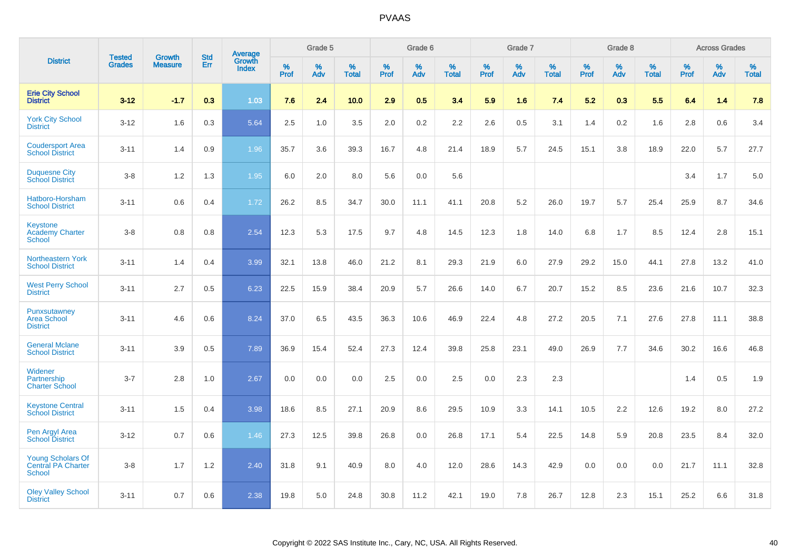|                                                                 |                                | <b>Growth</b>  | <b>Std</b> |                                          |              | Grade 5  |                   |              | Grade 6  |                   |              | Grade 7  |                      |              | Grade 8  |                   |              | <b>Across Grades</b> |                   |
|-----------------------------------------------------------------|--------------------------------|----------------|------------|------------------------------------------|--------------|----------|-------------------|--------------|----------|-------------------|--------------|----------|----------------------|--------------|----------|-------------------|--------------|----------------------|-------------------|
| <b>District</b>                                                 | <b>Tested</b><br><b>Grades</b> | <b>Measure</b> | <b>Err</b> | <b>Average</b><br>Growth<br><b>Index</b> | $\%$<br>Prof | %<br>Adv | %<br><b>Total</b> | $\%$<br>Prof | %<br>Adv | %<br><b>Total</b> | $\%$<br>Prof | %<br>Adv | $\%$<br><b>Total</b> | $\%$<br>Prof | %<br>Adv | %<br><b>Total</b> | $\%$<br>Prof | %<br>Adv             | %<br><b>Total</b> |
| <b>Erie City School</b><br><b>District</b>                      | $3 - 12$                       | $-1.7$         | 0.3        | 1.03                                     | 7.6          | 2.4      | 10.0              | 2.9          | 0.5      | 3.4               | 5.9          | 1.6      | 7.4                  | 5.2          | 0.3      | 5.5               | 6.4          | 1.4                  | 7.8               |
| <b>York City School</b><br><b>District</b>                      | $3 - 12$                       | 1.6            | 0.3        | 5.64                                     | 2.5          | 1.0      | 3.5               | 2.0          | 0.2      | 2.2               | 2.6          | 0.5      | 3.1                  | 1.4          | 0.2      | 1.6               | 2.8          | 0.6                  | 3.4               |
| <b>Coudersport Area</b><br><b>School District</b>               | $3 - 11$                       | 1.4            | 0.9        | 1.96                                     | 35.7         | 3.6      | 39.3              | 16.7         | 4.8      | 21.4              | 18.9         | 5.7      | 24.5                 | 15.1         | 3.8      | 18.9              | 22.0         | 5.7                  | 27.7              |
| <b>Duquesne City</b><br><b>School District</b>                  | $3 - 8$                        | 1.2            | 1.3        | 1.95                                     | 6.0          | 2.0      | 8.0               | 5.6          | 0.0      | 5.6               |              |          |                      |              |          |                   | 3.4          | 1.7                  | 5.0               |
| Hatboro-Horsham<br><b>School District</b>                       | $3 - 11$                       | 0.6            | 0.4        | 1.72                                     | 26.2         | 8.5      | 34.7              | 30.0         | 11.1     | 41.1              | 20.8         | 5.2      | 26.0                 | 19.7         | 5.7      | 25.4              | 25.9         | 8.7                  | 34.6              |
| <b>Keystone</b><br><b>Academy Charter</b><br>School             | $3 - 8$                        | 0.8            | 0.8        | 2.54                                     | 12.3         | 5.3      | 17.5              | 9.7          | 4.8      | 14.5              | 12.3         | 1.8      | 14.0                 | 6.8          | 1.7      | 8.5               | 12.4         | 2.8                  | 15.1              |
| <b>Northeastern York</b><br><b>School District</b>              | $3 - 11$                       | 1.4            | 0.4        | 3.99                                     | 32.1         | 13.8     | 46.0              | 21.2         | 8.1      | 29.3              | 21.9         | 6.0      | 27.9                 | 29.2         | 15.0     | 44.1              | 27.8         | 13.2                 | 41.0              |
| <b>West Perry School</b><br><b>District</b>                     | $3 - 11$                       | 2.7            | 0.5        | 6.23                                     | 22.5         | 15.9     | 38.4              | 20.9         | 5.7      | 26.6              | 14.0         | 6.7      | 20.7                 | 15.2         | 8.5      | 23.6              | 21.6         | 10.7                 | 32.3              |
| Punxsutawney<br><b>Area School</b><br><b>District</b>           | $3 - 11$                       | 4.6            | 0.6        | 8.24                                     | 37.0         | 6.5      | 43.5              | 36.3         | 10.6     | 46.9              | 22.4         | 4.8      | 27.2                 | 20.5         | 7.1      | 27.6              | 27.8         | 11.1                 | 38.8              |
| <b>General Mclane</b><br><b>School District</b>                 | $3 - 11$                       | 3.9            | 0.5        | 7.89                                     | 36.9         | 15.4     | 52.4              | 27.3         | 12.4     | 39.8              | 25.8         | 23.1     | 49.0                 | 26.9         | 7.7      | 34.6              | 30.2         | 16.6                 | 46.8              |
| Widener<br>Partnership<br><b>Charter School</b>                 | $3 - 7$                        | 2.8            | 1.0        | 2.67                                     | 0.0          | 0.0      | 0.0               | 2.5          | 0.0      | 2.5               | 0.0          | 2.3      | 2.3                  |              |          |                   | 1.4          | 0.5                  | 1.9               |
| <b>Keystone Central</b><br><b>School District</b>               | $3 - 11$                       | 1.5            | 0.4        | 3.98                                     | 18.6         | 8.5      | 27.1              | 20.9         | 8.6      | 29.5              | 10.9         | 3.3      | 14.1                 | 10.5         | 2.2      | 12.6              | 19.2         | 8.0                  | 27.2              |
| Pen Argyl Area<br><b>School District</b>                        | $3 - 12$                       | 0.7            | 0.6        | 1.46                                     | 27.3         | 12.5     | 39.8              | 26.8         | 0.0      | 26.8              | 17.1         | 5.4      | 22.5                 | 14.8         | 5.9      | 20.8              | 23.5         | 8.4                  | 32.0              |
| <b>Young Scholars Of</b><br>Central PA Charter<br><b>School</b> | $3 - 8$                        | 1.7            | $1.2$      | 2.40                                     | 31.8         | 9.1      | 40.9              | 8.0          | 4.0      | 12.0              | 28.6         | 14.3     | 42.9                 | 0.0          | 0.0      | 0.0               | 21.7         | 11.1                 | 32.8              |
| <b>Oley Valley School</b><br><b>District</b>                    | $3 - 11$                       | 0.7            | 0.6        | 2.38                                     | 19.8         | 5.0      | 24.8              | 30.8         | 11.2     | 42.1              | 19.0         | 7.8      | 26.7                 | 12.8         | 2.3      | 15.1              | 25.2         | 6.6                  | 31.8              |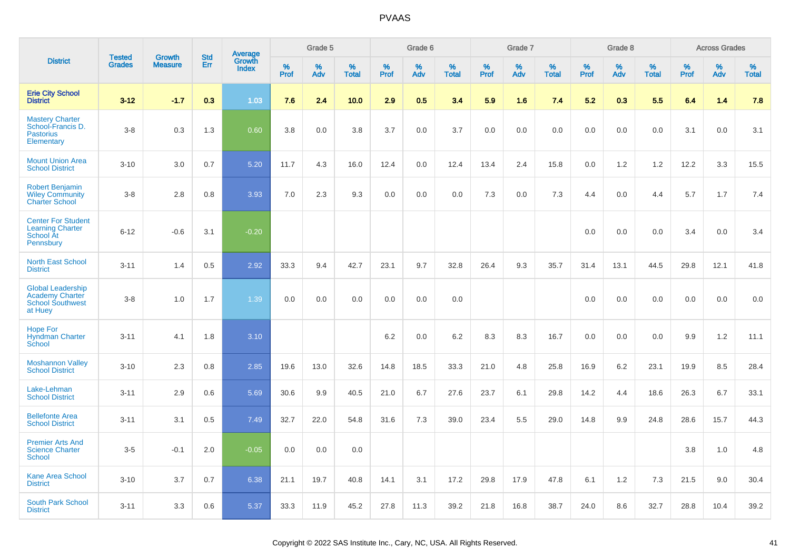|                                                                                          | <b>Tested</b> | <b>Growth</b>  | <b>Std</b> |                                   |                     | Grade 5  |                   |              | Grade 6  |                   |                     | Grade 7  |                   |              | Grade 8  |                   |              | <b>Across Grades</b> |                   |
|------------------------------------------------------------------------------------------|---------------|----------------|------------|-----------------------------------|---------------------|----------|-------------------|--------------|----------|-------------------|---------------------|----------|-------------------|--------------|----------|-------------------|--------------|----------------------|-------------------|
| <b>District</b>                                                                          | <b>Grades</b> | <b>Measure</b> | Err        | Average<br>Growth<br><b>Index</b> | $\%$<br><b>Prof</b> | %<br>Adv | %<br><b>Total</b> | $\%$<br>Prof | %<br>Adv | %<br><b>Total</b> | $\%$<br><b>Prof</b> | %<br>Adv | %<br><b>Total</b> | $\%$<br>Prof | %<br>Adv | %<br><b>Total</b> | $\%$<br>Prof | %<br>Adv             | %<br><b>Total</b> |
| <b>Erie City School</b><br><b>District</b>                                               | $3 - 12$      | $-1.7$         | 0.3        | 1.03                              | 7.6                 | 2.4      | 10.0              | 2.9          | 0.5      | 3.4               | 5.9                 | 1.6      | 7.4               | 5.2          | 0.3      | 5.5               | 6.4          | 1.4                  | 7.8               |
| <b>Mastery Charter</b><br>School-Francis D.<br><b>Pastorius</b><br>Elementary            | $3-8$         | 0.3            | 1.3        | 0.60                              | 3.8                 | 0.0      | 3.8               | 3.7          | 0.0      | 3.7               | 0.0                 | 0.0      | 0.0               | 0.0          | 0.0      | 0.0               | 3.1          | 0.0                  | 3.1               |
| <b>Mount Union Area</b><br><b>School District</b>                                        | $3 - 10$      | 3.0            | 0.7        | 5.20                              | 11.7                | 4.3      | 16.0              | 12.4         | 0.0      | 12.4              | 13.4                | 2.4      | 15.8              | 0.0          | 1.2      | 1.2               | 12.2         | 3.3                  | 15.5              |
| <b>Robert Benjamin</b><br><b>Wiley Community</b><br><b>Charter School</b>                | $3-8$         | 2.8            | 0.8        | 3.93                              | 7.0                 | 2.3      | 9.3               | 0.0          | 0.0      | 0.0               | 7.3                 | 0.0      | 7.3               | 4.4          | 0.0      | 4.4               | 5.7          | 1.7                  | 7.4               |
| <b>Center For Student</b><br><b>Learning Charter</b><br>School At<br><b>Pennsbury</b>    | $6 - 12$      | $-0.6$         | 3.1        | $-0.20$                           |                     |          |                   |              |          |                   |                     |          |                   | 0.0          | 0.0      | 0.0               | 3.4          | 0.0                  | 3.4               |
| <b>North East School</b><br><b>District</b>                                              | $3 - 11$      | 1.4            | 0.5        | 2.92                              | 33.3                | 9.4      | 42.7              | 23.1         | 9.7      | 32.8              | 26.4                | 9.3      | 35.7              | 31.4         | 13.1     | 44.5              | 29.8         | 12.1                 | 41.8              |
| <b>Global Leadership</b><br><b>Academy Charter</b><br><b>School Southwest</b><br>at Huey | $3-8$         | 1.0            | 1.7        | 1.39                              | 0.0                 | 0.0      | 0.0               | 0.0          | 0.0      | 0.0               |                     |          |                   | 0.0          | 0.0      | 0.0               | 0.0          | 0.0                  | 0.0               |
| Hope For<br><b>Hyndman Charter</b><br>School                                             | $3 - 11$      | 4.1            | 1.8        | 3.10                              |                     |          |                   | 6.2          | 0.0      | 6.2               | 8.3                 | 8.3      | 16.7              | 0.0          | 0.0      | 0.0               | 9.9          | 1.2                  | 11.1              |
| <b>Moshannon Valley</b><br><b>School District</b>                                        | $3 - 10$      | 2.3            | 0.8        | 2.85                              | 19.6                | 13.0     | 32.6              | 14.8         | 18.5     | 33.3              | 21.0                | 4.8      | 25.8              | 16.9         | 6.2      | 23.1              | 19.9         | 8.5                  | 28.4              |
| Lake-Lehman<br><b>School District</b>                                                    | $3 - 11$      | 2.9            | 0.6        | 5.69                              | 30.6                | 9.9      | 40.5              | 21.0         | 6.7      | 27.6              | 23.7                | 6.1      | 29.8              | 14.2         | 4.4      | 18.6              | 26.3         | 6.7                  | 33.1              |
| <b>Bellefonte Area</b><br><b>School District</b>                                         | $3 - 11$      | 3.1            | 0.5        | 7.49                              | 32.7                | 22.0     | 54.8              | 31.6         | 7.3      | 39.0              | 23.4                | 5.5      | 29.0              | 14.8         | 9.9      | 24.8              | 28.6         | 15.7                 | 44.3              |
| <b>Premier Arts And</b><br><b>Science Charter</b><br><b>School</b>                       | $3-5$         | $-0.1$         | 2.0        | $-0.05$                           | 0.0                 | 0.0      | 0.0               |              |          |                   |                     |          |                   |              |          |                   | 3.8          | 1.0                  | 4.8               |
| <b>Kane Area School</b><br><b>District</b>                                               | $3 - 10$      | 3.7            | 0.7        | 6.38                              | 21.1                | 19.7     | 40.8              | 14.1         | 3.1      | 17.2              | 29.8                | 17.9     | 47.8              | 6.1          | 1.2      | 7.3               | 21.5         | 9.0                  | 30.4              |
| <b>South Park School</b><br><b>District</b>                                              | $3 - 11$      | 3.3            | 0.6        | 5.37                              | 33.3                | 11.9     | 45.2              | 27.8         | 11.3     | 39.2              | 21.8                | 16.8     | 38.7              | 24.0         | 8.6      | 32.7              | 28.8         | 10.4                 | 39.2              |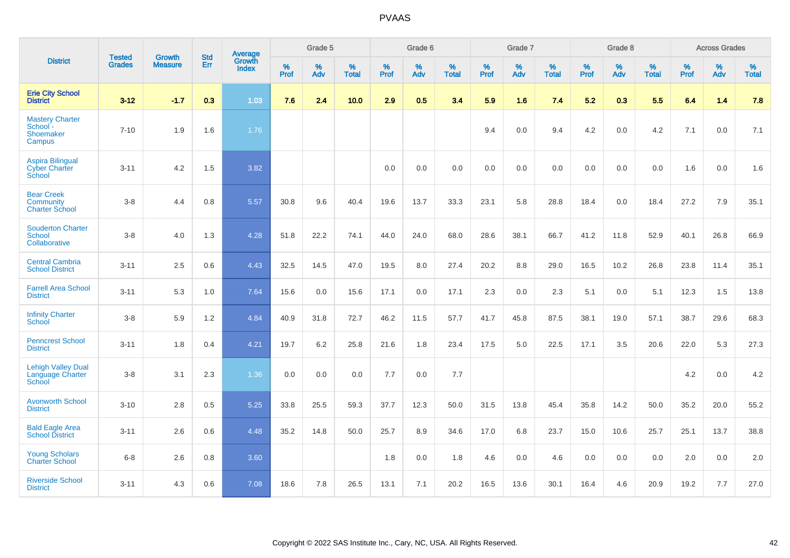|                                                           |                                |                                 | <b>Std</b> | Average                       |              | Grade 5  |                   |           | Grade 6  |                   |           | Grade 7  |                   |           | Grade 8  |                   |           | <b>Across Grades</b> |                   |
|-----------------------------------------------------------|--------------------------------|---------------------------------|------------|-------------------------------|--------------|----------|-------------------|-----------|----------|-------------------|-----------|----------|-------------------|-----------|----------|-------------------|-----------|----------------------|-------------------|
| <b>District</b>                                           | <b>Tested</b><br><b>Grades</b> | <b>Growth</b><br><b>Measure</b> | Err        | <b>Growth</b><br><b>Index</b> | $\%$<br>Prof | %<br>Adv | %<br><b>Total</b> | %<br>Prof | %<br>Adv | %<br><b>Total</b> | %<br>Prof | %<br>Adv | %<br><b>Total</b> | %<br>Prof | %<br>Adv | %<br><b>Total</b> | %<br>Prof | $\%$<br>Adv          | %<br><b>Total</b> |
| <b>Erie City School</b><br><b>District</b>                | $3 - 12$                       | $-1.7$                          | 0.3        | 1.03                          | 7.6          | 2.4      | 10.0              | 2.9       | 0.5      | 3.4               | 5.9       | 1.6      | 7.4               | 5.2       | 0.3      | 5.5               | 6.4       | 1.4                  | 7.8               |
| <b>Mastery Charter</b><br>School -<br>Shoemaker<br>Campus | $7 - 10$                       | 1.9                             | 1.6        | 1.76                          |              |          |                   |           |          |                   | 9.4       | 0.0      | 9.4               | 4.2       | 0.0      | 4.2               | 7.1       | 0.0                  | 7.1               |
| <b>Aspira Bilingual</b><br><b>Cyber Charter</b><br>School | $3 - 11$                       | 4.2                             | 1.5        | 3.82                          |              |          |                   | 0.0       | 0.0      | 0.0               | 0.0       | 0.0      | 0.0               | 0.0       | 0.0      | 0.0               | 1.6       | 0.0                  | 1.6               |
| <b>Bear Creek</b><br>Community<br><b>Charter School</b>   | $3 - 8$                        | 4.4                             | 0.8        | 5.57                          | 30.8         | 9.6      | 40.4              | 19.6      | 13.7     | 33.3              | 23.1      | 5.8      | 28.8              | 18.4      | 0.0      | 18.4              | 27.2      | 7.9                  | 35.1              |
| <b>Souderton Charter</b><br>School<br>Collaborative       | $3-8$                          | 4.0                             | 1.3        | 4.28                          | 51.8         | 22.2     | 74.1              | 44.0      | 24.0     | 68.0              | 28.6      | 38.1     | 66.7              | 41.2      | 11.8     | 52.9              | 40.1      | 26.8                 | 66.9              |
| <b>Central Cambria</b><br><b>School District</b>          | $3 - 11$                       | 2.5                             | 0.6        | 4.43                          | 32.5         | 14.5     | 47.0              | 19.5      | 8.0      | 27.4              | 20.2      | 8.8      | 29.0              | 16.5      | 10.2     | 26.8              | 23.8      | 11.4                 | 35.1              |
| <b>Farrell Area School</b><br><b>District</b>             | $3 - 11$                       | 5.3                             | 1.0        | 7.64                          | 15.6         | 0.0      | 15.6              | 17.1      | 0.0      | 17.1              | 2.3       | 0.0      | 2.3               | 5.1       | 0.0      | 5.1               | 12.3      | 1.5                  | 13.8              |
| <b>Infinity Charter</b><br>School                         | $3 - 8$                        | 5.9                             | 1.2        | 4.84                          | 40.9         | 31.8     | 72.7              | 46.2      | 11.5     | 57.7              | 41.7      | 45.8     | 87.5              | 38.1      | 19.0     | 57.1              | 38.7      | 29.6                 | 68.3              |
| <b>Penncrest School</b><br><b>District</b>                | $3 - 11$                       | 1.8                             | 0.4        | 4.21                          | 19.7         | 6.2      | 25.8              | 21.6      | 1.8      | 23.4              | 17.5      | 5.0      | 22.5              | 17.1      | 3.5      | 20.6              | 22.0      | 5.3                  | 27.3              |
| <b>Lehigh Valley Dual</b><br>Language Charter<br>School   | $3 - 8$                        | 3.1                             | 2.3        | 1.36                          | 0.0          | 0.0      | 0.0               | 7.7       | 0.0      | 7.7               |           |          |                   |           |          |                   | 4.2       | 0.0                  | 4.2               |
| <b>Avonworth School</b><br><b>District</b>                | $3 - 10$                       | 2.8                             | 0.5        | 5.25                          | 33.8         | 25.5     | 59.3              | 37.7      | 12.3     | 50.0              | 31.5      | 13.8     | 45.4              | 35.8      | 14.2     | 50.0              | 35.2      | 20.0                 | 55.2              |
| <b>Bald Eagle Area</b><br><b>School District</b>          | $3 - 11$                       | 2.6                             | 0.6        | 4.48                          | 35.2         | 14.8     | 50.0              | 25.7      | 8.9      | 34.6              | 17.0      | 6.8      | 23.7              | 15.0      | 10.6     | 25.7              | 25.1      | 13.7                 | 38.8              |
| <b>Young Scholars</b><br><b>Charter School</b>            | $6-8$                          | 2.6                             | 0.8        | 3.60                          |              |          |                   | 1.8       | 0.0      | 1.8               | 4.6       | 0.0      | 4.6               | 0.0       | 0.0      | 0.0               | 2.0       | 0.0                  | 2.0               |
| <b>Riverside School</b><br><b>District</b>                | $3 - 11$                       | 4.3                             | 0.6        | 7.08                          | 18.6         | 7.8      | 26.5              | 13.1      | 7.1      | 20.2              | 16.5      | 13.6     | 30.1              | 16.4      | 4.6      | 20.9              | 19.2      | 7.7                  | 27.0              |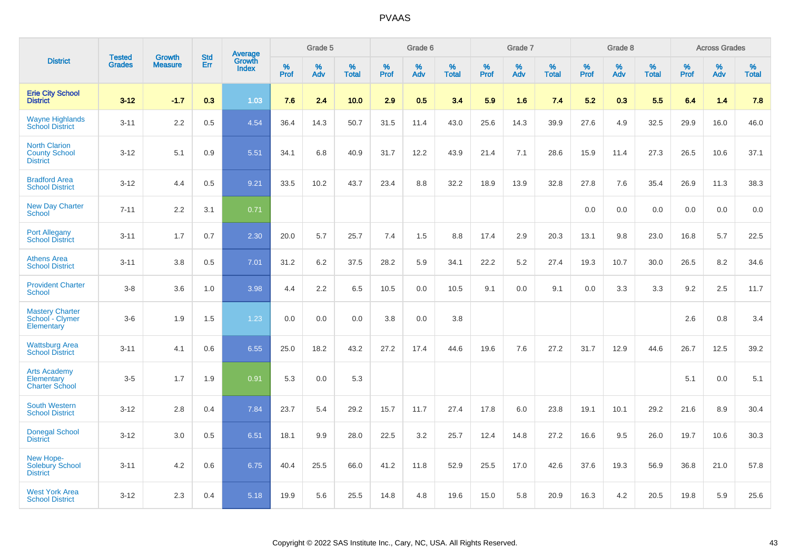|                                                                   | <b>Tested</b> | <b>Growth</b>  | <b>Std</b> | <b>Average</b>         |              | Grade 5  |                   |              | Grade 6  |                   |           | Grade 7  |            |           | Grade 8  |                   |           | <b>Across Grades</b> |            |
|-------------------------------------------------------------------|---------------|----------------|------------|------------------------|--------------|----------|-------------------|--------------|----------|-------------------|-----------|----------|------------|-----------|----------|-------------------|-----------|----------------------|------------|
| <b>District</b>                                                   | <b>Grades</b> | <b>Measure</b> | Err        | Growth<br><b>Index</b> | $\%$<br>Prof | %<br>Adv | %<br><b>Total</b> | $\%$<br>Prof | %<br>Adv | %<br><b>Total</b> | %<br>Prof | %<br>Adv | %<br>Total | %<br>Prof | %<br>Adv | %<br><b>Total</b> | %<br>Prof | %<br>Adv             | %<br>Total |
| <b>Erie City School</b><br><b>District</b>                        | $3 - 12$      | $-1.7$         | 0.3        | 1.03                   | 7.6          | 2.4      | 10.0              | 2.9          | 0.5      | 3.4               | 5.9       | 1.6      | 7.4        | 5.2       | 0.3      | 5.5               | 6.4       | 1.4                  | 7.8        |
| <b>Wayne Highlands</b><br><b>School District</b>                  | $3 - 11$      | 2.2            | 0.5        | 4.54                   | 36.4         | 14.3     | 50.7              | 31.5         | 11.4     | 43.0              | 25.6      | 14.3     | 39.9       | 27.6      | 4.9      | 32.5              | 29.9      | 16.0                 | 46.0       |
| <b>North Clarion</b><br><b>County School</b><br><b>District</b>   | $3 - 12$      | 5.1            | 0.9        | 5.51                   | 34.1         | 6.8      | 40.9              | 31.7         | 12.2     | 43.9              | 21.4      | 7.1      | 28.6       | 15.9      | 11.4     | 27.3              | 26.5      | 10.6                 | 37.1       |
| <b>Bradford Area</b><br><b>School District</b>                    | $3 - 12$      | 4.4            | 0.5        | 9.21                   | 33.5         | 10.2     | 43.7              | 23.4         | 8.8      | 32.2              | 18.9      | 13.9     | 32.8       | 27.8      | 7.6      | 35.4              | 26.9      | 11.3                 | 38.3       |
| <b>New Day Charter</b><br><b>School</b>                           | $7 - 11$      | 2.2            | 3.1        | 0.71                   |              |          |                   |              |          |                   |           |          |            | 0.0       | 0.0      | 0.0               | 0.0       | 0.0                  | 0.0        |
| <b>Port Allegany</b><br><b>School District</b>                    | $3 - 11$      | 1.7            | 0.7        | 2.30                   | 20.0         | 5.7      | 25.7              | 7.4          | 1.5      | 8.8               | 17.4      | 2.9      | 20.3       | 13.1      | 9.8      | 23.0              | 16.8      | 5.7                  | 22.5       |
| <b>Athens Area</b><br><b>School District</b>                      | $3 - 11$      | 3.8            | 0.5        | 7.01                   | 31.2         | 6.2      | 37.5              | 28.2         | 5.9      | 34.1              | 22.2      | 5.2      | 27.4       | 19.3      | 10.7     | 30.0              | 26.5      | 8.2                  | 34.6       |
| <b>Provident Charter</b><br><b>School</b>                         | $3 - 8$       | 3.6            | 1.0        | 3.98                   | 4.4          | 2.2      | 6.5               | 10.5         | 0.0      | 10.5              | 9.1       | 0.0      | 9.1        | 0.0       | 3.3      | 3.3               | 9.2       | 2.5                  | 11.7       |
| <b>Mastery Charter</b><br>School - Clymer<br>Elementary           | $3-6$         | 1.9            | 1.5        | 1.23                   | 0.0          | 0.0      | 0.0               | 3.8          | 0.0      | 3.8               |           |          |            |           |          |                   | 2.6       | 0.8                  | 3.4        |
| <b>Wattsburg Area</b><br><b>School District</b>                   | $3 - 11$      | 4.1            | 0.6        | 6.55                   | 25.0         | 18.2     | 43.2              | 27.2         | 17.4     | 44.6              | 19.6      | 7.6      | 27.2       | 31.7      | 12.9     | 44.6              | 26.7      | 12.5                 | 39.2       |
| <b>Arts Academy</b><br><b>Elementary</b><br><b>Charter School</b> | $3-5$         | 1.7            | 1.9        | 0.91                   | 5.3          | 0.0      | 5.3               |              |          |                   |           |          |            |           |          |                   | 5.1       | 0.0                  | 5.1        |
| <b>South Western</b><br><b>School District</b>                    | $3 - 12$      | 2.8            | 0.4        | 7.84                   | 23.7         | 5.4      | 29.2              | 15.7         | 11.7     | 27.4              | 17.8      | 6.0      | 23.8       | 19.1      | 10.1     | 29.2              | 21.6      | 8.9                  | 30.4       |
| <b>Donegal School</b><br><b>District</b>                          | $3 - 12$      | 3.0            | 0.5        | 6.51                   | 18.1         | 9.9      | 28.0              | 22.5         | 3.2      | 25.7              | 12.4      | 14.8     | 27.2       | 16.6      | 9.5      | 26.0              | 19.7      | 10.6                 | 30.3       |
| New Hope-<br>Solebury School<br><b>District</b>                   | $3 - 11$      | 4.2            | 0.6        | 6.75                   | 40.4         | 25.5     | 66.0              | 41.2         | 11.8     | 52.9              | 25.5      | 17.0     | 42.6       | 37.6      | 19.3     | 56.9              | 36.8      | 21.0                 | 57.8       |
| <b>West York Area</b><br><b>School District</b>                   | $3 - 12$      | 2.3            | 0.4        | 5.18                   | 19.9         | 5.6      | 25.5              | 14.8         | 4.8      | 19.6              | 15.0      | 5.8      | 20.9       | 16.3      | 4.2      | 20.5              | 19.8      | 5.9                  | 25.6       |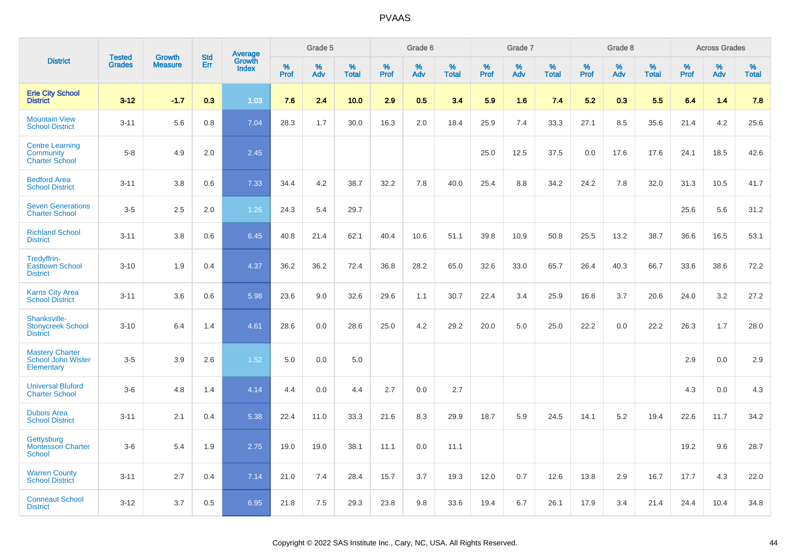|                                                                     |                                |                                 | <b>Std</b> | Average                |                     | Grade 5     |                   |                     | Grade 6     |                   |                     | Grade 7  |                   |                     | Grade 8  |                   |                     | <b>Across Grades</b> |                   |
|---------------------------------------------------------------------|--------------------------------|---------------------------------|------------|------------------------|---------------------|-------------|-------------------|---------------------|-------------|-------------------|---------------------|----------|-------------------|---------------------|----------|-------------------|---------------------|----------------------|-------------------|
| <b>District</b>                                                     | <b>Tested</b><br><b>Grades</b> | <b>Growth</b><br><b>Measure</b> | Err        | Growth<br><b>Index</b> | $\%$<br><b>Prof</b> | $\%$<br>Adv | %<br><b>Total</b> | $\%$<br><b>Prof</b> | $\%$<br>Adv | %<br><b>Total</b> | $\%$<br><b>Prof</b> | %<br>Adv | %<br><b>Total</b> | $\%$<br><b>Prof</b> | %<br>Adv | %<br><b>Total</b> | $\%$<br><b>Prof</b> | $\%$<br>Adv          | %<br><b>Total</b> |
| <b>Erie City School</b><br><b>District</b>                          | $3 - 12$                       | $-1.7$                          | 0.3        | 1.03                   | 7.6                 | 2.4         | 10.0              | 2.9                 | 0.5         | 3.4               | 5.9                 | 1.6      | 7.4               | 5.2                 | 0.3      | 5.5               | 6.4                 | 1.4                  | 7.8               |
| <b>Mountain View</b><br><b>School District</b>                      | $3 - 11$                       | 5.6                             | 0.8        | 7.04                   | 28.3                | 1.7         | 30.0              | 16.3                | 2.0         | 18.4              | 25.9                | 7.4      | 33.3              | 27.1                | 8.5      | 35.6              | 21.4                | 4.2                  | 25.6              |
| <b>Centre Learning</b><br><b>Community</b><br><b>Charter School</b> | $5-8$                          | 4.9                             | 2.0        | 2.45                   |                     |             |                   |                     |             |                   | 25.0                | 12.5     | 37.5              | 0.0                 | 17.6     | 17.6              | 24.1                | 18.5                 | 42.6              |
| <b>Bedford Area</b><br><b>School District</b>                       | $3 - 11$                       | 3.8                             | 0.6        | 7.33                   | 34.4                | 4.2         | 38.7              | 32.2                | 7.8         | 40.0              | 25.4                | 8.8      | 34.2              | 24.2                | 7.8      | 32.0              | 31.3                | 10.5                 | 41.7              |
| <b>Seven Generations</b><br><b>Charter School</b>                   | $3-5$                          | 2.5                             | 2.0        | 1.26                   | 24.3                | 5.4         | 29.7              |                     |             |                   |                     |          |                   |                     |          |                   | 25.6                | 5.6                  | 31.2              |
| <b>Richland School</b><br><b>District</b>                           | $3 - 11$                       | 3.8                             | 0.6        | 6.45                   | 40.8                | 21.4        | 62.1              | 40.4                | 10.6        | 51.1              | 39.8                | 10.9     | 50.8              | 25.5                | 13.2     | 38.7              | 36.6                | 16.5                 | 53.1              |
| Tredyffrin-<br><b>Easttown School</b><br><b>District</b>            | $3 - 10$                       | 1.9                             | 0.4        | 4.37                   | 36.2                | 36.2        | 72.4              | 36.8                | 28.2        | 65.0              | 32.6                | 33.0     | 65.7              | 26.4                | 40.3     | 66.7              | 33.6                | 38.6                 | 72.2              |
| <b>Karns City Area</b><br><b>School District</b>                    | $3 - 11$                       | 3.6                             | 0.6        | 5.98                   | 23.6                | 9.0         | 32.6              | 29.6                | 1.1         | 30.7              | 22.4                | 3.4      | 25.9              | 16.8                | 3.7      | 20.6              | 24.0                | 3.2                  | 27.2              |
| Shanksville-<br><b>Stonycreek School</b><br><b>District</b>         | $3 - 10$                       | 6.4                             | 1.4        | 4.61                   | 28.6                | 0.0         | 28.6              | 25.0                | 4.2         | 29.2              | 20.0                | 5.0      | 25.0              | 22.2                | 0.0      | 22.2              | 26.3                | 1.7                  | 28.0              |
| <b>Mastery Charter</b><br>School John Wister<br>Elementary          | $3-5$                          | 3.9                             | 2.6        | 1.52                   | 5.0                 | 0.0         | 5.0               |                     |             |                   |                     |          |                   |                     |          |                   | 2.9                 | 0.0                  | 2.9               |
| <b>Universal Bluford</b><br><b>Charter School</b>                   | $3-6$                          | 4.8                             | 1.4        | 4.14                   | 4.4                 | 0.0         | 4.4               | 2.7                 | 0.0         | 2.7               |                     |          |                   |                     |          |                   | 4.3                 | 0.0                  | 4.3               |
| <b>Dubois Area</b><br><b>School District</b>                        | $3 - 11$                       | 2.1                             | 0.4        | 5.38                   | 22.4                | 11.0        | 33.3              | 21.6                | 8.3         | 29.9              | 18.7                | 5.9      | 24.5              | 14.1                | 5.2      | 19.4              | 22.6                | 11.7                 | 34.2              |
| Gettysburg<br><b>Montessori Charter</b><br><b>School</b>            | $3-6$                          | 5.4                             | 1.9        | 2.75                   | 19.0                | 19.0        | 38.1              | 11.1                | 0.0         | 11.1              |                     |          |                   |                     |          |                   | 19.2                | 9.6                  | 28.7              |
| <b>Warren County</b><br><b>School District</b>                      | $3 - 11$                       | 2.7                             | 0.4        | 7.14                   | 21.0                | 7.4         | 28.4              | 15.7                | 3.7         | 19.3              | 12.0                | 0.7      | 12.6              | 13.8                | 2.9      | 16.7              | 17.7                | 4.3                  | 22.0              |
| <b>Conneaut School</b><br><b>District</b>                           | $3 - 12$                       | 3.7                             | 0.5        | 6.95                   | 21.8                | 7.5         | 29.3              | 23.8                | 9.8         | 33.6              | 19.4                | 6.7      | 26.1              | 17.9                | 3.4      | 21.4              | 24.4                | 10.4                 | 34.8              |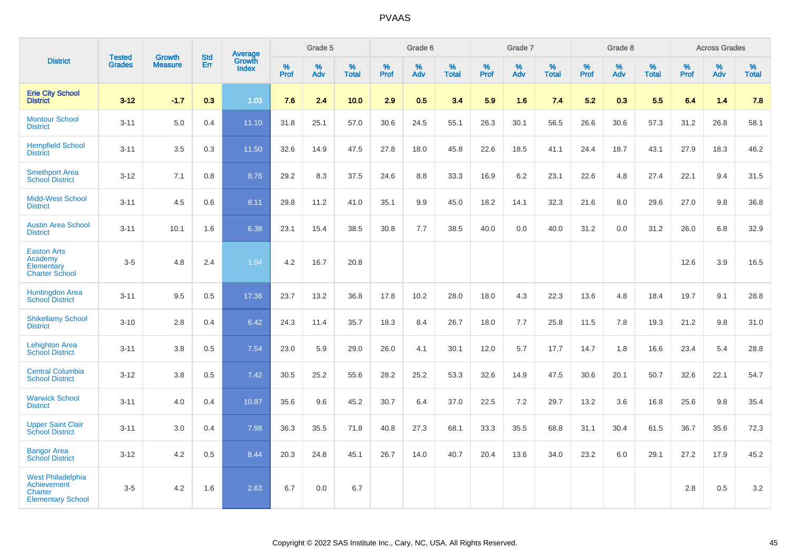|                                                                         |                                |                                 | <b>Std</b> | Average                |              | Grade 5  |                      |           | Grade 6  |                   |           | Grade 7  |                      |           | Grade 8  |                   |           | <b>Across Grades</b> |                   |
|-------------------------------------------------------------------------|--------------------------------|---------------------------------|------------|------------------------|--------------|----------|----------------------|-----------|----------|-------------------|-----------|----------|----------------------|-----------|----------|-------------------|-----------|----------------------|-------------------|
| <b>District</b>                                                         | <b>Tested</b><br><b>Grades</b> | <b>Growth</b><br><b>Measure</b> | Err        | Growth<br><b>Index</b> | $\%$<br>Prof | %<br>Adv | $\%$<br><b>Total</b> | %<br>Prof | %<br>Adv | %<br><b>Total</b> | %<br>Prof | %<br>Adv | $\%$<br><b>Total</b> | %<br>Prof | %<br>Adv | %<br><b>Total</b> | %<br>Prof | %<br>Adv             | %<br><b>Total</b> |
| <b>Erie City School</b><br><b>District</b>                              | $3 - 12$                       | $-1.7$                          | 0.3        | 1.03                   | 7.6          | 2.4      | 10.0                 | 2.9       | 0.5      | 3.4               | 5.9       | 1.6      | 7.4                  | 5.2       | 0.3      | 5.5               | 6.4       | 1.4                  | 7.8               |
| <b>Montour School</b><br><b>District</b>                                | $3 - 11$                       | 5.0                             | 0.4        | 11.10                  | 31.8         | 25.1     | 57.0                 | 30.6      | 24.5     | 55.1              | 26.3      | 30.1     | 56.5                 | 26.6      | 30.6     | 57.3              | 31.2      | 26.8                 | 58.1              |
| <b>Hempfield School</b><br><b>District</b>                              | $3 - 11$                       | 3.5                             | 0.3        | 11.50                  | 32.6         | 14.9     | 47.5                 | 27.8      | 18.0     | 45.8              | 22.6      | 18.5     | 41.1                 | 24.4      | 18.7     | 43.1              | 27.9      | 18.3                 | 46.2              |
| <b>Smethport Area</b><br><b>School District</b>                         | $3 - 12$                       | 7.1                             | 0.8        | 8.76                   | 29.2         | 8.3      | 37.5                 | 24.6      | 8.8      | 33.3              | 16.9      | $6.2\,$  | 23.1                 | 22.6      | 4.8      | 27.4              | 22.1      | 9.4                  | 31.5              |
| <b>Midd-West School</b><br><b>District</b>                              | $3 - 11$                       | 4.5                             | 0.6        | 8.11                   | 29.8         | 11.2     | 41.0                 | 35.1      | 9.9      | 45.0              | 18.2      | 14.1     | 32.3                 | 21.6      | 8.0      | 29.6              | 27.0      | 9.8                  | 36.8              |
| <b>Austin Area School</b><br><b>District</b>                            | $3 - 11$                       | 10.1                            | 1.6        | 6.38                   | 23.1         | 15.4     | 38.5                 | 30.8      | 7.7      | 38.5              | 40.0      | 0.0      | 40.0                 | 31.2      | 0.0      | 31.2              | 26.0      | 6.8                  | 32.9              |
| <b>Easton Arts</b><br>Academy<br>Elementary<br><b>Charter School</b>    | $3-5$                          | 4.8                             | 2.4        | 1.94                   | 4.2          | 16.7     | 20.8                 |           |          |                   |           |          |                      |           |          |                   | 12.6      | 3.9                  | 16.5              |
| <b>Huntingdon Area</b><br><b>School District</b>                        | $3 - 11$                       | 9.5                             | 0.5        | 17.36                  | 23.7         | 13.2     | 36.8                 | 17.8      | 10.2     | 28.0              | 18.0      | 4.3      | 22.3                 | 13.6      | 4.8      | 18.4              | 19.7      | 9.1                  | 28.8              |
| <b>Shikellamy School</b><br><b>District</b>                             | $3 - 10$                       | 2.8                             | 0.4        | 6.42                   | 24.3         | 11.4     | 35.7                 | 18.3      | 8.4      | 26.7              | 18.0      | 7.7      | 25.8                 | 11.5      | 7.8      | 19.3              | 21.2      | 9.8                  | 31.0              |
| <b>Lehighton Area</b><br><b>School District</b>                         | $3 - 11$                       | 3.8                             | 0.5        | 7.54                   | 23.0         | 5.9      | 29.0                 | 26.0      | 4.1      | 30.1              | 12.0      | 5.7      | 17.7                 | 14.7      | 1.8      | 16.6              | 23.4      | 5.4                  | 28.8              |
| <b>Central Columbia</b><br><b>School District</b>                       | $3 - 12$                       | 3.8                             | 0.5        | 7.42                   | 30.5         | 25.2     | 55.6                 | 28.2      | 25.2     | 53.3              | 32.6      | 14.9     | 47.5                 | 30.6      | 20.1     | 50.7              | 32.6      | 22.1                 | 54.7              |
| <b>Warwick School</b><br><b>District</b>                                | $3 - 11$                       | 4.0                             | 0.4        | 10.87                  | 35.6         | 9.6      | 45.2                 | 30.7      | 6.4      | 37.0              | 22.5      | 7.2      | 29.7                 | 13.2      | 3.6      | 16.8              | 25.6      | 9.8                  | 35.4              |
| <b>Upper Saint Clair</b><br><b>School District</b>                      | $3 - 11$                       | 3.0                             | 0.4        | 7.98                   | 36.3         | 35.5     | 71.8                 | 40.8      | 27.3     | 68.1              | 33.3      | 35.5     | 68.8                 | 31.1      | 30.4     | 61.5              | 36.7      | 35.6                 | 72.3              |
| <b>Bangor Area</b><br><b>School District</b>                            | $3 - 12$                       | 4.2                             | 0.5        | 8.44                   | 20.3         | 24.8     | 45.1                 | 26.7      | 14.0     | 40.7              | 20.4      | 13.6     | 34.0                 | 23.2      | 6.0      | 29.1              | 27.2      | 17.9                 | 45.2              |
| West Philadelphia<br>Achievement<br>Charter<br><b>Elementary School</b> | $3-5$                          | 4.2                             | 1.6        | 2.63                   | 6.7          | 0.0      | 6.7                  |           |          |                   |           |          |                      |           |          |                   | 2.8       | 0.5                  | 3.2               |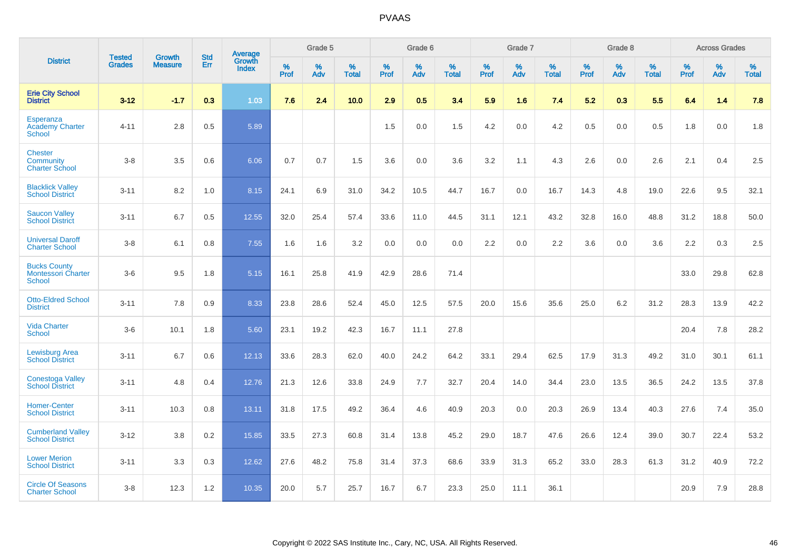|                                                                   | <b>Tested</b> | <b>Growth</b>  | <b>Std</b> | Average                       |           | Grade 5  |                   |           | Grade 6  |                   |           | Grade 7  |                   |           | Grade 8  |                   |           | <b>Across Grades</b> |                   |
|-------------------------------------------------------------------|---------------|----------------|------------|-------------------------------|-----------|----------|-------------------|-----------|----------|-------------------|-----------|----------|-------------------|-----------|----------|-------------------|-----------|----------------------|-------------------|
| <b>District</b>                                                   | <b>Grades</b> | <b>Measure</b> | Err        | <b>Growth</b><br><b>Index</b> | %<br>Prof | %<br>Adv | %<br><b>Total</b> | %<br>Prof | %<br>Adv | %<br><b>Total</b> | %<br>Prof | %<br>Adv | %<br><b>Total</b> | %<br>Prof | %<br>Adv | %<br><b>Total</b> | %<br>Prof | %<br>Adv             | %<br><b>Total</b> |
| <b>Erie City School</b><br><b>District</b>                        | $3 - 12$      | $-1.7$         | 0.3        | 1.03                          | 7.6       | 2.4      | 10.0              | 2.9       | 0.5      | 3.4               | 5.9       | 1.6      | 7.4               | 5.2       | 0.3      | 5.5               | 6.4       | 1.4                  | 7.8               |
| <b>Esperanza</b><br><b>Academy Charter</b><br><b>School</b>       | $4 - 11$      | 2.8            | 0.5        | 5.89                          |           |          |                   | 1.5       | 0.0      | 1.5               | 4.2       | 0.0      | 4.2               | 0.5       | 0.0      | 0.5               | 1.8       | 0.0                  | 1.8               |
| <b>Chester</b><br>Community<br><b>Charter School</b>              | $3 - 8$       | 3.5            | 0.6        | 6.06                          | 0.7       | 0.7      | 1.5               | 3.6       | 0.0      | 3.6               | 3.2       | 1.1      | 4.3               | 2.6       | 0.0      | 2.6               | 2.1       | 0.4                  | 2.5               |
| <b>Blacklick Valley</b><br><b>School District</b>                 | $3 - 11$      | 8.2            | 1.0        | 8.15                          | 24.1      | 6.9      | 31.0              | 34.2      | 10.5     | 44.7              | 16.7      | 0.0      | 16.7              | 14.3      | 4.8      | 19.0              | 22.6      | 9.5                  | 32.1              |
| <b>Saucon Valley</b><br><b>School District</b>                    | $3 - 11$      | 6.7            | 0.5        | 12.55                         | 32.0      | 25.4     | 57.4              | 33.6      | 11.0     | 44.5              | 31.1      | 12.1     | 43.2              | 32.8      | 16.0     | 48.8              | 31.2      | 18.8                 | 50.0              |
| <b>Universal Daroff</b><br><b>Charter School</b>                  | $3 - 8$       | 6.1            | 0.8        | 7.55                          | 1.6       | 1.6      | 3.2               | 0.0       | 0.0      | 0.0               | 2.2       | 0.0      | 2.2               | 3.6       | 0.0      | 3.6               | 2.2       | 0.3                  | 2.5               |
| <b>Bucks County</b><br><b>Montessori Charter</b><br><b>School</b> | $3-6$         | 9.5            | 1.8        | 5.15                          | 16.1      | 25.8     | 41.9              | 42.9      | 28.6     | 71.4              |           |          |                   |           |          |                   | 33.0      | 29.8                 | 62.8              |
| <b>Otto-Eldred School</b><br><b>District</b>                      | $3 - 11$      | 7.8            | 0.9        | 8.33                          | 23.8      | 28.6     | 52.4              | 45.0      | 12.5     | 57.5              | 20.0      | 15.6     | 35.6              | 25.0      | 6.2      | 31.2              | 28.3      | 13.9                 | 42.2              |
| <b>Vida Charter</b><br><b>School</b>                              | $3-6$         | 10.1           | 1.8        | 5.60                          | 23.1      | 19.2     | 42.3              | 16.7      | 11.1     | 27.8              |           |          |                   |           |          |                   | 20.4      | 7.8                  | 28.2              |
| <b>Lewisburg Area</b><br><b>School District</b>                   | $3 - 11$      | 6.7            | 0.6        | 12.13                         | 33.6      | 28.3     | 62.0              | 40.0      | 24.2     | 64.2              | 33.1      | 29.4     | 62.5              | 17.9      | 31.3     | 49.2              | 31.0      | 30.1                 | 61.1              |
| <b>Conestoga Valley</b><br><b>School District</b>                 | $3 - 11$      | 4.8            | 0.4        | 12.76                         | 21.3      | 12.6     | 33.8              | 24.9      | 7.7      | 32.7              | 20.4      | 14.0     | 34.4              | 23.0      | 13.5     | 36.5              | 24.2      | 13.5                 | 37.8              |
| <b>Homer-Center</b><br><b>School District</b>                     | $3 - 11$      | 10.3           | 0.8        | 13.11                         | 31.8      | 17.5     | 49.2              | 36.4      | 4.6      | 40.9              | 20.3      | 0.0      | 20.3              | 26.9      | 13.4     | 40.3              | 27.6      | 7.4                  | 35.0              |
| <b>Cumberland Valley</b><br><b>School District</b>                | $3 - 12$      | 3.8            | 0.2        | 15.85                         | 33.5      | 27.3     | 60.8              | 31.4      | 13.8     | 45.2              | 29.0      | 18.7     | 47.6              | 26.6      | 12.4     | 39.0              | 30.7      | 22.4                 | 53.2              |
| <b>Lower Merion</b><br><b>School District</b>                     | $3 - 11$      | 3.3            | 0.3        | 12.62                         | 27.6      | 48.2     | 75.8              | 31.4      | 37.3     | 68.6              | 33.9      | 31.3     | 65.2              | 33.0      | 28.3     | 61.3              | 31.2      | 40.9                 | 72.2              |
| <b>Circle Of Seasons</b><br><b>Charter School</b>                 | $3 - 8$       | 12.3           | 1.2        | 10.35                         | 20.0      | 5.7      | 25.7              | 16.7      | 6.7      | 23.3              | 25.0      | 11.1     | 36.1              |           |          |                   | 20.9      | 7.9                  | 28.8              |